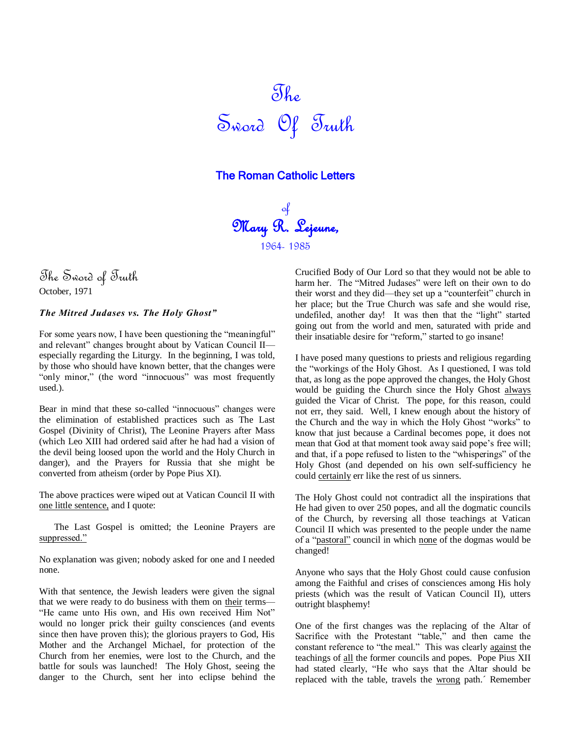

# The Roman Catholic Letters

of Mary R. Lejeune, 1964- 1985

The Sword of Truth October, 1971

## *The Mitred Judases vs. The Holy Ghost"*

For some years now, I have been questioning the "meaningful" and relevant" changes brought about by Vatican Council II especially regarding the Liturgy. In the beginning, I was told, by those who should have known better, that the changes were "only minor," (the word "innocuous" was most frequently used.).

Bear in mind that these so-called "innocuous" changes were the elimination of established practices such as The Last Gospel (Divinity of Christ), The Leonine Prayers after Mass (which Leo XIII had ordered said after he had had a vision of the devil being loosed upon the world and the Holy Church in danger), and the Prayers for Russia that she might be converted from atheism (order by Pope Pius XI).

The above practices were wiped out at Vatican Council II with one little sentence, and I quote:

The Last Gospel is omitted; the Leonine Prayers are suppressed."

No explanation was given; nobody asked for one and I needed none.

With that sentence, the Jewish leaders were given the signal that we were ready to do business with them on their terms— "He came unto His own, and His own received Him Not" would no longer prick their guilty consciences (and events since then have proven this); the glorious prayers to God, His Mother and the Archangel Michael, for protection of the Church from her enemies, were lost to the Church, and the battle for souls was launched! The Holy Ghost, seeing the danger to the Church, sent her into eclipse behind the Crucified Body of Our Lord so that they would not be able to harm her. The "Mitred Judases" were left on their own to do their worst and they did—they set up a "counterfeit" church in her place; but the True Church was safe and she would rise, undefiled, another day! It was then that the "light" started going out from the world and men, saturated with pride and their insatiable desire for "reform," started to go insane!

I have posed many questions to priests and religious regarding the "workings of the Holy Ghost. As I questioned, I was told that, as long as the pope approved the changes, the Holy Ghost would be guiding the Church since the Holy Ghost always guided the Vicar of Christ. The pope, for this reason, could not err, they said. Well, I knew enough about the history of the Church and the way in which the Holy Ghost "works" to know that just because a Cardinal becomes pope, it does not mean that God at that moment took away said pope's free will; and that, if a pope refused to listen to the "whisperings" of the Holy Ghost (and depended on his own self-sufficiency he could certainly err like the rest of us sinners.

The Holy Ghost could not contradict all the inspirations that He had given to over 250 popes, and all the dogmatic councils of the Church, by reversing all those teachings at Vatican Council II which was presented to the people under the name of a "pastoral" council in which none of the dogmas would be changed!

Anyone who says that the Holy Ghost could cause confusion among the Faithful and crises of consciences among His holy priests (which was the result of Vatican Council II), utters outright blasphemy!

One of the first changes was the replacing of the Altar of Sacrifice with the Protestant "table," and then came the constant reference to "the meal." This was clearly against the teachings of all the former councils and popes. Pope Pius XII had stated clearly, "He who says that the Altar should be replaced with the table, travels the wrong path.´ Remember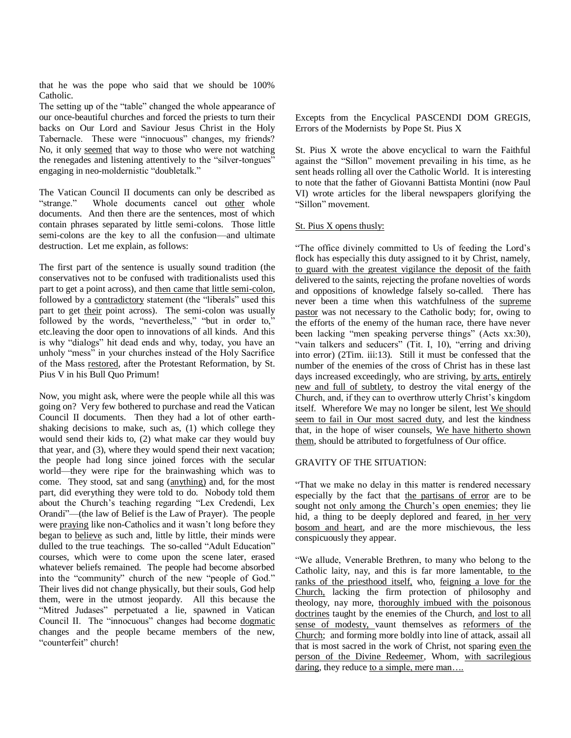that he was the pope who said that we should be 100% Catholic.

The setting up of the "table" changed the whole appearance of our once-beautiful churches and forced the priests to turn their backs on Our Lord and Saviour Jesus Christ in the Holy Tabernacle. These were "innocuous" changes, my friends? No, it only seemed that way to those who were not watching the renegades and listening attentively to the "silver-tongues" engaging in neo-moldernistic "doubletalk."

The Vatican Council II documents can only be described as "strange." Whole documents cancel out other whole documents. And then there are the sentences, most of which contain phrases separated by little semi-colons. Those little semi-colons are the key to all the confusion—and ultimate destruction. Let me explain, as follows:

The first part of the sentence is usually sound tradition (the conservatives not to be confused with traditionalists used this part to get a point across), and then came that little semi-colon, followed by a contradictory statement (the "liberals" used this part to get their point across). The semi-colon was usually followed by the words, "nevertheless," "but in order to," etc.leaving the door open to innovations of all kinds. And this is why "dialogs" hit dead ends and why, today, you have an unholy "mess" in your churches instead of the Holy Sacrifice of the Mass restored, after the Protestant Reformation, by St. Pius V in his Bull Quo Primum!

Now, you might ask, where were the people while all this was going on? Very few bothered to purchase and read the Vatican Council II documents. Then they had a lot of other earthshaking decisions to make, such as, (1) which college they would send their kids to, (2) what make car they would buy that year, and (3), where they would spend their next vacation; the people had long since joined forces with the secular world—they were ripe for the brainwashing which was to come. They stood, sat and sang (anything) and, for the most part, did everything they were told to do. Nobody told them about the Church's teaching regarding "Lex Credendi, Lex Orandi"—(the law of Belief is the Law of Prayer). The people were praying like non-Catholics and it wasn't long before they began to believe as such and, little by little, their minds were dulled to the true teachings. The so-called "Adult Education" courses, which were to come upon the scene later, erased whatever beliefs remained. The people had become absorbed into the "community" church of the new "people of God." Their lives did not change physically, but their souls, God help them, were in the utmost jeopardy. All this because the "Mitred Judases" perpetuated a lie, spawned in Vatican Council II. The "innocuous" changes had become dogmatic changes and the people became members of the new, "counterfeit" church!

Excepts from the Encyclical PASCENDI DOM GREGIS, Errors of the Modernists by Pope St. Pius X

St. Pius X wrote the above encyclical to warn the Faithful against the "Sillon" movement prevailing in his time, as he sent heads rolling all over the Catholic World. It is interesting to note that the father of Giovanni Battista Montini (now Paul VI) wrote articles for the liberal newspapers glorifying the "Sillon" movement.

#### St. Pius X opens thusly:

―The office divinely committed to Us of feeding the Lord's flock has especially this duty assigned to it by Christ, namely, to guard with the greatest vigilance the deposit of the faith delivered to the saints, rejecting the profane novelties of words and oppositions of knowledge falsely so-called. There has never been a time when this watchfulness of the supreme pastor was not necessary to the Catholic body; for, owing to the efforts of the enemy of the human race, there have never been lacking "men speaking perverse things" (Acts xx:30), "vain talkers and seducers" (Tit. I, 10), "erring and driving into error) (2Tim. iii:13). Still it must be confessed that the number of the enemies of the cross of Christ has in these last days increased exceedingly, who are striving, by arts, entirely new and full of subtlety, to destroy the vital energy of the Church, and, if they can to overthrow utterly Christ's kingdom itself. Wherefore We may no longer be silent, lest We should seem to fail in Our most sacred duty, and lest the kindness that, in the hope of wiser counsels, We have hitherto shown them, should be attributed to forgetfulness of Our office.

#### GRAVITY OF THE SITUATION:

―That we make no delay in this matter is rendered necessary especially by the fact that the partisans of error are to be sought not only among the Church's open enemies; they lie hid, a thing to be deeply deplored and feared, in her very bosom and heart, and are the more mischievous, the less conspicuously they appear.

―We allude, Venerable Brethren, to many who belong to the Catholic laity, nay, and this is far more lamentable, to the ranks of the priesthood itself, who, feigning a love for the Church, lacking the firm protection of philosophy and theology, nay more, thoroughly imbued with the poisonous doctrines taught by the enemies of the Church, and lost to all sense of modesty, vaunt themselves as reformers of the Church; and forming more boldly into line of attack, assail all that is most sacred in the work of Christ, not sparing even the person of the Divine Redeemer, Whom, with sacrilegious daring, they reduce to a simple, mere man....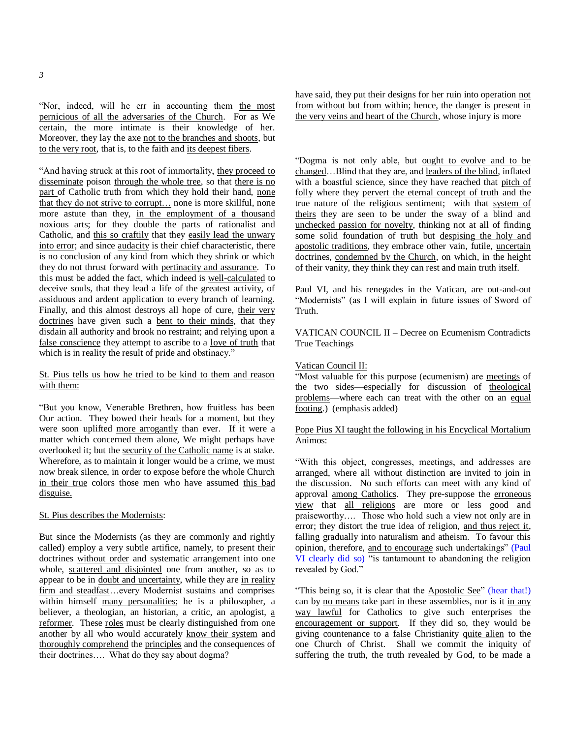―Nor, indeed, will he err in accounting them the most pernicious of all the adversaries of the Church. For as We certain, the more intimate is their knowledge of her. Moreover, they lay the axe not to the branches and shoots, but to the very root, that is, to the faith and its deepest fibers.

"And having struck at this root of immortality, they proceed to disseminate poison through the whole tree, so that there is no part of Catholic truth from which they hold their hand, none that they do not strive to corrupt... none is more skillful, none more astute than they, in the employment of a thousand noxious arts; for they double the parts of rationalist and Catholic, and this so craftily that they easily lead the unwary into error; and since audacity is their chief characteristic, there is no conclusion of any kind from which they shrink or which they do not thrust forward with pertinacity and assurance. To this must be added the fact, which indeed is well-calculated to deceive souls, that they lead a life of the greatest activity, of assiduous and ardent application to every branch of learning. Finally, and this almost destroys all hope of cure, their very doctrines have given such a bent to their minds, that they disdain all authority and brook no restraint; and relying upon a false conscience they attempt to ascribe to a love of truth that which is in reality the result of pride and obstinacy."

# St. Pius tells us how he tried to be kind to them and reason with them:

―But you know, Venerable Brethren, how fruitless has been Our action. They bowed their heads for a moment, but they were soon uplifted more arrogantly than ever. If it were a matter which concerned them alone, We might perhaps have overlooked it; but the security of the Catholic name is at stake. Wherefore, as to maintain it longer would be a crime, we must now break silence, in order to expose before the whole Church in their true colors those men who have assumed this bad disguise.

#### St. Pius describes the Modernists:

But since the Modernists (as they are commonly and rightly called) employ a very subtle artifice, namely, to present their doctrines without order and systematic arrangement into one whole, scattered and disjointed one from another, so as to appear to be in doubt and uncertainty, while they are in reality firm and steadfast...every Modernist sustains and comprises within himself many personalities; he is a philosopher, a believer, a theologian, an historian, a critic, an apologist, a reformer. These roles must be clearly distinguished from one another by all who would accurately know their system and thoroughly comprehend the principles and the consequences of their doctrines…. What do they say about dogma?

have said, they put their designs for her ruin into operation not from without but from within; hence, the danger is present in the very veins and heart of the Church, whose injury is more

―Dogma is not only able, but ought to evolve and to be changed…Blind that they are, and leaders of the blind, inflated with a boastful science, since they have reached that pitch of folly where they pervert the eternal concept of truth and the true nature of the religious sentiment; with that system of theirs they are seen to be under the sway of a blind and unchecked passion for novelty, thinking not at all of finding some solid foundation of truth but despising the holy and apostolic traditions, they embrace other vain, futile, uncertain doctrines, condemned by the Church, on which, in the height of their vanity, they think they can rest and main truth itself.

Paul VI, and his renegades in the Vatican, are out-and-out "Modernists" (as I will explain in future issues of Sword of **Truth** 

VATICAN COUNCIL II – Decree on Ecumenism Contradicts True Teachings

#### Vatican Council II:

―Most valuable for this purpose (ecumenism) are meetings of the two sides—especially for discussion of theological problems—where each can treat with the other on an equal footing.) (emphasis added)

# Pope Pius XI taught the following in his Encyclical Mortalium Animos:

―With this object, congresses, meetings, and addresses are arranged, where all without distinction are invited to join in the discussion. No such efforts can meet with any kind of approval among Catholics. They pre-suppose the erroneous view that all religions are more or less good and praiseworthy…. Those who hold such a view not only are in error; they distort the true idea of religion, and thus reject it, falling gradually into naturalism and atheism. To favour this opinion, therefore, and to encourage such undertakings" (Paul VI clearly did so) "is tantamount to abandoning the religion revealed by God."

"This being so, it is clear that the Apostolic See" (hear that!) can by <u>no means</u> take part in these assemblies, nor is it in any way lawful for Catholics to give such enterprises the encouragement or support. If they did so, they would be giving countenance to a false Christianity quite alien to the one Church of Christ. Shall we commit the iniquity of suffering the truth, the truth revealed by God, to be made a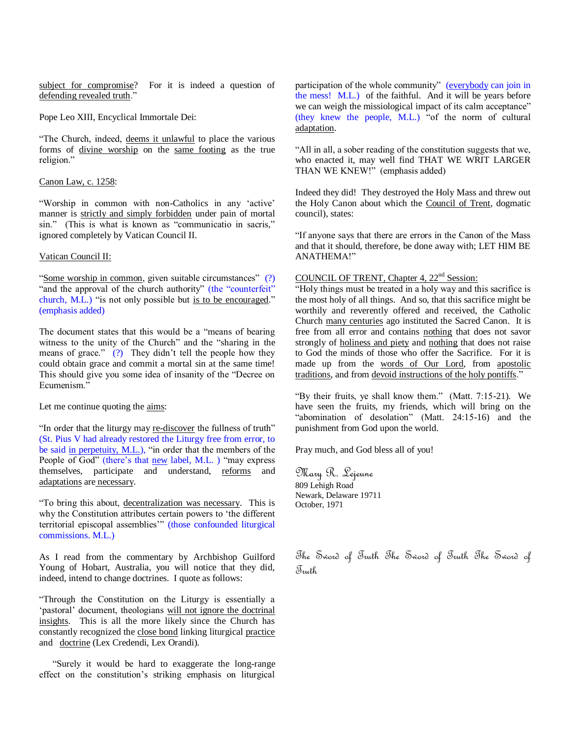subject for compromise? For it is indeed a question of defending revealed truth."

Pope Leo XIII, Encyclical Immortale Dei:

"The Church, indeed, deems it unlawful to place the various forms of divine worship on the same footing as the true religion."

#### Canon Law, c. 1258:

―Worship in common with non-Catholics in any ‗active' manner is strictly and simply forbidden under pain of mortal sin." (This is what is known as "communicatio in sacris," ignored completely by Vatican Council II.

### Vatican Council II:

"Some worship in common, given suitable circumstances" (?) "and the approval of the church authority" (the "counterfeit" church, M.L.) "is not only possible but is to be encouraged." (emphasis added)

The document states that this would be a "means of bearing" witness to the unity of the Church<sup>"</sup> and the "sharing in the means of grace." (?) They didn't tell the people how they could obtain grace and commit a mortal sin at the same time! This should give you some idea of insanity of the "Decree on Ecumenism."

Let me continue quoting the aims:

"In order that the liturgy may re-discover the fullness of truth" (St. Pius V had already restored the Liturgy free from error, to be said in perpetuity, M.L.), "in order that the members of the People of God" (there's that new label, M.L. ) "may express themselves, participate and understand, reforms and adaptations are necessary.

―To bring this about, decentralization was necessary. This is why the Constitution attributes certain powers to 'the different territorial episcopal assemblies'" (those confounded liturgical commissions. M.L.)

As I read from the commentary by Archbishop Guilford Young of Hobart, Australia, you will notice that they did, indeed, intend to change doctrines. I quote as follows:

―Through the Constitution on the Liturgy is essentially a ‗pastoral' document, theologians will not ignore the doctrinal insights. This is all the more likely since the Church has constantly recognized the close bond linking liturgical practice and doctrine (Lex Credendi, Lex Orandi).

―Surely it would be hard to exaggerate the long-range effect on the constitution's striking emphasis on liturgical participation of the whole community" (everybody can join in the mess! M.L.) of the faithful. And it will be years before we can weigh the missiological impact of its calm acceptance" (they knew the people, M.L.) "of the norm of cultural adaptation.

―All in all, a sober reading of the constitution suggests that we, who enacted it, may well find THAT WE WRIT LARGER THAN WE KNEW!" (emphasis added)

Indeed they did! They destroyed the Holy Mass and threw out the Holy Canon about which the Council of Trent, dogmatic council), states:

"If anyone says that there are errors in the Canon of the Mass and that it should, therefore, be done away with; LET HIM BE ANATHEMA!"

# COUNCIL OF TRENT, Chapter 4, 22<sup>nd</sup> Session:

"Holy things must be treated in a holy way and this sacrifice is the most holy of all things. And so, that this sacrifice might be worthily and reverently offered and received, the Catholic Church many centuries ago instituted the Sacred Canon. It is free from all error and contains nothing that does not savor strongly of holiness and piety and nothing that does not raise to God the minds of those who offer the Sacrifice. For it is made up from the words of Our Lord, from apostolic traditions, and from devoid instructions of the holy pontiffs."

"By their fruits, ye shall know them." (Matt.  $7:15-21$ ). We have seen the fruits, my friends, which will bring on the "abomination of desolation" (Matt. 24:15-16) and the punishment from God upon the world.

Pray much, and God bless all of you!

Mary R. Lejeune 809 Lehigh Road Newark, Delaware 19711 October, 1971

The Sword of Truth The Sword of Truth The Sword of Truth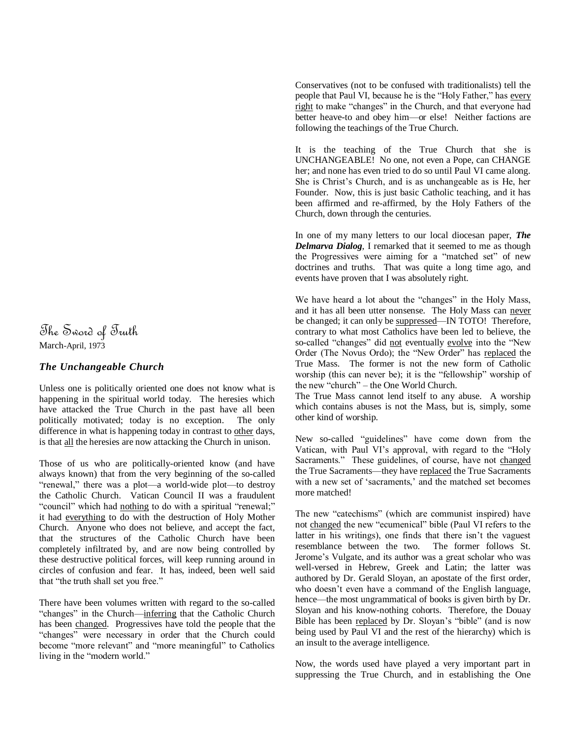The Sword of Truth March-April, 1973

# *The Unchangeable Church*

Unless one is politically oriented one does not know what is happening in the spiritual world today. The heresies which have attacked the True Church in the past have all been politically motivated; today is no exception. The only difference in what is happening today in contrast to other days, is that all the heresies are now attacking the Church in unison.

Those of us who are politically-oriented know (and have always known) that from the very beginning of the so-called "renewal," there was a plot—a world-wide plot—to destroy the Catholic Church. Vatican Council II was a fraudulent "council" which had nothing to do with a spiritual "renewal;" it had everything to do with the destruction of Holy Mother Church. Anyone who does not believe, and accept the fact, that the structures of the Catholic Church have been completely infiltrated by, and are now being controlled by these destructive political forces, will keep running around in circles of confusion and fear. It has, indeed, been well said that "the truth shall set you free."

There have been volumes written with regard to the so-called "changes" in the Church—inferring that the Catholic Church has been changed. Progressives have told the people that the "changes" were necessary in order that the Church could become "more relevant" and "more meaningful" to Catholics living in the "modern world."

Conservatives (not to be confused with traditionalists) tell the people that Paul VI, because he is the "Holy Father," has every right to make "changes" in the Church, and that everyone had better heave-to and obey him—or else! Neither factions are following the teachings of the True Church.

It is the teaching of the True Church that she is UNCHANGEABLE! No one, not even a Pope, can CHANGE her; and none has even tried to do so until Paul VI came along. She is Christ's Church, and is as unchangeable as is He, her Founder. Now, this is just basic Catholic teaching, and it has been affirmed and re-affirmed, by the Holy Fathers of the Church, down through the centuries.

In one of my many letters to our local diocesan paper, *The Delmarva Dialog*, I remarked that it seemed to me as though the Progressives were aiming for a "matched set" of new doctrines and truths. That was quite a long time ago, and events have proven that I was absolutely right.

We have heard a lot about the "changes" in the Holy Mass, and it has all been utter nonsense. The Holy Mass can never be changed; it can only be suppressed—IN TOTO! Therefore, contrary to what most Catholics have been led to believe, the so-called "changes" did not eventually evolve into the "New Order (The Novus Ordo); the "New Order" has replaced the True Mass. The former is not the new form of Catholic worship (this can never be); it is the "fellowship" worship of the new "church" – the One World Church.

The True Mass cannot lend itself to any abuse. A worship which contains abuses is not the Mass, but is, simply, some other kind of worship.

New so-called "guidelines" have come down from the Vatican, with Paul VI's approval, with regard to the "Holy" Sacraments." These guidelines, of course, have not changed the True Sacraments—they have replaced the True Sacraments with a new set of 'sacraments,' and the matched set becomes more matched!

The new "catechisms" (which are communist inspired) have not changed the new "ecumenical" bible (Paul VI refers to the latter in his writings), one finds that there isn't the vaguest resemblance between the two. The former follows St. Jerome's Vulgate, and its author was a great scholar who was well-versed in Hebrew, Greek and Latin; the latter was authored by Dr. Gerald Sloyan, an apostate of the first order, who doesn't even have a command of the English language, hence—the most ungrammatical of books is given birth by Dr. Sloyan and his know-nothing cohorts. Therefore, the Douay Bible has been replaced by Dr. Sloyan's "bible" (and is now being used by Paul VI and the rest of the hierarchy) which is an insult to the average intelligence.

Now, the words used have played a very important part in suppressing the True Church, and in establishing the One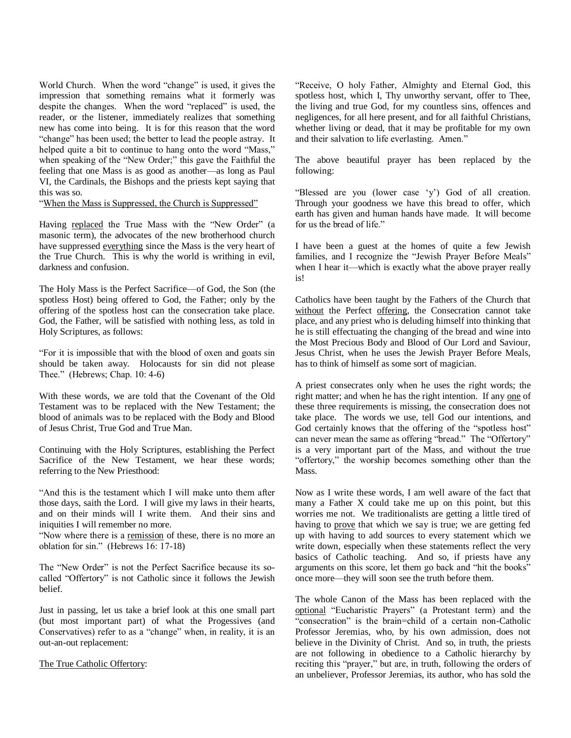World Church. When the word "change" is used, it gives the impression that something remains what it formerly was despite the changes. When the word "replaced" is used, the reader, or the listener, immediately realizes that something new has come into being. It is for this reason that the word "change" has been used; the better to lead the people astray. It helped quite a bit to continue to hang onto the word "Mass," when speaking of the "New Order;" this gave the Faithful the feeling that one Mass is as good as another—as long as Paul VI, the Cardinals, the Bishops and the priests kept saying that this was so.

"When the Mass is Suppressed, the Church is Suppressed"

Having replaced the True Mass with the "New Order" (a masonic term), the advocates of the new brotherhood church have suppressed everything since the Mass is the very heart of the True Church. This is why the world is writhing in evil, darkness and confusion.

The Holy Mass is the Perfect Sacrifice—of God, the Son (the spotless Host) being offered to God, the Father; only by the offering of the spotless host can the consecration take place. God, the Father, will be satisfied with nothing less, as told in Holy Scriptures, as follows:

―For it is impossible that with the blood of oxen and goats sin should be taken away. Holocausts for sin did not please Thee." (Hebrews; Chap.  $10: 4-6$ )

With these words, we are told that the Covenant of the Old Testament was to be replaced with the New Testament; the blood of animals was to be replaced with the Body and Blood of Jesus Christ, True God and True Man.

Continuing with the Holy Scriptures, establishing the Perfect Sacrifice of the New Testament, we hear these words; referring to the New Priesthood:

"And this is the testament which I will make unto them after those days, saith the Lord. I will give my laws in their hearts, and on their minds will I write them. And their sins and iniquities I will remember no more.

―Now where there is a remission of these, there is no more an oblation for sin." (Hebrews 16: 17-18)

The "New Order" is not the Perfect Sacrifice because its socalled "Offertory" is not Catholic since it follows the Jewish belief.

Just in passing, let us take a brief look at this one small part (but most important part) of what the Progessives (and Conservatives) refer to as a "change" when, in reality, it is an out-an-out replacement:

The True Catholic Offertory:

"Receive, O holy Father, Almighty and Eternal God, this spotless host, which I, Thy unworthy servant, offer to Thee, the living and true God, for my countless sins, offences and negligences, for all here present, and for all faithful Christians, whether living or dead, that it may be profitable for my own and their salvation to life everlasting. Amen."

The above beautiful prayer has been replaced by the following:

"Blessed are you (lower case 'y') God of all creation. Through your goodness we have this bread to offer, which earth has given and human hands have made. It will become for us the bread of life."

I have been a guest at the homes of quite a few Jewish families, and I recognize the "Jewish Prayer Before Meals" when I hear it—which is exactly what the above prayer really is!

Catholics have been taught by the Fathers of the Church that without the Perfect offering, the Consecration cannot take place, and any priest who is deluding himself into thinking that he is still effectuating the changing of the bread and wine into the Most Precious Body and Blood of Our Lord and Saviour, Jesus Christ, when he uses the Jewish Prayer Before Meals, has to think of himself as some sort of magician.

A priest consecrates only when he uses the right words; the right matter; and when he has the right intention. If any one of these three requirements is missing, the consecration does not take place. The words we use, tell God our intentions, and God certainly knows that the offering of the "spotless host" can never mean the same as offering "bread." The "Offertory" is a very important part of the Mass, and without the true "offertory," the worship becomes something other than the Mass.

Now as I write these words, I am well aware of the fact that many a Father X could take me up on this point, but this worries me not. We traditionalists are getting a little tired of having to prove that which we say is true; we are getting fed up with having to add sources to every statement which we write down, especially when these statements reflect the very basics of Catholic teaching. And so, if priests have any arguments on this score, let them go back and "hit the books" once more—they will soon see the truth before them.

The whole Canon of the Mass has been replaced with the optional "Eucharistic Prayers" (a Protestant term) and the "consecration" is the brain=child of a certain non-Catholic Professor Jeremias, who, by his own admission, does not believe in the Divinity of Christ. And so, in truth, the priests are not following in obedience to a Catholic hierarchy by reciting this "prayer," but are, in truth, following the orders of an unbeliever, Professor Jeremias, its author, who has sold the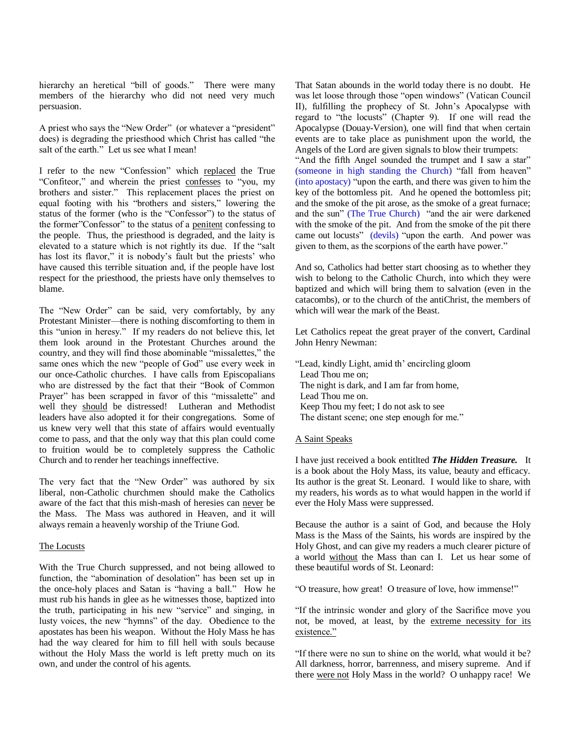hierarchy an heretical "bill of goods." There were many members of the hierarchy who did not need very much persuasion.

A priest who says the "New Order" (or whatever a "president" does) is degrading the priesthood which Christ has called "the salt of the earth." Let us see what I mean!

I refer to the new "Confession" which replaced the True "Confiteor," and wherein the priest confesses to "you, my brothers and sister." This replacement places the priest on equal footing with his "brothers and sisters," lowering the status of the former (who is the "Confessor") to the status of the former"Confessor" to the status of a penitent confessing to the people. Thus, the priesthood is degraded, and the laity is elevated to a stature which is not rightly its due. If the "salt has lost its flavor," it is nobody's fault but the priests' who have caused this terrible situation and, if the people have lost respect for the priesthood, the priests have only themselves to blame.

The "New Order" can be said, very comfortably, by any Protestant Minister—there is nothing discomforting to them in this "union in heresy." If my readers do not believe this, let them look around in the Protestant Churches around the country, and they will find those abominable "missalettes," the same ones which the new "people of God" use every week in our once-Catholic churches. I have calls from Episcopalians who are distressed by the fact that their "Book of Common Prayer" has been scrapped in favor of this "missalette" and well they should be distressed! Lutheran and Methodist leaders have also adopted it for their congregations. Some of us knew very well that this state of affairs would eventually come to pass, and that the only way that this plan could come to fruition would be to completely suppress the Catholic Church and to render her teachings inneffective.

The very fact that the "New Order" was authored by six liberal, non-Catholic churchmen should make the Catholics aware of the fact that this mish-mash of heresies can never be the Mass. The Mass was authored in Heaven, and it will always remain a heavenly worship of the Triune God.

### The Locusts

With the True Church suppressed, and not being allowed to function, the "abomination of desolation" has been set up in the once-holy places and Satan is "having a ball." How he must rub his hands in glee as he witnesses those, baptized into the truth, participating in his new "service" and singing, in lusty voices, the new "hymns" of the day. Obedience to the apostates has been his weapon. Without the Holy Mass he has had the way cleared for him to fill hell with souls because without the Holy Mass the world is left pretty much on its own, and under the control of his agents.

That Satan abounds in the world today there is no doubt. He was let loose through those "open windows" (Vatican Council II), fulfilling the prophecy of St. John's Apocalypse with regard to "the locusts" (Chapter 9). If one will read the Apocalypse (Douay-Version), one will find that when certain events are to take place as punishment upon the world, the Angels of the Lord are given signals to blow their trumpets:

"And the fifth Angel sounded the trumpet and I saw a star" (someone in high standing the Church) "fall from heaven"  $($ into apostacy $)$  "upon the earth, and there was given to him the key of the bottomless pit. And he opened the bottomless pit; and the smoke of the pit arose, as the smoke of a great furnace; and the sun" (The True Church) "and the air were darkened with the smoke of the pit. And from the smoke of the pit there came out locusts" (devils) "upon the earth. And power was given to them, as the scorpions of the earth have power."

And so, Catholics had better start choosing as to whether they wish to belong to the Catholic Church, into which they were baptized and which will bring them to salvation (even in the catacombs), or to the church of the antiChrist, the members of which will wear the mark of the Beast.

Let Catholics repeat the great prayer of the convert, Cardinal John Henry Newman:

―Lead, kindly Light, amid th' encircling gloom Lead Thou me on; The night is dark, and I am far from home, Lead Thou me on. Keep Thou my feet; I do not ask to see The distant scene; one step enough for me."

### A Saint Speaks

I have just received a book entitlted *The Hidden Treasure.* It is a book about the Holy Mass, its value, beauty and efficacy. Its author is the great St. Leonard. I would like to share, with my readers, his words as to what would happen in the world if ever the Holy Mass were suppressed.

Because the author is a saint of God, and because the Holy Mass is the Mass of the Saints, his words are inspired by the Holy Ghost, and can give my readers a much clearer picture of a world without the Mass than can I. Let us hear some of these beautiful words of St. Leonard:

"O treasure, how great! O treasure of love, how immense!"

"If the intrinsic wonder and glory of the Sacrifice move you not, be moved, at least, by the extreme necessity for its existence."

"If there were no sun to shine on the world, what would it be? All darkness, horror, barrenness, and misery supreme. And if there were not Holy Mass in the world? O unhappy race! We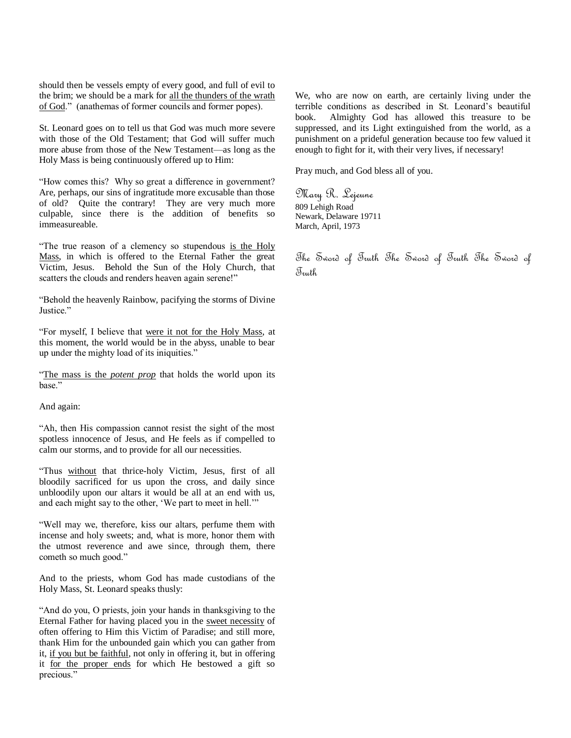should then be vessels empty of every good, and full of evil to the brim; we should be a mark for all the thunders of the wrath of God.‖ (anathemas of former councils and former popes).

St. Leonard goes on to tell us that God was much more severe with those of the Old Testament; that God will suffer much more abuse from those of the New Testament—as long as the Holy Mass is being continuously offered up to Him:

―How comes this? Why so great a difference in government? Are, perhaps, our sins of ingratitude more excusable than those of old? Quite the contrary! They are very much more culpable, since there is the addition of benefits so immeasureable.

"The true reason of a clemency so stupendous is the Holy Mass, in which is offered to the Eternal Father the great Victim, Jesus. Behold the Sun of the Holy Church, that scatters the clouds and renders heaven again serene!"

―Behold the heavenly Rainbow, pacifying the storms of Divine Justice."

―For myself, I believe that were it not for the Holy Mass, at this moment, the world would be in the abyss, unable to bear up under the mighty load of its iniquities."

"The mass is the *potent prop* that holds the world upon its base."

And again:

"Ah, then His compassion cannot resist the sight of the most spotless innocence of Jesus, and He feels as if compelled to calm our storms, and to provide for all our necessities.

―Thus without that thrice-holy Victim, Jesus, first of all bloodily sacrificed for us upon the cross, and daily since unbloodily upon our altars it would be all at an end with us, and each might say to the other, 'We part to meet in hell.'"

"Well may we, therefore, kiss our altars, perfume them with incense and holy sweets; and, what is more, honor them with the utmost reverence and awe since, through them, there cometh so much good."

And to the priests, whom God has made custodians of the Holy Mass, St. Leonard speaks thusly:

"And do you, O priests, join your hands in thanksgiving to the Eternal Father for having placed you in the sweet necessity of often offering to Him this Victim of Paradise; and still more, thank Him for the unbounded gain which you can gather from it, if you but be faithful, not only in offering it, but in offering it for the proper ends for which He bestowed a gift so precious."

We, who are now on earth, are certainly living under the terrible conditions as described in St. Leonard's beautiful book. Almighty God has allowed this treasure to be suppressed, and its Light extinguished from the world, as a punishment on a prideful generation because too few valued it enough to fight for it, with their very lives, if necessary!

Pray much, and God bless all of you.

Mary R. Lejeune 809 Lehigh Road Newark, Delaware 19711 March, April, 1973

The Sword of Truth The Sword of Truth The Sword of Truth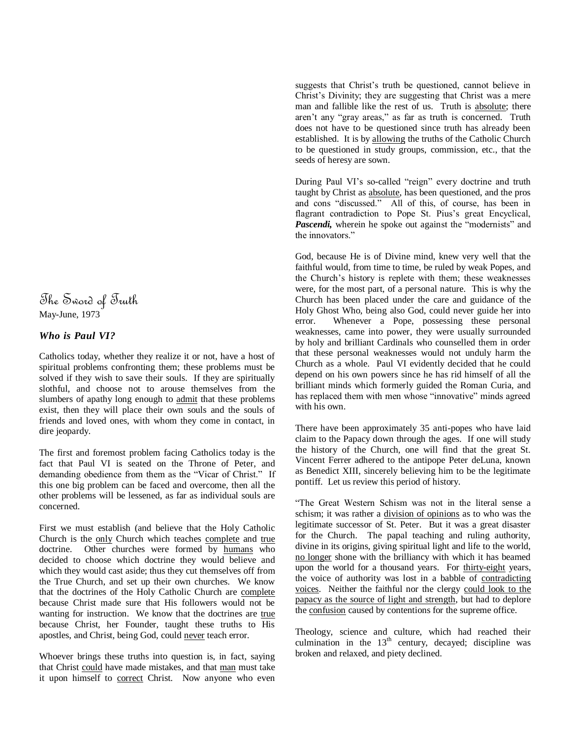The Sword of Truth May-June, 1973

## *Who is Paul VI?*

Catholics today, whether they realize it or not, have a host of spiritual problems confronting them; these problems must be solved if they wish to save their souls. If they are spiritually slothful, and choose not to arouse themselves from the slumbers of apathy long enough to admit that these problems exist, then they will place their own souls and the souls of friends and loved ones, with whom they come in contact, in dire jeopardy.

The first and foremost problem facing Catholics today is the fact that Paul VI is seated on the Throne of Peter, and demanding obedience from them as the "Vicar of Christ." If this one big problem can be faced and overcome, then all the other problems will be lessened, as far as individual souls are concerned.

First we must establish (and believe that the Holy Catholic Church is the only Church which teaches complete and true doctrine. Other churches were formed by humans who decided to choose which doctrine they would believe and which they would cast aside; thus they cut themselves off from the True Church, and set up their own churches. We know that the doctrines of the Holy Catholic Church are complete because Christ made sure that His followers would not be wanting for instruction. We know that the doctrines are true because Christ, her Founder, taught these truths to His apostles, and Christ, being God, could never teach error.

Whoever brings these truths into question is, in fact, saying that Christ could have made mistakes, and that man must take it upon himself to correct Christ. Now anyone who even suggests that Christ's truth be questioned, cannot believe in Christ's Divinity; they are suggesting that Christ was a mere man and fallible like the rest of us. Truth is absolute; there aren't any "gray areas," as far as truth is concerned. Truth does not have to be questioned since truth has already been established. It is by allowing the truths of the Catholic Church to be questioned in study groups, commission, etc., that the seeds of heresy are sown.

During Paul VI's so-called "reign" every doctrine and truth taught by Christ as absolute, has been questioned, and the pros and cons "discussed." All of this, of course, has been in flagrant contradiction to Pope St. Pius's great Encyclical, *Pascendi*, wherein he spoke out against the "modernists" and the innovators."

God, because He is of Divine mind, knew very well that the faithful would, from time to time, be ruled by weak Popes, and the Church's history is replete with them; these weaknesses were, for the most part, of a personal nature. This is why the Church has been placed under the care and guidance of the Holy Ghost Who, being also God, could never guide her into error. Whenever a Pope, possessing these personal weaknesses, came into power, they were usually surrounded by holy and brilliant Cardinals who counselled them in order that these personal weaknesses would not unduly harm the Church as a whole. Paul VI evidently decided that he could depend on his own powers since he has rid himself of all the brilliant minds which formerly guided the Roman Curia, and has replaced them with men whose "innovative" minds agreed with his own.

There have been approximately 35 anti-popes who have laid claim to the Papacy down through the ages. If one will study the history of the Church, one will find that the great St. Vincent Ferrer adhered to the antipope Peter deLuna, known as Benedict XIII, sincerely believing him to be the legitimate pontiff. Let us review this period of history.

―The Great Western Schism was not in the literal sense a schism; it was rather a division of opinions as to who was the legitimate successor of St. Peter. But it was a great disaster for the Church. The papal teaching and ruling authority, divine in its origins, giving spiritual light and life to the world, no longer shone with the brilliancy with which it has beamed upon the world for a thousand years. For thirty-eight years, the voice of authority was lost in a babble of contradicting voices. Neither the faithful nor the clergy could look to the papacy as the source of light and strength, but had to deplore the confusion caused by contentions for the supreme office.

Theology, science and culture, which had reached their culmination in the  $13<sup>th</sup>$  century, decayed; discipline was broken and relaxed, and piety declined.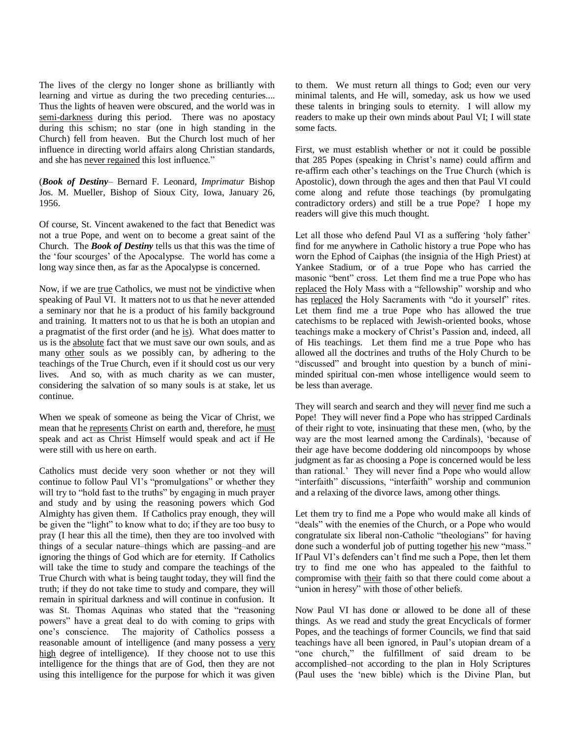The lives of the clergy no longer shone as brilliantly with learning and virtue as during the two preceding centuries.... Thus the lights of heaven were obscured, and the world was in semi-darkness during this period. There was no apostacy during this schism; no star (one in high standing in the Church) fell from heaven. But the Church lost much of her influence in directing world affairs along Christian standards, and she has never regained this lost influence."

(*Book of Destiny*– Bernard F. Leonard, *Imprimatur* Bishop Jos. M. Mueller, Bishop of Sioux City, Iowa, January 26, 1956.

Of course, St. Vincent awakened to the fact that Benedict was not a true Pope, and went on to become a great saint of the Church. The *Book of Destiny* tells us that this was the time of the 'four scourges' of the Apocalypse. The world has come a long way since then, as far as the Apocalypse is concerned.

Now, if we are true Catholics, we must not be vindictive when speaking of Paul VI. It matters not to us that he never attended a seminary nor that he is a product of his family background and training. It matters not to us that he is both an utopian and a pragmatist of the first order (and he is). What does matter to us is the absolute fact that we must save our own souls, and as many other souls as we possibly can, by adhering to the teachings of the True Church, even if it should cost us our very lives. And so, with as much charity as we can muster, considering the salvation of so many souls is at stake, let us continue.

When we speak of someone as being the Vicar of Christ, we mean that he represents Christ on earth and, therefore, he must speak and act as Christ Himself would speak and act if He were still with us here on earth.

Catholics must decide very soon whether or not they will continue to follow Paul VI's "promulgations" or whether they will try to "hold fast to the truths" by engaging in much prayer and study and by using the reasoning powers which God Almighty has given them. If Catholics pray enough, they will be given the "light" to know what to do; if they are too busy to pray (I hear this all the time), then they are too involved with things of a secular nature–things which are passing–and are ignoring the things of God which are for eternity. If Catholics will take the time to study and compare the teachings of the True Church with what is being taught today, they will find the truth; if they do not take time to study and compare, they will remain in spiritual darkness and will continue in confusion. It was St. Thomas Aquinas who stated that the "reasoning powers‖ have a great deal to do with coming to grips with one's conscience. The majority of Catholics possess a reasonable amount of intelligence (and many possess a very high degree of intelligence). If they choose not to use this intelligence for the things that are of God, then they are not using this intelligence for the purpose for which it was given

to them. We must return all things to God; even our very minimal talents, and He will, someday, ask us how we used these talents in bringing souls to eternity. I will allow my readers to make up their own minds about Paul VI; I will state some facts.

First, we must establish whether or not it could be possible that 285 Popes (speaking in Christ's name) could affirm and re-affirm each other's teachings on the True Church (which is Apostolic), down through the ages and then that Paul VI could come along and refute those teachings (by promulgating contradictory orders) and still be a true Pope? I hope my readers will give this much thought.

Let all those who defend Paul VI as a suffering 'holy father' find for me anywhere in Catholic history a true Pope who has worn the Ephod of Caiphas (the insignia of the High Priest) at Yankee Stadium, or of a true Pope who has carried the masonic "bent" cross. Let them find me a true Pope who has replaced the Holy Mass with a "fellowship" worship and who has replaced the Holy Sacraments with "do it yourself" rites. Let them find me a true Pope who has allowed the true catechisms to be replaced with Jewish-oriented books, whose teachings make a mockery of Christ's Passion and, indeed, all of His teachings. Let them find me a true Pope who has allowed all the doctrines and truths of the Holy Church to be "discussed" and brought into question by a bunch of miniminded spiritual con-men whose intelligence would seem to be less than average.

They will search and search and they will never find me such a Pope! They will never find a Pope who has stripped Cardinals of their right to vote, insinuating that these men, (who, by the way are the most learned among the Cardinals), 'because of their age have become doddering old nincompoops by whose judgment as far as choosing a Pope is concerned would be less than rational.' They will never find a Pope who would allow "interfaith" discussions, "interfaith" worship and communion and a relaxing of the divorce laws, among other things.

Let them try to find me a Pope who would make all kinds of "deals" with the enemies of the Church, or a Pope who would congratulate six liberal non-Catholic "theologians" for having done such a wonderful job of putting together his new "mass." If Paul VI's defenders can't find me such a Pope, then let them try to find me one who has appealed to the faithful to compromise with their faith so that there could come about a "union in heresy" with those of other beliefs.

Now Paul VI has done or allowed to be done all of these things. As we read and study the great Encyclicals of former Popes, and the teachings of former Councils, we find that said teachings have all been ignored, in Paul's utopian dream of a "one church," the fulfillment of said dream to be accomplished–not according to the plan in Holy Scriptures (Paul uses the 'new bible) which is the Divine Plan, but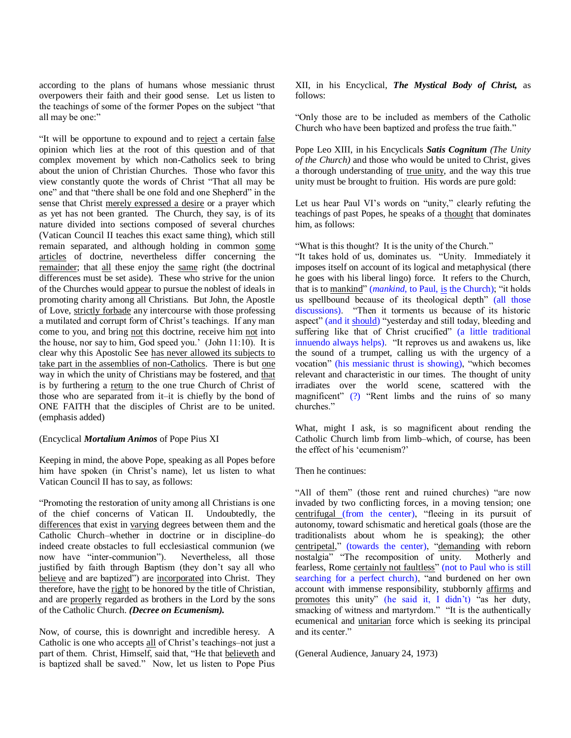according to the plans of humans whose messianic thrust overpowers their faith and their good sense. Let us listen to the teachings of some of the former Popes on the subject "that all may be one:"

"It will be opportune to expound and to reject a certain false opinion which lies at the root of this question and of that complex movement by which non-Catholics seek to bring about the union of Christian Churches. Those who favor this view constantly quote the words of Christ "That all may be one" and that "there shall be one fold and one Shepherd" in the sense that Christ merely expressed a desire or a prayer which as yet has not been granted. The Church, they say, is of its nature divided into sections composed of several churches (Vatican Council II teaches this exact same thing), which still remain separated, and although holding in common some articles of doctrine, nevertheless differ concerning the remainder; that all these enjoy the same right (the doctrinal differences must be set aside). These who strive for the union of the Churches would appear to pursue the noblest of ideals in promoting charity among all Christians. But John, the Apostle of Love, strictly forbade any intercourse with those professing a mutilated and corrupt form of Christ's teachings. If any man come to you, and bring not this doctrine, receive him not into the house, nor say to him, God speed you.' (John 11:10). It is clear why this Apostolic See has never allowed its subjects to take part in the assemblies of non-Catholics. There is but one way in which the unity of Christians may be fostered, and that is by furthering a return to the one true Church of Christ of those who are separated from it–it is chiefly by the bond of ONE FAITH that the disciples of Christ are to be united. (emphasis added)

### (Encyclical *Mortalium Animos* of Pope Pius XI

Keeping in mind, the above Pope, speaking as all Popes before him have spoken (in Christ's name), let us listen to what Vatican Council II has to say, as follows:

―Promoting the restoration of unity among all Christians is one of the chief concerns of Vatican II. Undoubtedly, the differences that exist in varying degrees between them and the Catholic Church–whether in doctrine or in discipline–do indeed create obstacles to full ecclesiastical communion (we now have "inter-communion"). Nevertheless, all those justified by faith through Baptism (they don't say all who believe and are baptized") are incorporated into Christ. They therefore, have the right to be honored by the title of Christian, and are properly regarded as brothers in the Lord by the sons of the Catholic Church. *(Decree on Ecumenism).*

Now, of course, this is downright and incredible heresy. A Catholic is one who accepts all of Christ's teachings–not just a part of them. Christ, Himself, said that, "He that believeth and is baptized shall be saved." Now, let us listen to Pope Pius

XII, in his Encyclical, *The Mystical Body of Christ,* as follows:

―Only those are to be included as members of the Catholic Church who have been baptized and profess the true faith."

Pope Leo XIII, in his Encyclicals *Satis Cognitum (The Unity of the Church)* and those who would be united to Christ, gives a thorough understanding of true unity, and the way this true unity must be brought to fruition. His words are pure gold:

Let us hear Paul VI's words on "unity," clearly refuting the teachings of past Popes, he speaks of a thought that dominates him, as follows:

"What is this thought? It is the unity of the Church."

"It takes hold of us, dominates us. "Unity. Immediately it imposes itself on account of its logical and metaphysical (there he goes with his liberal lingo) force. It refers to the Church, that is to mankind" (*mankind*, to Paul, is the Church); "it holds us spellbound because of its theological depth" (all those discussions). "Then it torments us because of its historic aspect" (and it should) "yesterday and still today, bleeding and suffering like that of Christ crucified" (a little traditional innuendo always helps). "It reproves us and awakens us, like the sound of a trumpet, calling us with the urgency of a vocation" (his messianic thrust is showing), "which becomes relevant and characteristic in our times. The thought of unity irradiates over the world scene, scattered with the magnificent"  $(?)$  "Rent limbs and the ruins of so many churches."

What, might I ask, is so magnificent about rending the Catholic Church limb from limb–which, of course, has been the effect of his 'ecumenism?'

Then he continues:

"All of them" (those rent and ruined churches) "are now invaded by two conflicting forces, in a moving tension; one centrifugal (from the center), "fleeing in its pursuit of autonomy, toward schismatic and heretical goals (those are the traditionalists about whom he is speaking); the other centripetal," (towards the center), "demanding with reborn nostalgia" "The recomposition of unity. Motherly and fearless, Rome certainly not faultless" (not to Paul who is still searching for a perfect church), "and burdened on her own account with immense responsibility, stubbornly affirms and promotes this unity" (he said it, I didn't) "as her duty, smacking of witness and martyrdom." "It is the authentically ecumenical and unitarian force which is seeking its principal and its center."

(General Audience, January 24, 1973)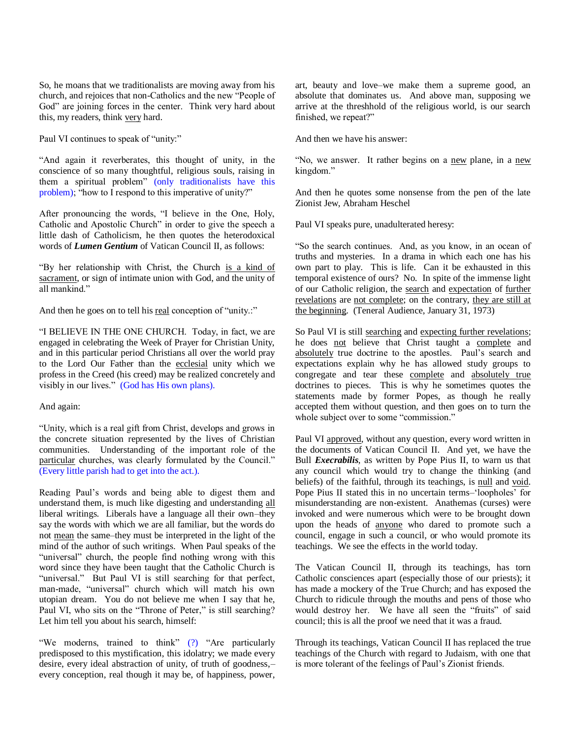So, he moans that we traditionalists are moving away from his church, and rejoices that non-Catholics and the new "People of God" are joining forces in the center. Think very hard about this, my readers, think very hard.

Paul VI continues to speak of "unity:"

"And again it reverberates, this thought of unity, in the conscience of so many thoughtful, religious souls, raising in them a spiritual problem" (only traditionalists have this problem); "how to I respond to this imperative of unity?"

After pronouncing the words, "I believe in the One, Holy, Catholic and Apostolic Church" in order to give the speech a little dash of Catholicism, he then quotes the heterodoxical words of *Lumen Gentium* of Vatican Council II, as follows:

―By her relationship with Christ, the Church is a kind of sacrament, or sign of intimate union with God, and the unity of all mankind."

And then he goes on to tell his real conception of "unity.."

"I BELIEVE IN THE ONE CHURCH. Today, in fact, we are engaged in celebrating the Week of Prayer for Christian Unity, and in this particular period Christians all over the world pray to the Lord Our Father than the ecclesial unity which we profess in the Creed (his creed) may be realized concretely and visibly in our lives." (God has His own plans).

#### And again:

―Unity, which is a real gift from Christ, develops and grows in the concrete situation represented by the lives of Christian communities. Understanding of the important role of the particular churches, was clearly formulated by the Council." (Every little parish had to get into the act.).

Reading Paul's words and being able to digest them and understand them, is much like digesting and understanding all liberal writings. Liberals have a language all their own–they say the words with which we are all familiar, but the words do not mean the same–they must be interpreted in the light of the mind of the author of such writings. When Paul speaks of the "universal" church, the people find nothing wrong with this word since they have been taught that the Catholic Church is "universal." But Paul VI is still searching for that perfect, man-made, "universal" church which will match his own utopian dream. You do not believe me when I say that he, Paul VI, who sits on the "Throne of Peter," is still searching? Let him tell you about his search, himself:

"We moderns, trained to think"  $(?)$  "Are particularly predisposed to this mystification, this idolatry; we made every desire, every ideal abstraction of unity, of truth of goodness,– every conception, real though it may be, of happiness, power,

art, beauty and love–we make them a supreme good, an absolute that dominates us. And above man, supposing we arrive at the threshhold of the religious world, is our search finished, we repeat?"

And then we have his answer:

"No, we answer. It rather begins on a new plane, in a new kingdom."

And then he quotes some nonsense from the pen of the late Zionist Jew, Abraham Heschel

Paul VI speaks pure, unadulterated heresy:

―So the search continues. And, as you know, in an ocean of truths and mysteries. In a drama in which each one has his own part to play. This is life. Can it be exhausted in this temporal existence of ours? No. In spite of the immense light of our Catholic religion, the search and expectation of further revelations are not complete; on the contrary, they are still at the beginning. (Teneral Audience, January 31, 1973)

So Paul VI is still searching and expecting further revelations; he does not believe that Christ taught a complete and absolutely true doctrine to the apostles. Paul's search and expectations explain why he has allowed study groups to congregate and tear these complete and absolutely true doctrines to pieces. This is why he sometimes quotes the statements made by former Popes, as though he really accepted them without question, and then goes on to turn the whole subject over to some "commission."

Paul VI approved, without any question, every word written in the documents of Vatican Council II. And yet, we have the Bull *Execrabilis*, as written by Pope Pius II, to warn us that any council which would try to change the thinking (and beliefs) of the faithful, through its teachings, is null and void. Pope Pius II stated this in no uncertain terms–‗loopholes' for misunderstanding are non-existent. Anathemas (curses) were invoked and were numerous which were to be brought down upon the heads of anyone who dared to promote such a council, engage in such a council, or who would promote its teachings. We see the effects in the world today.

The Vatican Council II, through its teachings, has torn Catholic consciences apart (especially those of our priests); it has made a mockery of the True Church; and has exposed the Church to ridicule through the mouths and pens of those who would destroy her. We have all seen the "fruits" of said council; this is all the proof we need that it was a fraud.

Through its teachings, Vatican Council II has replaced the true teachings of the Church with regard to Judaism, with one that is more tolerant of the feelings of Paul's Zionist friends.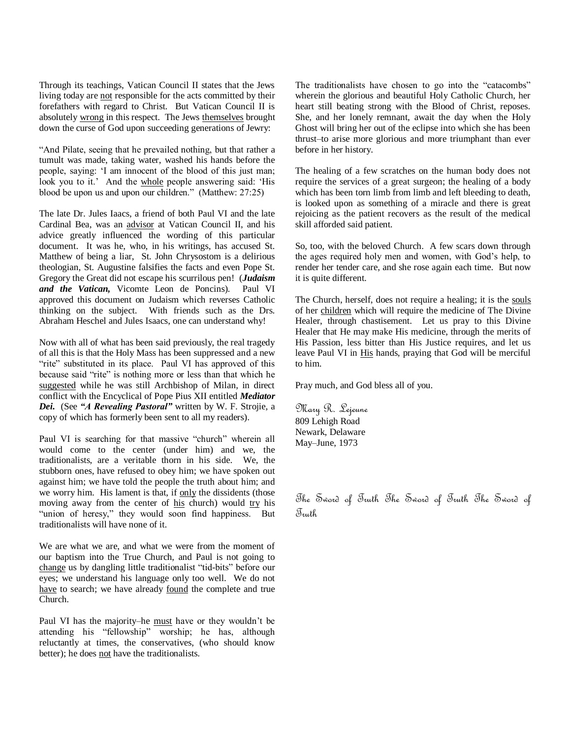Through its teachings, Vatican Council II states that the Jews living today are not responsible for the acts committed by their forefathers with regard to Christ. But Vatican Council II is absolutely wrong in this respect. The Jews themselves brought down the curse of God upon succeeding generations of Jewry:

―And Pilate, seeing that he prevailed nothing, but that rather a tumult was made, taking water, washed his hands before the people, saying: ‗I am innocent of the blood of this just man; look you to it.' And the whole people answering said: 'His blood be upon us and upon our children." (Matthew: 27:25)

The late Dr. Jules Iaacs, a friend of both Paul VI and the late Cardinal Bea, was an advisor at Vatican Council II, and his advice greatly influenced the wording of this particular document. It was he, who, in his writings, has accused St. Matthew of being a liar, St. John Chrysostom is a delirious theologian, St. Augustine falsifies the facts and even Pope St. Gregory the Great did not escape his scurrilous pen! (*Judaism and the Vatican,* Vicomte Leon de Poncins). Paul VI approved this document on Judaism which reverses Catholic thinking on the subject. With friends such as the Drs. Abraham Heschel and Jules Isaacs, one can understand why!

Now with all of what has been said previously, the real tragedy of all this is that the Holy Mass has been suppressed and a new "rite" substituted in its place. Paul VI has approved of this because said "rite" is nothing more or less than that which he suggested while he was still Archbishop of Milan, in direct conflict with the Encyclical of Pope Pius XII entitled *Mediator Dei.* (See *"A Revealing Pastoral"* written by W. F. Strojie, a copy of which has formerly been sent to all my readers).

Paul VI is searching for that massive "church" wherein all would come to the center (under him) and we, the traditionalists, are a veritable thorn in his side. We, the stubborn ones, have refused to obey him; we have spoken out against him; we have told the people the truth about him; and we worry him. His lament is that, if only the dissidents (those moving away from the center of his church) would try his "union of heresy," they would soon find happiness. But traditionalists will have none of it.

We are what we are, and what we were from the moment of our baptism into the True Church, and Paul is not going to change us by dangling little traditionalist "tid-bits" before our eyes; we understand his language only too well. We do not have to search; we have already found the complete and true Church.

Paul VI has the majority–he must have or they wouldn't be attending his "fellowship" worship; he has, although reluctantly at times, the conservatives, (who should know better); he does not have the traditionalists.

The traditionalists have chosen to go into the "catacombs" wherein the glorious and beautiful Holy Catholic Church, her heart still beating strong with the Blood of Christ, reposes. She, and her lonely remnant, await the day when the Holy Ghost will bring her out of the eclipse into which she has been thrust–to arise more glorious and more triumphant than ever before in her history.

The healing of a few scratches on the human body does not require the services of a great surgeon; the healing of a body which has been torn limb from limb and left bleeding to death, is looked upon as something of a miracle and there is great rejoicing as the patient recovers as the result of the medical skill afforded said patient.

So, too, with the beloved Church. A few scars down through the ages required holy men and women, with God's help, to render her tender care, and she rose again each time. But now it is quite different.

The Church, herself, does not require a healing; it is the souls of her children which will require the medicine of The Divine Healer, through chastisement. Let us pray to this Divine Healer that He may make His medicine, through the merits of His Passion, less bitter than His Justice requires, and let us leave Paul VI in His hands, praying that God will be merciful to him.

Pray much, and God bless all of you.

Mary R. Lejeune 809 Lehigh Road Newark, Delaware May–June, 1973

The Sword of Truth The Sword of Truth The Sword of Truth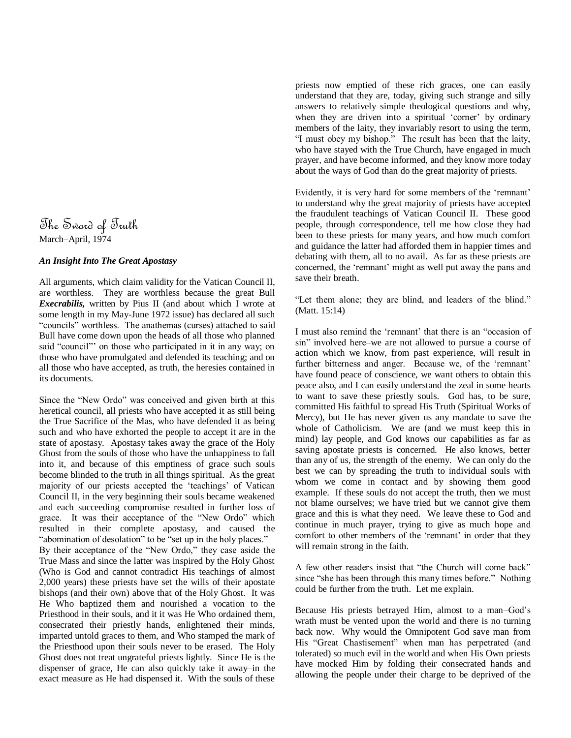# The Sword of Truth March–April, 1974

## *An Insight Into The Great Apostasy*

All arguments, which claim validity for the Vatican Council II, are worthless. They are worthless because the great Bull *Execrabilis,* written by Pius II (and about which I wrote at some length in my May-June 1972 issue) has declared all such "councils" worthless. The anathemas (curses) attached to said Bull have come down upon the heads of all those who planned said "council" on those who participated in it in any way; on those who have promulgated and defended its teaching; and on all those who have accepted, as truth, the heresies contained in its documents.

Since the "New Ordo" was conceived and given birth at this heretical council, all priests who have accepted it as still being the True Sacrifice of the Mas, who have defended it as being such and who have exhorted the people to accept it are in the state of apostasy. Apostasy takes away the grace of the Holy Ghost from the souls of those who have the unhappiness to fall into it, and because of this emptiness of grace such souls become blinded to the truth in all things spiritual. As the great majority of our priests accepted the 'teachings' of Vatican Council II, in the very beginning their souls became weakened and each succeeding compromise resulted in further loss of grace. It was their acceptance of the "New Ordo" which resulted in their complete apostasy, and caused the "abomination of desolation" to be "set up in the holy places." By their acceptance of the "New Ordo," they case aside the True Mass and since the latter was inspired by the Holy Ghost (Who is God and cannot contradict His teachings of almost 2,000 years) these priests have set the wills of their apostate bishops (and their own) above that of the Holy Ghost. It was He Who baptized them and nourished a vocation to the Priesthood in their souls, and it it was He Who ordained them, consecrated their priestly hands, enlightened their minds, imparted untold graces to them, and Who stamped the mark of the Priesthood upon their souls never to be erased. The Holy Ghost does not treat ungrateful priests lightly. Since He is the dispenser of grace, He can also quickly take it away–in the exact measure as He had dispensed it. With the souls of these

priests now emptied of these rich graces, one can easily understand that they are, today, giving such strange and silly answers to relatively simple theological questions and why, when they are driven into a spiritual 'corner' by ordinary members of the laity, they invariably resort to using the term, "I must obey my bishop." The result has been that the laity, who have stayed with the True Church, have engaged in much prayer, and have become informed, and they know more today about the ways of God than do the great majority of priests.

Evidently, it is very hard for some members of the 'remnant' to understand why the great majority of priests have accepted the fraudulent teachings of Vatican Council II. These good people, through correspondence, tell me how close they had been to these priests for many years, and how much comfort and guidance the latter had afforded them in happier times and debating with them, all to no avail. As far as these priests are concerned, the 'remnant' might as well put away the pans and save their breath.

"Let them alone; they are blind, and leaders of the blind." (Matt. 15:14)

I must also remind the 'remnant' that there is an "occasion of sin" involved here–we are not allowed to pursue a course of action which we know, from past experience, will result in further bitterness and anger. Because we, of the 'remnant' have found peace of conscience, we want others to obtain this peace also, and I can easily understand the zeal in some hearts to want to save these priestly souls. God has, to be sure, committed His faithful to spread His Truth (Spiritual Works of Mercy), but He has never given us any mandate to save the whole of Catholicism. We are (and we must keep this in mind) lay people, and God knows our capabilities as far as saving apostate priests is concerned. He also knows, better than any of us, the strength of the enemy. We can only do the best we can by spreading the truth to individual souls with whom we come in contact and by showing them good example. If these souls do not accept the truth, then we must not blame ourselves; we have tried but we cannot give them grace and this is what they need. We leave these to God and continue in much prayer, trying to give as much hope and comfort to other members of the 'remnant' in order that they will remain strong in the faith.

A few other readers insist that "the Church will come back" since "she has been through this many times before." Nothing could be further from the truth. Let me explain.

Because His priests betrayed Him, almost to a man–God's wrath must be vented upon the world and there is no turning back now. Why would the Omnipotent God save man from His "Great Chastisement" when man has perpetrated (and tolerated) so much evil in the world and when His Own priests have mocked Him by folding their consecrated hands and allowing the people under their charge to be deprived of the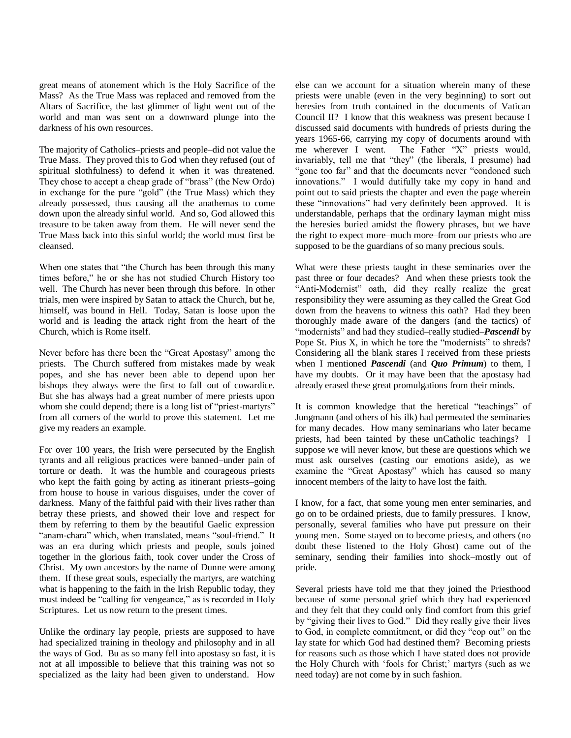great means of atonement which is the Holy Sacrifice of the Mass? As the True Mass was replaced and removed from the Altars of Sacrifice, the last glimmer of light went out of the world and man was sent on a downward plunge into the darkness of his own resources.

The majority of Catholics–priests and people–did not value the True Mass. They proved this to God when they refused (out of spiritual slothfulness) to defend it when it was threatened. They chose to accept a cheap grade of "brass" (the New Ordo) in exchange for the pure "gold" (the True Mass) which they already possessed, thus causing all the anathemas to come down upon the already sinful world. And so, God allowed this treasure to be taken away from them. He will never send the True Mass back into this sinful world; the world must first be cleansed.

When one states that "the Church has been through this many times before," he or she has not studied Church History too well. The Church has never been through this before. In other trials, men were inspired by Satan to attack the Church, but he, himself, was bound in Hell. Today, Satan is loose upon the world and is leading the attack right from the heart of the Church, which is Rome itself.

Never before has there been the "Great Apostasy" among the priests. The Church suffered from mistakes made by weak popes, and she has never been able to depend upon her bishops–they always were the first to fall–out of cowardice. But she has always had a great number of mere priests upon whom she could depend; there is a long list of "priest-martyrs" from all corners of the world to prove this statement. Let me give my readers an example.

For over 100 years, the Irish were persecuted by the English tyrants and all religious practices were banned–under pain of torture or death. It was the humble and courageous priests who kept the faith going by acting as itinerant priests–going from house to house in various disguises, under the cover of darkness. Many of the faithful paid with their lives rather than betray these priests, and showed their love and respect for them by referring to them by the beautiful Gaelic expression "anam-chara" which, when translated, means "soul-friend." It was an era during which priests and people, souls joined together in the glorious faith, took cover under the Cross of Christ. My own ancestors by the name of Dunne were among them. If these great souls, especially the martyrs, are watching what is happening to the faith in the Irish Republic today, they must indeed be "calling for vengeance," as is recorded in Holy Scriptures. Let us now return to the present times.

Unlike the ordinary lay people, priests are supposed to have had specialized training in theology and philosophy and in all the ways of God. Bu as so many fell into apostasy so fast, it is not at all impossible to believe that this training was not so specialized as the laity had been given to understand. How else can we account for a situation wherein many of these priests were unable (even in the very beginning) to sort out heresies from truth contained in the documents of Vatican Council II? I know that this weakness was present because I discussed said documents with hundreds of priests during the years 1965-66, carrying my copy of documents around with me wherever I went. The Father "X" priests would, The Father "X" priests would, invariably, tell me that "they" (the liberals, I presume) had "gone too far" and that the documents never "condoned such innovations." I would dutifully take my copy in hand and point out to said priests the chapter and even the page wherein these "innovations" had very definitely been approved. It is understandable, perhaps that the ordinary layman might miss the heresies buried amidst the flowery phrases, but we have the right to expect more–much more–from our priests who are supposed to be the guardians of so many precious souls.

What were these priests taught in these seminaries over the past three or four decades? And when these priests took the "Anti-Modernist" oath, did they really realize the great responsibility they were assuming as they called the Great God down from the heavens to witness this oath? Had they been thoroughly made aware of the dangers (and the tactics) of ―modernists‖ and had they studied–really studied–*Pascendi* by Pope St. Pius  $X$ , in which he tore the "modernists" to shreds? Considering all the blank stares I received from these priests when I mentioned *Pascendi* (and *Quo Primum*) to them, I have my doubts. Or it may have been that the apostasy had already erased these great promulgations from their minds.

It is common knowledge that the heretical "teachings" of Jungmann (and others of his ilk) had permeated the seminaries for many decades. How many seminarians who later became priests, had been tainted by these unCatholic teachings? I suppose we will never know, but these are questions which we must ask ourselves (casting our emotions aside), as we examine the "Great Apostasy" which has caused so many innocent members of the laity to have lost the faith.

I know, for a fact, that some young men enter seminaries, and go on to be ordained priests, due to family pressures. I know, personally, several families who have put pressure on their young men. Some stayed on to become priests, and others (no doubt these listened to the Holy Ghost) came out of the seminary, sending their families into shock–mostly out of pride.

Several priests have told me that they joined the Priesthood because of some personal grief which they had experienced and they felt that they could only find comfort from this grief by "giving their lives to God." Did they really give their lives to God, in complete commitment, or did they "cop out" on the lay state for which God had destined them? Becoming priests for reasons such as those which I have stated does not provide the Holy Church with 'fools for Christ;' martyrs (such as we need today) are not come by in such fashion.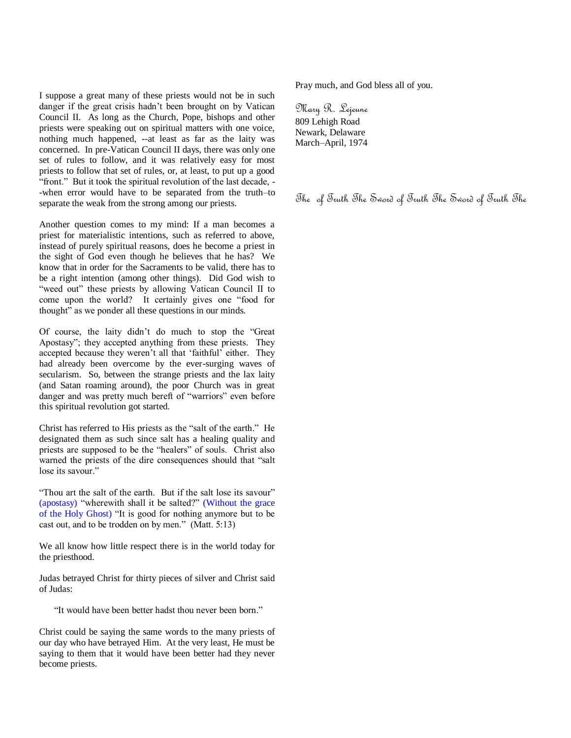I suppose a great many of these priests would not be in such danger if the great crisis hadn't been brought on by Vatican Council II. As long as the Church, Pope, bishops and other priests were speaking out on spiritual matters with one voice, nothing much happened, --at least as far as the laity was concerned. In pre-Vatican Council II days, there was only one set of rules to follow, and it was relatively easy for most priests to follow that set of rules, or, at least, to put up a good "front." But it took the spiritual revolution of the last decade, --when error would have to be separated from the truth–to separate the weak from the strong among our priests.

Another question comes to my mind: If a man becomes a priest for materialistic intentions, such as referred to above, instead of purely spiritual reasons, does he become a priest in the sight of God even though he believes that he has? We know that in order for the Sacraments to be valid, there has to be a right intention (among other things). Did God wish to "weed out" these priests by allowing Vatican Council II to come upon the world? It certainly gives one "food for thought" as we ponder all these questions in our minds.

Of course, the laity didn't do much to stop the "Great" Apostasy"; they accepted anything from these priests. They accepted because they weren't all that 'faithful' either. They had already been overcome by the ever-surging waves of secularism. So, between the strange priests and the lax laity (and Satan roaming around), the poor Church was in great danger and was pretty much bereft of "warriors" even before this spiritual revolution got started.

Christ has referred to His priests as the "salt of the earth." He designated them as such since salt has a healing quality and priests are supposed to be the "healers" of souls. Christ also warned the priests of the dire consequences should that "salt lose its sayour."

"Thou art the salt of the earth. But if the salt lose its savour" (apostasy) "wherewith shall it be salted?" (Without the grace of the Holy Ghost) "It is good for nothing anymore but to be cast out, and to be trodden on by men." (Matt.  $5:13$ )

We all know how little respect there is in the world today for the priesthood.

Judas betrayed Christ for thirty pieces of silver and Christ said of Judas:

"It would have been better hadst thou never been born."

Christ could be saying the same words to the many priests of our day who have betrayed Him. At the very least, He must be saying to them that it would have been better had they never become priests.

Pray much, and God bless all of you.

Mary R. Lejeune 809 Lehigh Road Newark, Delaware March–April, 1974

The of Truth The Sword of Truth The Sword of Truth The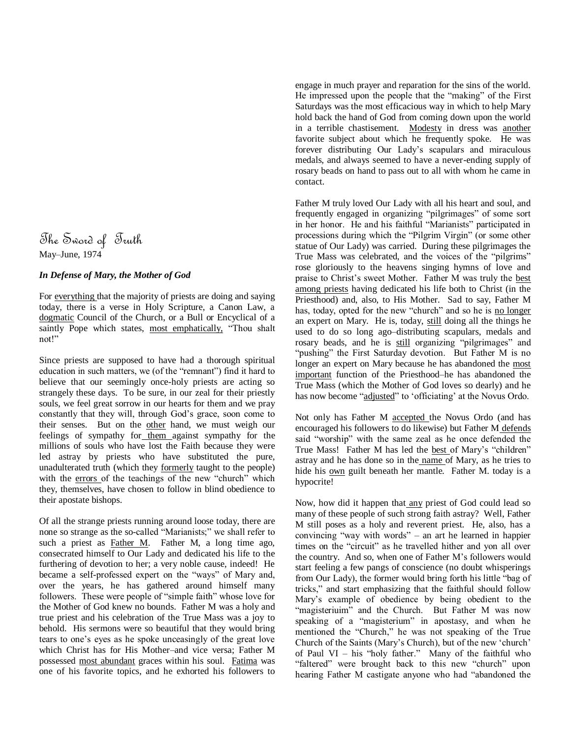# The Sword of Truth May–June, 1974

## *In Defense of Mary, the Mother of God*

For everything that the majority of priests are doing and saying today, there is a verse in Holy Scripture, a Canon Law, a dogmatic Council of the Church, or a Bull or Encyclical of a saintly Pope which states, most emphatically, "Thou shalt not!"

Since priests are supposed to have had a thorough spiritual education in such matters, we (of the "remnant") find it hard to believe that our seemingly once-holy priests are acting so strangely these days. To be sure, in our zeal for their priestly souls, we feel great sorrow in our hearts for them and we pray constantly that they will, through God's grace, soon come to their senses. But on the other hand, we must weigh our feelings of sympathy for them against sympathy for the millions of souls who have lost the Faith because they were led astray by priests who have substituted the pure, unadulterated truth (which they formerly taught to the people) with the errors of the teachings of the new "church" which they, themselves, have chosen to follow in blind obedience to their apostate bishops.

Of all the strange priests running around loose today, there are none so strange as the so-called "Marianists;" we shall refer to such a priest as Father M. Father M, a long time ago, consecrated himself to Our Lady and dedicated his life to the furthering of devotion to her; a very noble cause, indeed! He became a self-professed expert on the "ways" of Mary and, over the years, he has gathered around himself many followers. These were people of "simple faith" whose love for the Mother of God knew no bounds. Father M was a holy and true priest and his celebration of the True Mass was a joy to behold. His sermons were so beautiful that they would bring tears to one's eyes as he spoke unceasingly of the great love which Christ has for His Mother–and vice versa; Father M possessed most abundant graces within his soul. Fatima was one of his favorite topics, and he exhorted his followers to engage in much prayer and reparation for the sins of the world. He impressed upon the people that the "making" of the First Saturdays was the most efficacious way in which to help Mary hold back the hand of God from coming down upon the world in a terrible chastisement. Modesty in dress was another favorite subject about which he frequently spoke. He was forever distributing Our Lady's scapulars and miraculous medals, and always seemed to have a never-ending supply of rosary beads on hand to pass out to all with whom he came in contact.

Father M truly loved Our Lady with all his heart and soul, and frequently engaged in organizing "pilgrimages" of some sort in her honor. He and his faithful "Marianists" participated in processions during which the "Pilgrim Virgin" (or some other statue of Our Lady) was carried. During these pilgrimages the True Mass was celebrated, and the voices of the "pilgrims" rose gloriously to the heavens singing hymns of love and praise to Christ's sweet Mother. Father M was truly the best among priests having dedicated his life both to Christ (in the Priesthood) and, also, to His Mother. Sad to say, Father M has, today, opted for the new "church" and so he is no longer an expert on Mary. He is, today, still doing all the things he used to do so long ago–distributing scapulars, medals and rosary beads, and he is still organizing "pilgrimages" and "pushing" the First Saturday devotion. But Father M is no longer an expert on Mary because he has abandoned the most important function of the Priesthood–he has abandoned the True Mass (which the Mother of God loves so dearly) and he has now become "adjusted" to 'officiating' at the Novus Ordo.

Not only has Father M accepted the Novus Ordo (and has encouraged his followers to do likewise) but Father M defends said "worship" with the same zeal as he once defended the True Mass! Father M has led the best of Mary's "children" astray and he has done so in the name of Mary, as he tries to hide his own guilt beneath her mantle. Father M. today is a hypocrite!

Now, how did it happen that any priest of God could lead so many of these people of such strong faith astray? Well, Father M still poses as a holy and reverent priest. He, also, has a convincing "way with words" – an art he learned in happier times on the "circuit" as he travelled hither and yon all over the country. And so, when one of Father M's followers would start feeling a few pangs of conscience (no doubt whisperings from Our Lady), the former would bring forth his little "bag of tricks," and start emphasizing that the faithful should follow Mary's example of obedience by being obedient to the "magisteriuim" and the Church. But Father M was now speaking of a "magisterium" in apostasy, and when he mentioned the "Church," he was not speaking of the True Church of the Saints (Mary's Church), but of the new ‗church' of Paul VI – his "holy father." Many of the faithful who "faltered" were brought back to this new "church" upon hearing Father M castigate anyone who had "abandoned the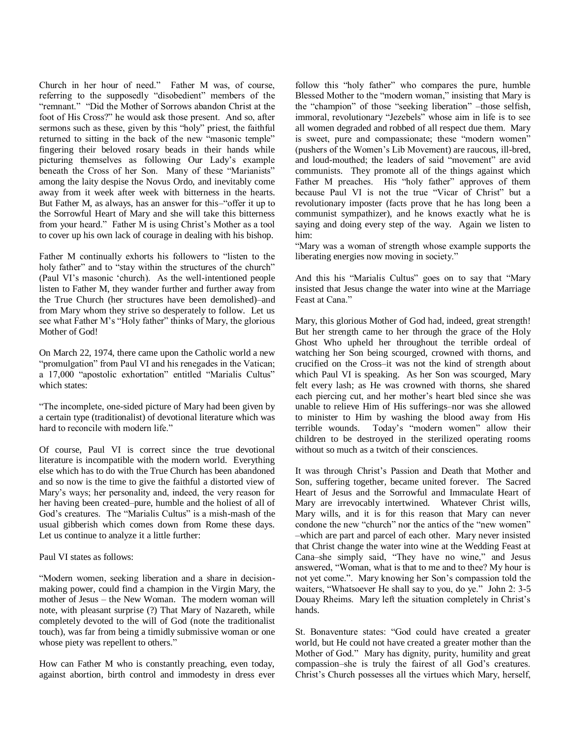Church in her hour of need." Father M was, of course, referring to the supposedly "disobedient" members of the "remnant." "Did the Mother of Sorrows abandon Christ at the foot of His Cross?" he would ask those present. And so, after sermons such as these, given by this "holy" priest, the faithful returned to sitting in the back of the new "masonic temple" fingering their beloved rosary beads in their hands while picturing themselves as following Our Lady's example beneath the Cross of her Son. Many of these "Marianists" among the laity despise the Novus Ordo, and inevitably come away from it week after week with bitterness in the hearts. But Father M, as always, has an answer for this–"offer it up to the Sorrowful Heart of Mary and she will take this bitterness from your heard." Father M is using Christ's Mother as a tool to cover up his own lack of courage in dealing with his bishop.

Father M continually exhorts his followers to "listen to the holy father" and to "stay within the structures of the church" (Paul VI's masonic ‗church). As the well-intentioned people listen to Father M, they wander further and further away from the True Church (her structures have been demolished)–and from Mary whom they strive so desperately to follow. Let us see what Father M's "Holy father" thinks of Mary, the glorious Mother of God!

On March 22, 1974, there came upon the Catholic world a new "promulgation" from Paul VI and his renegades in the Vatican; a 17,000 "apostolic exhortation" entitled "Marialis Cultus" which states:

―The incomplete, one-sided picture of Mary had been given by a certain type (traditionalist) of devotional literature which was hard to reconcile with modern life."

Of course, Paul VI is correct since the true devotional literature is incompatible with the modern world. Everything else which has to do with the True Church has been abandoned and so now is the time to give the faithful a distorted view of Mary's ways; her personality and, indeed, the very reason for her having been created–pure, humble and the holiest of all of God's creatures. The "Marialis Cultus" is a mish-mash of the usual gibberish which comes down from Rome these days. Let us continue to analyze it a little further:

Paul VI states as follows:

"Modern women, seeking liberation and a share in decisionmaking power, could find a champion in the Virgin Mary, the mother of Jesus – the New Woman. The modern woman will note, with pleasant surprise (?) That Mary of Nazareth, while completely devoted to the will of God (note the traditionalist touch), was far from being a timidly submissive woman or one whose piety was repellent to others."

How can Father M who is constantly preaching, even today, against abortion, birth control and immodesty in dress ever follow this "holy father" who compares the pure, humble Blessed Mother to the "modern woman," insisting that Mary is the "champion" of those "seeking liberation" –those selfish, immoral, revolutionary "Jezebels" whose aim in life is to see all women degraded and robbed of all respect due them. Mary is sweet, pure and compassionate; these "modern women" (pushers of the Women's Lib Movement) are raucous, ill-bred, and loud-mouthed; the leaders of said "movement" are avid communists. They promote all of the things against which Father M preaches. His "holy father" approves of them because Paul VI is not the true "Vicar of Christ" but a revolutionary imposter (facts prove that he has long been a communist sympathizer), and he knows exactly what he is saying and doing every step of the way. Again we listen to him:

―Mary was a woman of strength whose example supports the liberating energies now moving in society."

And this his "Marialis Cultus" goes on to say that "Mary insisted that Jesus change the water into wine at the Marriage Feast at Cana."

Mary, this glorious Mother of God had, indeed, great strength! But her strength came to her through the grace of the Holy Ghost Who upheld her throughout the terrible ordeal of watching her Son being scourged, crowned with thorns, and crucified on the Cross–it was not the kind of strength about which Paul VI is speaking. As her Son was scourged, Mary felt every lash; as He was crowned with thorns, she shared each piercing cut, and her mother's heart bled since she was unable to relieve Him of His sufferings–nor was she allowed to minister to Him by washing the blood away from His terrible wounds. Today's "modern women" allow their children to be destroyed in the sterilized operating rooms without so much as a twitch of their consciences.

It was through Christ's Passion and Death that Mother and Son, suffering together, became united forever. The Sacred Heart of Jesus and the Sorrowful and Immaculate Heart of Mary are irrevocably intertwined. Whatever Christ wills, Mary wills, and it is for this reason that Mary can never condone the new "church" nor the antics of the "new women" –which are part and parcel of each other. Mary never insisted that Christ change the water into wine at the Wedding Feast at Cana–she simply said, "They have no wine," and Jesus answered, "Woman, what is that to me and to thee? My hour is not yet come.". Mary knowing her Son's compassion told the waiters, "Whatsoever He shall say to you, do ye." John 2: 3-5 Douay Rheims. Mary left the situation completely in Christ's hands.

St. Bonaventure states: "God could have created a greater world, but He could not have created a greater mother than the Mother of God." Mary has dignity, purity, humility and great compassion–she is truly the fairest of all God's creatures. Christ's Church possesses all the virtues which Mary, herself,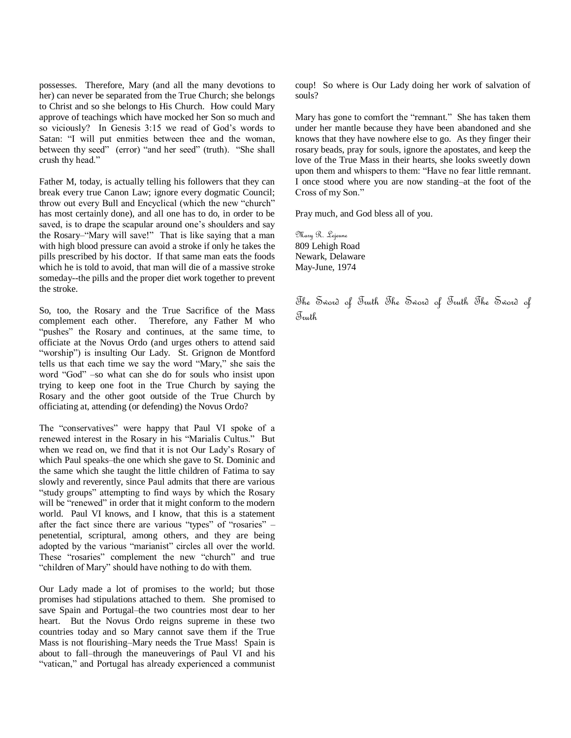possesses. Therefore, Mary (and all the many devotions to her) can never be separated from the True Church; she belongs to Christ and so she belongs to His Church. How could Mary approve of teachings which have mocked her Son so much and so viciously? In Genesis 3:15 we read of God's words to Satan: "I will put enmities between thee and the woman, between thy seed" (error) "and her seed" (truth). "She shall crush thy head."

Father M, today, is actually telling his followers that they can break every true Canon Law; ignore every dogmatic Council; throw out every Bull and Encyclical (which the new "church" has most certainly done), and all one has to do, in order to be saved, is to drape the scapular around one's shoulders and say the Rosary-"Mary will save!" That is like saying that a man with high blood pressure can avoid a stroke if only he takes the pills prescribed by his doctor. If that same man eats the foods which he is told to avoid, that man will die of a massive stroke someday--the pills and the proper diet work together to prevent the stroke.

So, too, the Rosary and the True Sacrifice of the Mass complement each other. Therefore, any Father M who "pushes" the Rosary and continues, at the same time, to officiate at the Novus Ordo (and urges others to attend said "worship") is insulting Our Lady. St. Grignon de Montford tells us that each time we say the word "Mary," she sais the word "God" –so what can she do for souls who insist upon trying to keep one foot in the True Church by saying the Rosary and the other goot outside of the True Church by officiating at, attending (or defending) the Novus Ordo?

The "conservatives" were happy that Paul VI spoke of a renewed interest in the Rosary in his "Marialis Cultus." But when we read on, we find that it is not Our Lady's Rosary of which Paul speaks–the one which she gave to St. Dominic and the same which she taught the little children of Fatima to say slowly and reverently, since Paul admits that there are various "study groups" attempting to find ways by which the Rosary will be "renewed" in order that it might conform to the modern world. Paul VI knows, and I know, that this is a statement after the fact since there are various "types" of "rosaries"  $$ penetential, scriptural, among others, and they are being adopted by the various "marianist" circles all over the world. These "rosaries" complement the new "church" and true "children of Mary" should have nothing to do with them.

Our Lady made a lot of promises to the world; but those promises had stipulations attached to them. She promised to save Spain and Portugal–the two countries most dear to her heart. But the Novus Ordo reigns supreme in these two countries today and so Mary cannot save them if the True Mass is not flourishing–Mary needs the True Mass! Spain is about to fall–through the maneuverings of Paul VI and his "vatican," and Portugal has already experienced a communist coup! So where is Our Lady doing her work of salvation of souls?

Mary has gone to comfort the "remnant." She has taken them under her mantle because they have been abandoned and she knows that they have nowhere else to go. As they finger their rosary beads, pray for souls, ignore the apostates, and keep the love of the True Mass in their hearts, she looks sweetly down upon them and whispers to them: "Have no fear little remnant. I once stood where you are now standing–at the foot of the Cross of my Son."

Pray much, and God bless all of you.

Mary R. Lejeune 809 Lehigh Road Newark, Delaware May-June, 1974

The Sword of Truth The Sword of Truth The Sword of Truth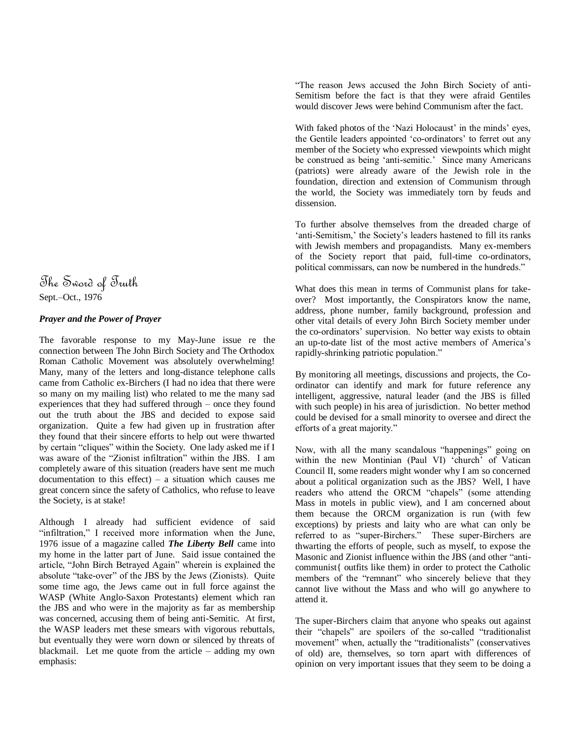# The Sword of Truth Sept.–Oct., 1976

# *Prayer and the Power of Prayer*

The favorable response to my May-June issue re the connection between The John Birch Society and The Orthodox Roman Catholic Movement was absolutely overwhelming! Many, many of the letters and long-distance telephone calls came from Catholic ex-Birchers (I had no idea that there were so many on my mailing list) who related to me the many sad experiences that they had suffered through – once they found out the truth about the JBS and decided to expose said organization. Quite a few had given up in frustration after they found that their sincere efforts to help out were thwarted by certain "cliques" within the Society. One lady asked me if I was aware of the "Zionist infiltration" within the JBS. I am completely aware of this situation (readers have sent me much documentation to this effect) – a situation which causes me great concern since the safety of Catholics, who refuse to leave the Society, is at stake!

Although I already had sufficient evidence of said "infiltration," I received more information when the June, 1976 issue of a magazine called *The Liberty Bell* came into my home in the latter part of June. Said issue contained the article, "John Birch Betrayed Again" wherein is explained the absolute "take-over" of the JBS by the Jews (Zionists). Quite some time ago, the Jews came out in full force against the WASP (White Anglo-Saxon Protestants) element which ran the JBS and who were in the majority as far as membership was concerned, accusing them of being anti-Semitic. At first, the WASP leaders met these smears with vigorous rebuttals, but eventually they were worn down or silenced by threats of blackmail. Let me quote from the article – adding my own emphasis:

―The reason Jews accused the John Birch Society of anti-Semitism before the fact is that they were afraid Gentiles would discover Jews were behind Communism after the fact.

With faked photos of the 'Nazi Holocaust' in the minds' eyes, the Gentile leaders appointed 'co-ordinators' to ferret out any member of the Society who expressed viewpoints which might be construed as being 'anti-semitic.' Since many Americans (patriots) were already aware of the Jewish role in the foundation, direction and extension of Communism through the world, the Society was immediately torn by feuds and dissension.

To further absolve themselves from the dreaded charge of 'anti-Semitism,' the Society's leaders hastened to fill its ranks with Jewish members and propagandists. Many ex-members of the Society report that paid, full-time co-ordinators, political commissars, can now be numbered in the hundreds."

What does this mean in terms of Communist plans for takeover? Most importantly, the Conspirators know the name, address, phone number, family background, profession and other vital details of every John Birch Society member under the co-ordinators' supervision. No better way exists to obtain an up-to-date list of the most active members of America's rapidly-shrinking patriotic population."

By monitoring all meetings, discussions and projects, the Coordinator can identify and mark for future reference any intelligent, aggressive, natural leader (and the JBS is filled with such people) in his area of jurisdiction. No better method could be devised for a small minority to oversee and direct the efforts of a great majority."

Now, with all the many scandalous "happenings" going on within the new Montinian (Paul VI) 'church' of Vatican Council II, some readers might wonder why I am so concerned about a political organization such as the JBS? Well, I have readers who attend the ORCM "chapels" (some attending Mass in motels in public view), and I am concerned about them because the ORCM organization is run (with few exceptions) by priests and laity who are what can only be referred to as "super-Birchers." These super-Birchers are thwarting the efforts of people, such as myself, to expose the Masonic and Zionist influence within the JBS (and other "anticommunist{ outfits like them) in order to protect the Catholic members of the "remnant" who sincerely believe that they cannot live without the Mass and who will go anywhere to attend it.

The super-Birchers claim that anyone who speaks out against their "chapels" are spoilers of the so-called "traditionalist" movement" when, actually the "traditionalists" (conservatives of old) are, themselves, so torn apart with differences of opinion on very important issues that they seem to be doing a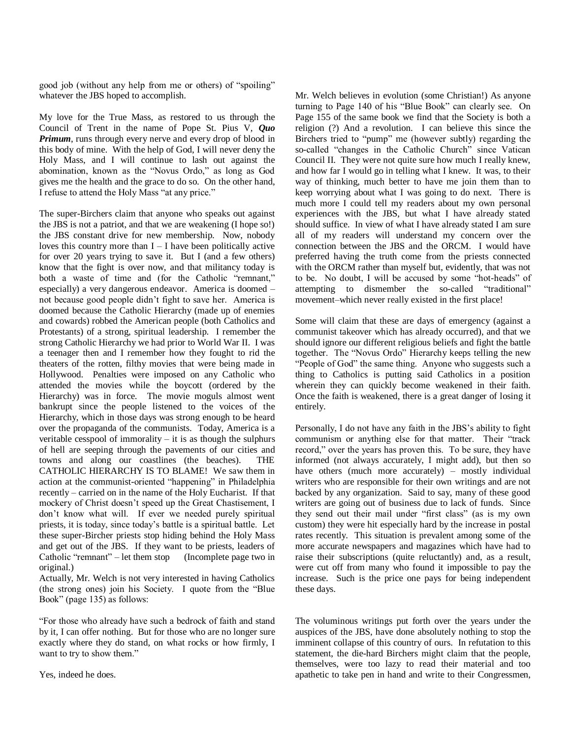good job (without any help from me or others) of "spoiling" whatever the JBS hoped to accomplish.

My love for the True Mass, as restored to us through the Council of Trent in the name of Pope St. Pius V, *Quo Primum*, runs through every nerve and every drop of blood in this body of mine. With the help of God, I will never deny the Holy Mass, and I will continue to lash out against the abomination, known as the "Novus Ordo," as long as God gives me the health and the grace to do so. On the other hand, I refuse to attend the Holy Mass "at any price."

The super-Birchers claim that anyone who speaks out against the JBS is not a patriot, and that we are weakening (I hope so!) the JBS constant drive for new membership. Now, nobody loves this country more than  $I - I$  have been politically active for over 20 years trying to save it. But I (and a few others) know that the fight is over now, and that militancy today is both a waste of time and (for the Catholic "remnant," especially) a very dangerous endeavor. America is doomed – not because good people didn't fight to save her. America is doomed because the Catholic Hierarchy (made up of enemies and cowards) robbed the American people (both Catholics and Protestants) of a strong, spiritual leadership. I remember the strong Catholic Hierarchy we had prior to World War II. I was a teenager then and I remember how they fought to rid the theaters of the rotten, filthy movies that were being made in Hollywood. Penalties were imposed on any Catholic who attended the movies while the boycott (ordered by the Hierarchy) was in force. The movie moguls almost went bankrupt since the people listened to the voices of the Hierarchy, which in those days was strong enough to be heard over the propaganda of the communists. Today, America is a veritable cesspool of immorality  $-$  it is as though the sulphurs of hell are seeping through the pavements of our cities and towns and along our coastlines (the beaches). THE CATHOLIC HIERARCHY IS TO BLAME! We saw them in action at the communist-oriented "happening" in Philadelphia recently – carried on in the name of the Holy Eucharist. If that mockery of Christ doesn't speed up the Great Chastisement, I don't know what will. If ever we needed purely spiritual priests, it is today, since today's battle is a spiritual battle. Let these super-Bircher priests stop hiding behind the Holy Mass and get out of the JBS. If they want to be priests, leaders of Catholic "remnant" – let them stop (Incomplete page two in original.)

Actually, Mr. Welch is not very interested in having Catholics (the strong ones) join his Society. I quote from the "Blue Book" (page 135) as follows:

―For those who already have such a bedrock of faith and stand by it, I can offer nothing. But for those who are no longer sure exactly where they do stand, on what rocks or how firmly, I want to try to show them."

Yes, indeed he does.

Mr. Welch believes in evolution (some Christian!) As anyone turning to Page 140 of his "Blue Book" can clearly see. On Page 155 of the same book we find that the Society is both a religion (?) And a revolution. I can believe this since the Birchers tried to "pump" me (however subtly) regarding the so-called "changes in the Catholic Church" since Vatican Council II. They were not quite sure how much I really knew, and how far I would go in telling what I knew. It was, to their way of thinking, much better to have me join them than to keep worrying about what I was going to do next. There is much more I could tell my readers about my own personal experiences with the JBS, but what I have already stated should suffice. In view of what I have already stated I am sure all of my readers will understand my concern over the connection between the JBS and the ORCM. I would have preferred having the truth come from the priests connected with the ORCM rather than myself but, evidently, that was not to be. No doubt, I will be accused by some "hot-heads" of attempting to dismember the so-called "traditional" movement–which never really existed in the first place!

Some will claim that these are days of emergency (against a communist takeover which has already occurred), and that we should ignore our different religious beliefs and fight the battle together. The "Novus Ordo" Hierarchy keeps telling the new "People of God" the same thing. Anyone who suggests such a thing to Catholics is putting said Catholics in a position wherein they can quickly become weakened in their faith. Once the faith is weakened, there is a great danger of losing it entirely.

Personally, I do not have any faith in the JBS's ability to fight communism or anything else for that matter. Their "track record," over the years has proven this. To be sure, they have informed (not always accurately, I might add), but then so have others (much more accurately) – mostly individual writers who are responsible for their own writings and are not backed by any organization. Said to say, many of these good writers are going out of business due to lack of funds. Since they send out their mail under "first class" (as is my own custom) they were hit especially hard by the increase in postal rates recently. This situation is prevalent among some of the more accurate newspapers and magazines which have had to raise their subscriptions (quite reluctantly) and, as a result, were cut off from many who found it impossible to pay the increase. Such is the price one pays for being independent these days.

The voluminous writings put forth over the years under the auspices of the JBS, have done absolutely nothing to stop the imminent collapse of this country of ours. In refutation to this statement, the die-hard Birchers might claim that the people, themselves, were too lazy to read their material and too apathetic to take pen in hand and write to their Congressmen,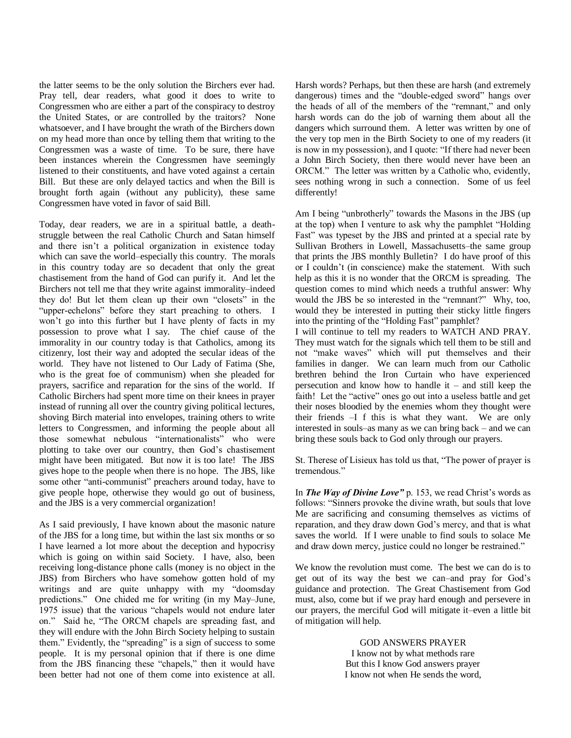the latter seems to be the only solution the Birchers ever had. Pray tell, dear readers, what good it does to write to Congressmen who are either a part of the conspiracy to destroy the United States, or are controlled by the traitors? None whatsoever, and I have brought the wrath of the Birchers down on my head more than once by telling them that writing to the Congressmen was a waste of time. To be sure, there have been instances wherein the Congressmen have seemingly listened to their constituents, and have voted against a certain Bill. But these are only delayed tactics and when the Bill is brought forth again (without any publicity), these same Congressmen have voted in favor of said Bill.

Today, dear readers, we are in a spiritual battle, a deathstruggle between the real Catholic Church and Satan himself and there isn't a political organization in existence today which can save the world–especially this country. The morals in this country today are so decadent that only the great chastisement from the hand of God can purify it. And let the Birchers not tell me that they write against immorality–indeed they do! But let them clean up their own "closets" in the "upper-echelons" before they start preaching to others. I won't go into this further but I have plenty of facts in my possession to prove what I say. The chief cause of the immorality in our country today is that Catholics, among its citizenry, lost their way and adopted the secular ideas of the world. They have not listened to Our Lady of Fatima (She, who is the great foe of communism) when she pleaded for prayers, sacrifice and reparation for the sins of the world. If Catholic Birchers had spent more time on their knees in prayer instead of running all over the country giving political lectures, shoving Birch material into envelopes, training others to write letters to Congressmen, and informing the people about all those somewhat nebulous "internationalists" who were plotting to take over our country, then God's chastisement might have been mitigated. But now it is too late! The JBS gives hope to the people when there is no hope. The JBS, like some other "anti-communist" preachers around today, have to give people hope, otherwise they would go out of business, and the JBS is a very commercial organization!

As I said previously, I have known about the masonic nature of the JBS for a long time, but within the last six months or so I have learned a lot more about the deception and hypocrisy which is going on within said Society. I have, also, been receiving long-distance phone calls (money is no object in the JBS) from Birchers who have somehow gotten hold of my writings and are quite unhappy with my "doomsday predictions." One chided me for writing (in my May–June, 1975 issue) that the various "chapels would not endure later on." Said he, "The ORCM chapels are spreading fast, and they will endure with the John Birch Society helping to sustain them." Evidently, the "spreading" is a sign of success to some people. It is my personal opinion that if there is one dime from the JBS financing these "chapels," then it would have been better had not one of them come into existence at all. Harsh words? Perhaps, but then these are harsh (and extremely dangerous) times and the "double-edged sword" hangs over the heads of all of the members of the "remnant," and only harsh words can do the job of warning them about all the dangers which surround them. A letter was written by one of the very top men in the Birth Society to one of my readers (it is now in my possession), and I quote: "If there had never been a John Birch Society, then there would never have been an ORCM." The letter was written by a Catholic who, evidently, sees nothing wrong in such a connection. Some of us feel differently!

Am I being "unbrotherly" towards the Masons in the JBS (up) at the top) when I venture to ask why the pamphlet "Holding" Fast" was typeset by the JBS and printed at a special rate by Sullivan Brothers in Lowell, Massachusetts–the same group that prints the JBS monthly Bulletin? I do have proof of this or I couldn't (in conscience) make the statement. With such help as this it is no wonder that the ORCM is spreading. The question comes to mind which needs a truthful answer: Why would the JBS be so interested in the "remnant?" Why, too, would they be interested in putting their sticky little fingers into the printing of the "Holding Fast" pamphlet?

I will continue to tell my readers to WATCH AND PRAY. They must watch for the signals which tell them to be still and not "make waves" which will put themselves and their families in danger. We can learn much from our Catholic brethren behind the Iron Curtain who have experienced persecution and know how to handle it – and still keep the faith! Let the "active" ones go out into a useless battle and get their noses bloodied by the enemies whom they thought were their friends –I f this is what they want. We are only interested in souls–as many as we can bring back – and we can bring these souls back to God only through our prayers.

St. Therese of Lisieux has told us that, "The power of prayer is tremendous."

In *The Way of Divine Love"* p. 153, we read Christ's words as follows: "Sinners provoke the divine wrath, but souls that love Me are sacrificing and consuming themselves as victims of reparation, and they draw down God's mercy, and that is what saves the world. If I were unable to find souls to solace Me and draw down mercy, justice could no longer be restrained."

We know the revolution must come. The best we can do is to get out of its way the best we can–and pray for God's guidance and protection. The Great Chastisement from God must, also, come but if we pray hard enough and persevere in our prayers, the merciful God will mitigate it–even a little bit of mitigation will help.

> GOD ANSWERS PRAYER I know not by what methods rare But this I know God answers prayer I know not when He sends the word,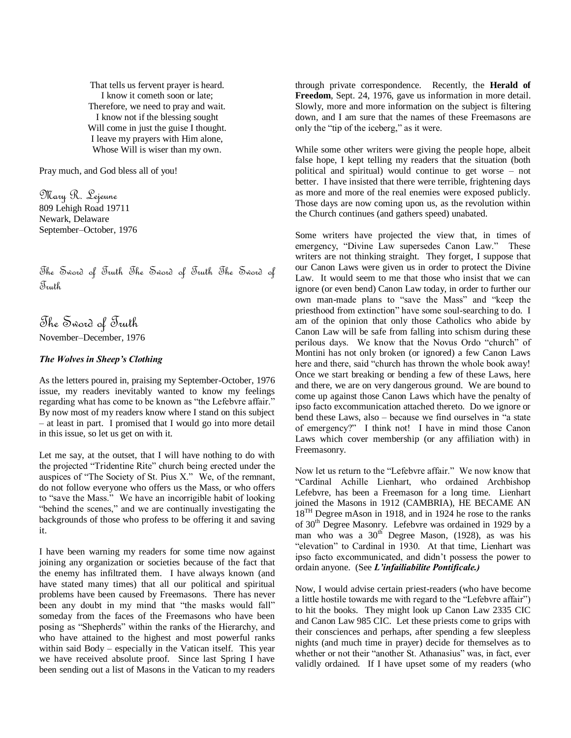That tells us fervent prayer is heard. I know it cometh soon or late; Therefore, we need to pray and wait. I know not if the blessing sought Will come in just the guise I thought. I leave my prayers with Him alone, Whose Will is wiser than my own.

Pray much, and God bless all of you!

Mary R. Lejeune 809 Lehigh Road 19711 Newark, Delaware September–October, 1976

The Sword of Truth The Sword of Truth The Sword of Truth

The Sword of Truth November–December, 1976

# *The Wolves in Sheep's Clothing*

As the letters poured in, praising my September-October, 1976 issue, my readers inevitably wanted to know my feelings regarding what has come to be known as "the Lefebvre affair." By now most of my readers know where I stand on this subject – at least in part. I promised that I would go into more detail in this issue, so let us get on with it.

Let me say, at the outset, that I will have nothing to do with the projected "Tridentine Rite" church being erected under the auspices of "The Society of St. Pius X." We, of the remnant, do not follow everyone who offers us the Mass, or who offers to "save the Mass." We have an incorrigible habit of looking "behind the scenes," and we are continually investigating the backgrounds of those who profess to be offering it and saving it.

I have been warning my readers for some time now against joining any organization or societies because of the fact that the enemy has infiltrated them. I have always known (and have stated many times) that all our political and spiritual problems have been caused by Freemasons. There has never been any doubt in my mind that "the masks would fall" someday from the faces of the Freemasons who have been posing as "Shepherds" within the ranks of the Hierarchy, and who have attained to the highest and most powerful ranks within said Body – especially in the Vatican itself. This year we have received absolute proof. Since last Spring I have been sending out a list of Masons in the Vatican to my readers through private correspondence. Recently, the **Herald of Freedom**, Sept. 24, 1976, gave us information in more detail. Slowly, more and more information on the subject is filtering down, and I am sure that the names of these Freemasons are only the "tip of the iceberg," as it were.

While some other writers were giving the people hope, albeit false hope, I kept telling my readers that the situation (both political and spiritual) would continue to get worse – not better. I have insisted that there were terrible, frightening days as more and more of the real enemies were exposed publicly. Those days are now coming upon us, as the revolution within the Church continues (and gathers speed) unabated.

Some writers have projected the view that, in times of emergency, "Divine Law supersedes Canon Law." These writers are not thinking straight. They forget, I suppose that our Canon Laws were given us in order to protect the Divine Law. It would seem to me that those who insist that we can ignore (or even bend) Canon Law today, in order to further our own man-made plans to "save the Mass" and "keep the priesthood from extinction" have some soul-searching to do. I am of the opinion that only those Catholics who abide by Canon Law will be safe from falling into schism during these perilous days. We know that the Novus Ordo "church" of Montini has not only broken (or ignored) a few Canon Laws here and there, said "church has thrown the whole book away! Once we start breaking or bending a few of these Laws, here and there, we are on very dangerous ground. We are bound to come up against those Canon Laws which have the penalty of ipso facto excommunication attached thereto. Do we ignore or bend these Laws, also – because we find ourselves in "a state" of emergency?" I think not! I have in mind those Canon Laws which cover membership (or any affiliation with) in Freemasonry.

Now let us return to the "Lefebvre affair." We now know that ―Cardinal Achille Lienhart, who ordained Archbishop Lefebvre, has been a Freemason for a long time. Lienhart joined the Masons in 1912 (CAMBRIA), HE BECAME AN 18<sup>TH</sup> Degree mAson in 1918, and in 1924 he rose to the ranks of 30th Degree Masonry. Lefebvre was ordained in 1929 by a man who was a  $30<sup>th</sup>$  Degree Mason, (1928), as was his "elevation" to Cardinal in 1930. At that time, Lienhart was ipso facto excommunicated, and didn't possess the power to ordain anyone. (See *L'infailiabilite Pontificale.)*

Now, I would advise certain priest-readers (who have become a little hostile towards me with regard to the "Lefebvre affair") to hit the books. They might look up Canon Law 2335 CIC and Canon Law 985 CIC. Let these priests come to grips with their consciences and perhaps, after spending a few sleepless nights (and much time in prayer) decide for themselves as to whether or not their "another St. Athanasius" was, in fact, ever validly ordained. If I have upset some of my readers (who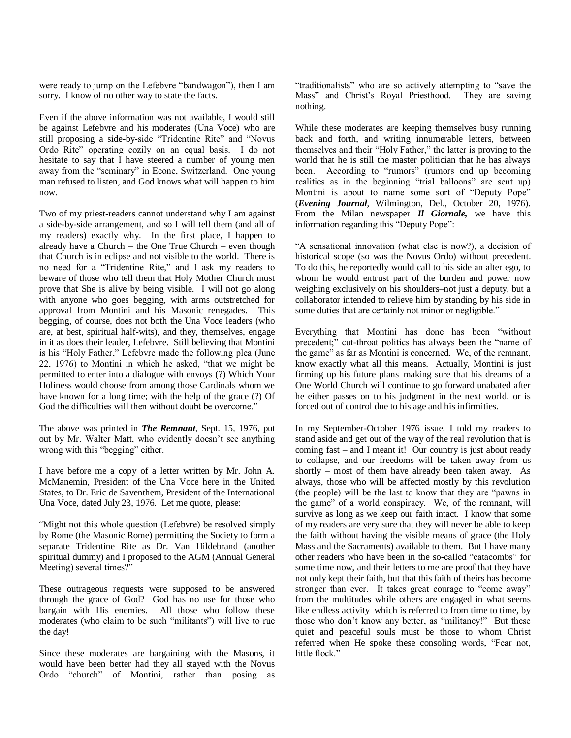were ready to jump on the Lefebvre "bandwagon"), then I am sorry. I know of no other way to state the facts.

Even if the above information was not available, I would still be against Lefebvre and his moderates (Una Voce) who are still proposing a side-by-side "Tridentine Rite" and "Novus Ordo Rite" operating cozily on an equal basis. I do not hesitate to say that I have steered a number of young men away from the "seminary" in Econe, Switzerland. One young man refused to listen, and God knows what will happen to him now.

Two of my priest-readers cannot understand why I am against a side-by-side arrangement, and so I will tell them (and all of my readers) exactly why. In the first place, I happen to already have a Church – the One True Church – even though that Church is in eclipse and not visible to the world. There is no need for a "Tridentine Rite," and I ask my readers to beware of those who tell them that Holy Mother Church must prove that She is alive by being visible. I will not go along with anyone who goes begging, with arms outstretched for approval from Montini and his Masonic renegades. This begging, of course, does not both the Una Voce leaders (who are, at best, spiritual half-wits), and they, themselves, engage in it as does their leader, Lefebvre. Still believing that Montini is his "Holy Father," Lefebvre made the following plea (June 22, 1976) to Montini in which he asked, "that we might be permitted to enter into a dialogue with envoys (?) Which Your Holiness would choose from among those Cardinals whom we have known for a long time; with the help of the grace (?) Of God the difficulties will then without doubt be overcome."

The above was printed in *The Remnant*, Sept. 15, 1976, put out by Mr. Walter Matt, who evidently doesn't see anything wrong with this "begging" either.

I have before me a copy of a letter written by Mr. John A. McManemin, President of the Una Voce here in the United States, to Dr. Eric de Saventhem, President of the International Una Voce, dated July 23, 1976. Let me quote, please:

"Might not this whole question (Lefebvre) be resolved simply by Rome (the Masonic Rome) permitting the Society to form a separate Tridentine Rite as Dr. Van Hildebrand (another spiritual dummy) and I proposed to the AGM (Annual General Meeting) several times?"

These outrageous requests were supposed to be answered through the grace of God? God has no use for those who bargain with His enemies. All those who follow these moderates (who claim to be such "militants") will live to rue the day!

Since these moderates are bargaining with the Masons, it would have been better had they all stayed with the Novus Ordo "church" of Montini, rather than posing as "traditionalists" who are so actively attempting to "save the Mass" and Christ's Royal Priesthood. They are saving nothing.

While these moderates are keeping themselves busy running back and forth, and writing innumerable letters, between themselves and their "Holy Father," the latter is proving to the world that he is still the master politician that he has always been. According to "rumors" (rumors end up becoming realities as in the beginning "trial balloons" are sent up) Montini is about to name some sort of "Deputy Pope" (*Evening Journal*, Wilmington, Del., October 20, 1976). From the Milan newspaper *Il Giornale,* we have this information regarding this "Deputy Pope":

―A sensational innovation (what else is now?), a decision of historical scope (so was the Novus Ordo) without precedent. To do this, he reportedly would call to his side an alter ego, to whom he would entrust part of the burden and power now weighing exclusively on his shoulders–not just a deputy, but a collaborator intended to relieve him by standing by his side in some duties that are certainly not minor or negligible."

Everything that Montini has done has been "without precedent;" cut-throat politics has always been the "name of the game" as far as Montini is concerned. We, of the remnant, know exactly what all this means. Actually, Montini is just firming up his future plans–making sure that his dreams of a One World Church will continue to go forward unabated after he either passes on to his judgment in the next world, or is forced out of control due to his age and his infirmities.

In my September-October 1976 issue, I told my readers to stand aside and get out of the way of the real revolution that is coming fast – and I meant it! Our country is just about ready to collapse, and our freedoms will be taken away from us shortly – most of them have already been taken away. As always, those who will be affected mostly by this revolution (the people) will be the last to know that they are "pawns in the game" of a world conspiracy. We, of the remnant, will survive as long as we keep our faith intact. I know that some of my readers are very sure that they will never be able to keep the faith without having the visible means of grace (the Holy Mass and the Sacraments) available to them. But I have many other readers who have been in the so-called "catacombs" for some time now, and their letters to me are proof that they have not only kept their faith, but that this faith of theirs has become stronger than ever. It takes great courage to "come away" from the multitudes while others are engaged in what seems like endless activity–which is referred to from time to time, by those who don't know any better, as "militancy!" But these quiet and peaceful souls must be those to whom Christ referred when He spoke these consoling words, "Fear not, little flock."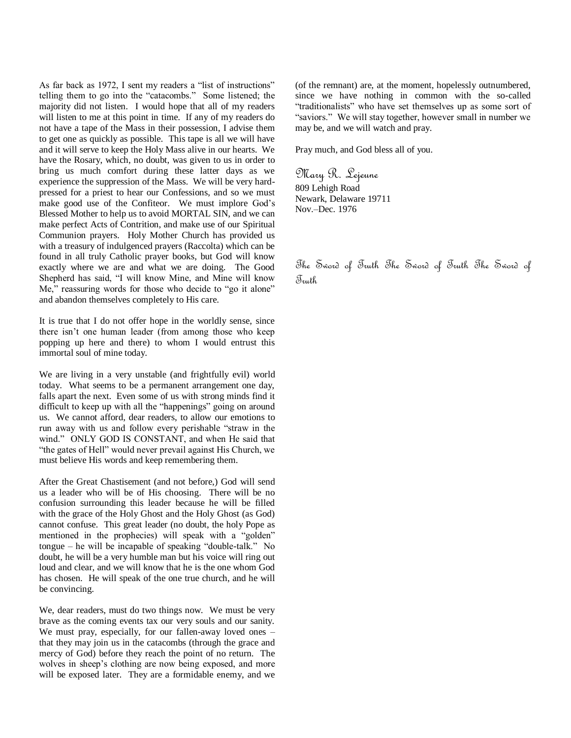As far back as 1972, I sent my readers a "list of instructions" telling them to go into the "catacombs." Some listened; the majority did not listen. I would hope that all of my readers will listen to me at this point in time. If any of my readers do not have a tape of the Mass in their possession, I advise them to get one as quickly as possible. This tape is all we will have and it will serve to keep the Holy Mass alive in our hearts. We have the Rosary, which, no doubt, was given to us in order to bring us much comfort during these latter days as we experience the suppression of the Mass. We will be very hardpressed for a priest to hear our Confessions, and so we must make good use of the Confiteor. We must implore God's Blessed Mother to help us to avoid MORTAL SIN, and we can make perfect Acts of Contrition, and make use of our Spiritual Communion prayers. Holy Mother Church has provided us with a treasury of indulgenced prayers (Raccolta) which can be found in all truly Catholic prayer books, but God will know exactly where we are and what we are doing. The Good Shepherd has said, "I will know Mine, and Mine will know Me," reassuring words for those who decide to "go it alone" and abandon themselves completely to His care.

It is true that I do not offer hope in the worldly sense, since there isn't one human leader (from among those who keep popping up here and there) to whom I would entrust this immortal soul of mine today.

We are living in a very unstable (and frightfully evil) world today. What seems to be a permanent arrangement one day, falls apart the next. Even some of us with strong minds find it difficult to keep up with all the "happenings" going on around us. We cannot afford, dear readers, to allow our emotions to run away with us and follow every perishable "straw in the wind." ONLY GOD IS CONSTANT, and when He said that "the gates of Hell" would never prevail against His Church, we must believe His words and keep remembering them.

After the Great Chastisement (and not before,) God will send us a leader who will be of His choosing. There will be no confusion surrounding this leader because he will be filled with the grace of the Holy Ghost and the Holy Ghost (as God) cannot confuse. This great leader (no doubt, the holy Pope as mentioned in the prophecies) will speak with a "golden"  $to$  tongue – he will be incapable of speaking "double-talk." No doubt, he will be a very humble man but his voice will ring out loud and clear, and we will know that he is the one whom God has chosen. He will speak of the one true church, and he will be convincing.

We, dear readers, must do two things now. We must be very brave as the coming events tax our very souls and our sanity. We must pray, especially, for our fallen-away loved ones – that they may join us in the catacombs (through the grace and mercy of God) before they reach the point of no return. The wolves in sheep's clothing are now being exposed, and more will be exposed later. They are a formidable enemy, and we

(of the remnant) are, at the moment, hopelessly outnumbered, since we have nothing in common with the so-called "traditionalists" who have set themselves up as some sort of "saviors." We will stay together, however small in number we may be, and we will watch and pray.

Pray much, and God bless all of you.

Mary R. Lejeune 809 Lehigh Road Newark, Delaware 19711 Nov.–Dec. 1976

The Sword of Truth The Sword of Truth The Sword of Truth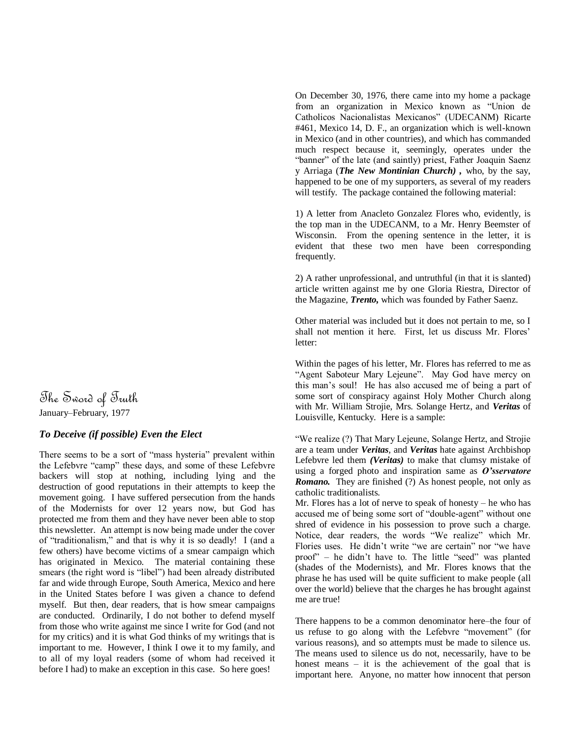The Sword of Truth January–February, 1977

# *To Deceive (if possible) Even the Elect*

There seems to be a sort of "mass hysteria" prevalent within the Lefebvre "camp" these days, and some of these Lefebvre backers will stop at nothing, including lying and the destruction of good reputations in their attempts to keep the movement going. I have suffered persecution from the hands of the Modernists for over 12 years now, but God has protected me from them and they have never been able to stop this newsletter. An attempt is now being made under the cover of "traditionalism," and that is why it is so deadly! I (and a few others) have become victims of a smear campaign which has originated in Mexico. The material containing these smears (the right word is "libel") had been already distributed far and wide through Europe, South America, Mexico and here in the United States before I was given a chance to defend myself. But then, dear readers, that is how smear campaigns are conducted. Ordinarily, I do not bother to defend myself from those who write against me since I write for God (and not for my critics) and it is what God thinks of my writings that is important to me. However, I think I owe it to my family, and to all of my loyal readers (some of whom had received it before I had) to make an exception in this case. So here goes!

On December 30, 1976, there came into my home a package from an organization in Mexico known as "Union de Catholicos Nacionalistas Mexicanos" (UDECANM) Ricarte #461, Mexico 14, D. F., an organization which is well-known in Mexico (and in other countries), and which has commanded much respect because it, seemingly, operates under the "banner" of the late (and saintly) priest, Father Joaquin Saenz y Arriaga (*The New Montinian Church) ,* who, by the say, happened to be one of my supporters, as several of my readers will testify. The package contained the following material:

1) A letter from Anacleto Gonzalez Flores who, evidently, is the top man in the UDECANM, to a Mr. Henry Beemster of Wisconsin. From the opening sentence in the letter, it is evident that these two men have been corresponding frequently.

2) A rather unprofessional, and untruthful (in that it is slanted) article written against me by one Gloria Riestra, Director of the Magazine, *Trento,* which was founded by Father Saenz.

Other material was included but it does not pertain to me, so I shall not mention it here. First, let us discuss Mr. Flores' letter:

Within the pages of his letter, Mr. Flores has referred to me as "Agent Saboteur Mary Lejeune". May God have mercy on this man's soul! He has also accused me of being a part of some sort of conspiracy against Holy Mother Church along with Mr. William Strojie, Mrs. Solange Hertz, and *Veritas* of Louisville, Kentucky. Here is a sample:

―We realize (?) That Mary Lejeune, Solange Hertz, and Strojie are a team under *Veritas*, and *Veritas* hate against Archbishop Lefebvre led them *(Veritas)* to make that clumsy mistake of using a forged photo and inspiration same as *O'sservatore Romano.* They are finished (?) As honest people, not only as catholic traditionalists.

Mr. Flores has a lot of nerve to speak of honesty – he who has accused me of being some sort of "double-agent" without one shred of evidence in his possession to prove such a charge. Notice, dear readers, the words "We realize" which Mr. Flories uses. He didn't write "we are certain" nor "we have proof" – he didn't have to. The little "seed" was planted (shades of the Modernists), and Mr. Flores knows that the phrase he has used will be quite sufficient to make people (all over the world) believe that the charges he has brought against me are true!

There happens to be a common denominator here–the four of us refuse to go along with the Lefebvre "movement" (for various reasons), and so attempts must be made to silence us. The means used to silence us do not, necessarily, have to be honest means – it is the achievement of the goal that is important here. Anyone, no matter how innocent that person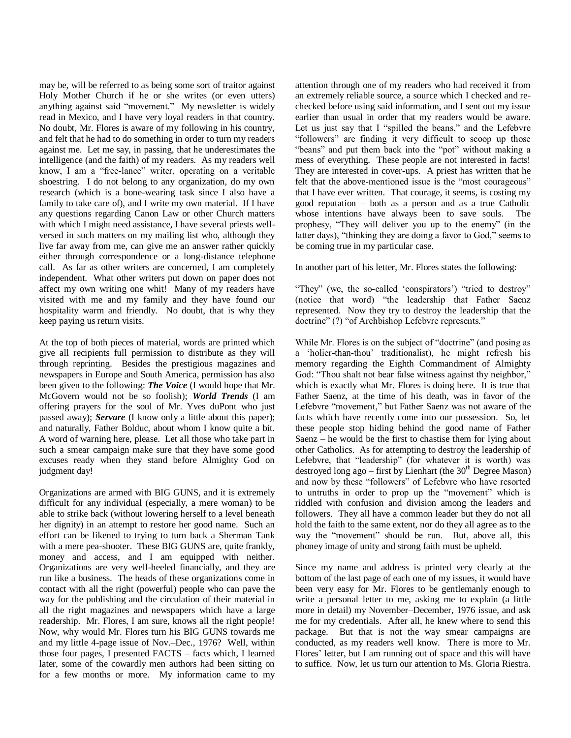may be, will be referred to as being some sort of traitor against Holy Mother Church if he or she writes (or even utters) anything against said "movement." My newsletter is widely read in Mexico, and I have very loyal readers in that country. No doubt, Mr. Flores is aware of my following in his country, and felt that he had to do something in order to turn my readers against me. Let me say, in passing, that he underestimates the intelligence (and the faith) of my readers. As my readers well know, I am a "free-lance" writer, operating on a veritable shoestring. I do not belong to any organization, do my own research (which is a bone-wearing task since I also have a family to take care of), and I write my own material. If I have any questions regarding Canon Law or other Church matters with which I might need assistance, I have several priests wellversed in such matters on my mailing list who, although they live far away from me, can give me an answer rather quickly either through correspondence or a long-distance telephone call. As far as other writers are concerned, I am completely independent. What other writers put down on paper does not affect my own writing one whit! Many of my readers have visited with me and my family and they have found our hospitality warm and friendly. No doubt, that is why they keep paying us return visits.

At the top of both pieces of material, words are printed which give all recipients full permission to distribute as they will through reprinting. Besides the prestigious magazines and newspapers in Europe and South America, permission has also been given to the following: *The Voice* (I would hope that Mr. McGovern would not be so foolish); *World Trends* (I am offering prayers for the soul of Mr. Yves duPont who just passed away); *Servare* (I know only a little about this paper); and naturally, Father Bolduc, about whom I know quite a bit. A word of warning here, please. Let all those who take part in such a smear campaign make sure that they have some good excuses ready when they stand before Almighty God on judgment day!

Organizations are armed with BIG GUNS, and it is extremely difficult for any individual (especially, a mere woman) to be able to strike back (without lowering herself to a level beneath her dignity) in an attempt to restore her good name. Such an effort can be likened to trying to turn back a Sherman Tank with a mere pea-shooter. These BIG GUNS are, quite frankly, money and access, and I am equipped with neither. Organizations are very well-heeled financially, and they are run like a business. The heads of these organizations come in contact with all the right (powerful) people who can pave the way for the publishing and the circulation of their material in all the right magazines and newspapers which have a large readership. Mr. Flores, I am sure, knows all the right people! Now, why would Mr. Flores turn his BIG GUNS towards me and my little 4-page issue of Nov.–Dec., 1976? Well, within those four pages, I presented FACTS – facts which, I learned later, some of the cowardly men authors had been sitting on for a few months or more. My information came to my

attention through one of my readers who had received it from an extremely reliable source, a source which I checked and rechecked before using said information, and I sent out my issue earlier than usual in order that my readers would be aware. Let us just say that I "spilled the beans," and the Lefebvre "followers" are finding it very difficult to scoop up those "beans" and put them back into the "pot" without making a mess of everything. These people are not interested in facts! They are interested in cover-ups. A priest has written that he felt that the above-mentioned issue is the "most courageous" that I have ever written. That courage, it seems, is costing my good reputation – both as a person and as a true Catholic whose intentions have always been to save souls. The prophesy, "They will deliver you up to the enemy" (in the latter days), "thinking they are doing a favor to God," seems to be coming true in my particular case.

In another part of his letter, Mr. Flores states the following:

"They" (we, the so-called 'conspirators') "tried to destroy" (notice that word) "the leadership that Father Saenz represented. Now they try to destroy the leadership that the doctrine" (?) "of Archbishop Lefebvre represents."

While Mr. Flores is on the subject of "doctrine" (and posing as a ‗holier-than-thou' traditionalist), he might refresh his memory regarding the Eighth Commandment of Almighty God: "Thou shalt not bear false witness against thy neighbor," which is exactly what Mr. Flores is doing here. It is true that Father Saenz, at the time of his death, was in favor of the Lefebvre "movement," but Father Saenz was not aware of the facts which have recently come into our possession. So, let these people stop hiding behind the good name of Father Saenz – he would be the first to chastise them for lying about other Catholics. As for attempting to destroy the leadership of Lefebvre, that "leadership" (for whatever it is worth) was destroyed long ago – first by Lienhart (the  $30<sup>th</sup>$  Degree Mason) and now by these "followers" of Lefebvre who have resorted to untruths in order to prop up the "movement" which is riddled with confusion and division among the leaders and followers. They all have a common leader but they do not all hold the faith to the same extent, nor do they all agree as to the way the "movement" should be run. But, above all, this phoney image of unity and strong faith must be upheld.

Since my name and address is printed very clearly at the bottom of the last page of each one of my issues, it would have been very easy for Mr. Flores to be gentlemanly enough to write a personal letter to me, asking me to explain (a little more in detail) my November–December, 1976 issue, and ask me for my credentials. After all, he knew where to send this package. But that is not the way smear campaigns are conducted, as my readers well know. There is more to Mr. Flores' letter, but I am running out of space and this will have to suffice. Now, let us turn our attention to Ms. Gloria Riestra.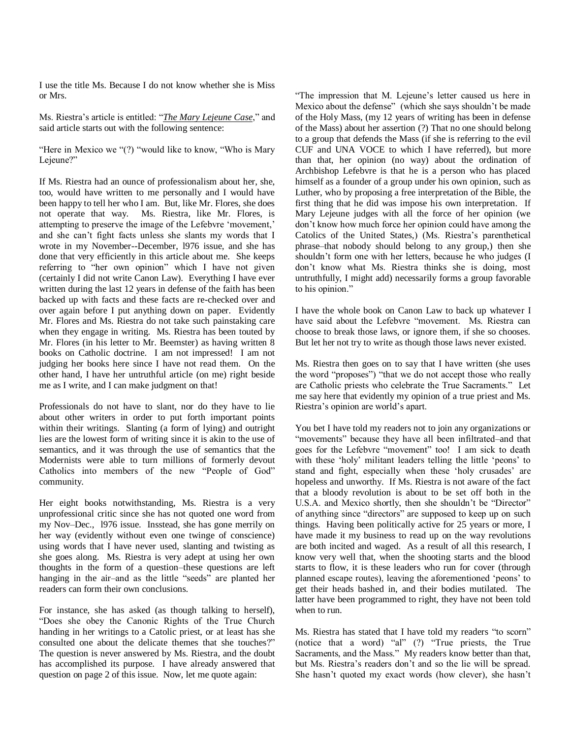I use the title Ms. Because I do not know whether she is Miss or Mrs.

Ms. Riestra's article is entitled: "*The Mary Lejeune Case*," and said article starts out with the following sentence:

"Here in Mexico we " $(?)$  "would like to know, "Who is Mary Lejeune?"

If Ms. Riestra had an ounce of professionalism about her, she, too, would have written to me personally and I would have been happy to tell her who I am. But, like Mr. Flores, she does not operate that way. Ms. Riestra, like Mr. Flores, is attempting to preserve the image of the Lefebvre 'movement,' and she can't fight facts unless she slants my words that I wrote in my November--December, l976 issue, and she has done that very efficiently in this article about me. She keeps referring to "her own opinion" which I have not given (certainly I did not write Canon Law). Everything I have ever written during the last 12 years in defense of the faith has been backed up with facts and these facts are re-checked over and over again before I put anything down on paper. Evidently Mr. Flores and Ms. Riestra do not take such painstaking care when they engage in writing. Ms. Riestra has been touted by Mr. Flores (in his letter to Mr. Beemster) as having written 8 books on Catholic doctrine. I am not impressed! I am not judging her books here since I have not read them. On the other hand, I have her untruthful article (on me) right beside me as I write, and I can make judgment on that!

Professionals do not have to slant, nor do they have to lie about other writers in order to put forth important points within their writings. Slanting (a form of lying) and outright lies are the lowest form of writing since it is akin to the use of semantics, and it was through the use of semantics that the Modernists were able to turn millions of formerly devout Catholics into members of the new "People of God" community.

Her eight books notwithstanding, Ms. Riestra is a very unprofessional critic since she has not quoted one word from my Nov–Dec., l976 issue. Insstead, she has gone merrily on her way (evidently without even one twinge of conscience) using words that I have never used, slanting and twisting as she goes along. Ms. Riestra is very adept at using her own thoughts in the form of a question–these questions are left hanging in the air-and as the little "seeds" are planted her readers can form their own conclusions.

For instance, she has asked (as though talking to herself), ―Does she obey the Canonic Rights of the True Church handing in her writings to a Catolic priest, or at least has she consulted one about the delicate themes that she touches?" The question is never answered by Ms. Riestra, and the doubt has accomplished its purpose. I have already answered that question on page 2 of this issue. Now, let me quote again:

―The impression that M. Lejeune's letter caused us here in Mexico about the defense" (which she says shouldn't be made of the Holy Mass, (my 12 years of writing has been in defense of the Mass) about her assertion (?) That no one should belong to a group that defends the Mass (if she is referring to the evil CUF and UNA VOCE to which I have referred), but more than that, her opinion (no way) about the ordination of Archbishop Lefebvre is that he is a person who has placed himself as a founder of a group under his own opinion, such as Luther, who by proposing a free interpretation of the Bible, the first thing that he did was impose his own interpretation. If Mary Lejeune judges with all the force of her opinion (we don't know how much force her opinion could have among the Catolics of the United States,) (Ms. Riestra's parenthetical phrase–that nobody should belong to any group,) then she shouldn't form one with her letters, because he who judges (I don't know what Ms. Riestra thinks she is doing, most untruthfully, I might add) necessarily forms a group favorable to his opinion."

I have the whole book on Canon Law to back up whatever I have said about the Lefebvre "movement. Ms. Riestra can choose to break those laws, or ignore them, if she so chooses. But let her not try to write as though those laws never existed.

Ms. Riestra then goes on to say that I have written (she uses the word "proposes") "that we do not accept those who really are Catholic priests who celebrate the True Sacraments." Let me say here that evidently my opinion of a true priest and Ms. Riestra's opinion are world's apart.

You bet I have told my readers not to join any organizations or "movements" because they have all been infiltrated–and that goes for the Lefebvre "movement" too! I am sick to death with these 'holy' militant leaders telling the little 'peons' to stand and fight, especially when these 'holy crusades' are hopeless and unworthy. If Ms. Riestra is not aware of the fact that a bloody revolution is about to be set off both in the U.S.A. and Mexico shortly, then she shouldn't be "Director" of anything since "directors" are supposed to keep up on such things. Having been politically active for 25 years or more, I have made it my business to read up on the way revolutions are both incited and waged. As a result of all this research, I know very well that, when the shooting starts and the blood starts to flow, it is these leaders who run for cover (through planned escape routes), leaving the aforementioned 'peons' to get their heads bashed in, and their bodies mutilated. The latter have been programmed to right, they have not been told when to run.

Ms. Riestra has stated that I have told my readers "to scorn" (notice that a word) "al"  $(?)$  "True priests, the True Sacraments, and the Mass." My readers know better than that, but Ms. Riestra's readers don't and so the lie will be spread. She hasn't quoted my exact words (how clever), she hasn't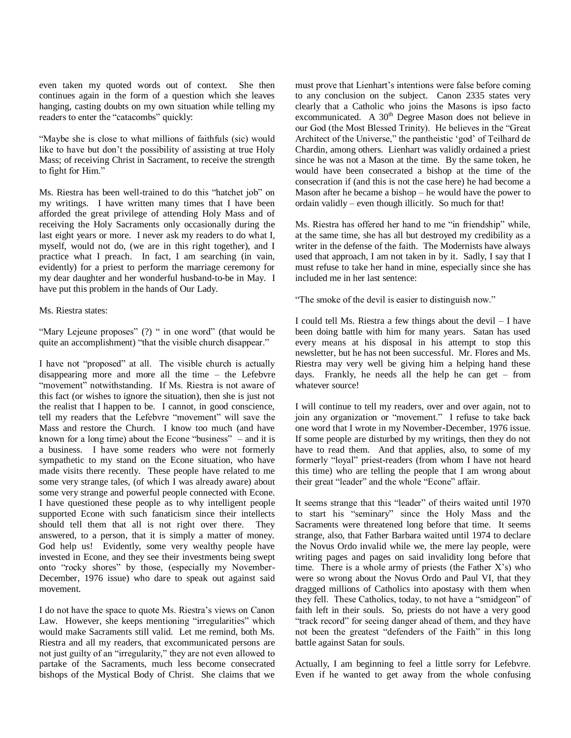even taken my quoted words out of context. She then continues again in the form of a question which she leaves hanging, casting doubts on my own situation while telling my readers to enter the "catacombs" quickly:

"Maybe she is close to what millions of faithfuls (sic) would like to have but don't the possibility of assisting at true Holy Mass; of receiving Christ in Sacrament, to receive the strength to fight for Him."

Ms. Riestra has been well-trained to do this "hatchet job" on my writings. I have written many times that I have been afforded the great privilege of attending Holy Mass and of receiving the Holy Sacraments only occasionally during the last eight years or more. I never ask my readers to do what I, myself, would not do, (we are in this right together), and I practice what I preach. In fact, I am searching (in vain, evidently) for a priest to perform the marriage ceremony for my dear daughter and her wonderful husband-to-be in May. I have put this problem in the hands of Our Lady.

Ms. Riestra states:

"Mary Lejeune proposes" (?) " in one word" (that would be quite an accomplishment) "that the visible church disappear."

I have not "proposed" at all. The visible church is actually disappearing more and more all the time – the Lefebvre "movement" notwithstanding. If Ms. Riestra is not aware of this fact (or wishes to ignore the situation), then she is just not the realist that I happen to be. I cannot, in good conscience, tell my readers that the Lefebvre "movement" will save the Mass and restore the Church. I know too much (and have known for a long time) about the Econe "business"  $-$  and it is a business. I have some readers who were not formerly sympathetic to my stand on the Econe situation, who have made visits there recently. These people have related to me some very strange tales, (of which I was already aware) about some very strange and powerful people connected with Econe. I have questioned these people as to why intelligent people supported Econe with such fanaticism since their intellects should tell them that all is not right over there. They answered, to a person, that it is simply a matter of money. God help us! Evidently, some very wealthy people have invested in Econe, and they see their investments being swept onto "rocky shores" by those, (especially my November-December, 1976 issue) who dare to speak out against said movement.

I do not have the space to quote Ms. Riestra's views on Canon Law. However, she keeps mentioning "irregularities" which would make Sacraments still valid. Let me remind, both Ms. Riestra and all my readers, that excommunicated persons are not just guilty of an "irregularity," they are not even allowed to partake of the Sacraments, much less become consecrated bishops of the Mystical Body of Christ. She claims that we

must prove that Lienhart's intentions were false before coming to any conclusion on the subject. Canon 2335 states very clearly that a Catholic who joins the Masons is ipso facto excommunicated. A 30<sup>th</sup> Degree Mason does not believe in our God (the Most Blessed Trinity). He believes in the "Great" Architect of the Universe," the pantheistic 'god' of Teilhard de Chardin, among others. Lienhart was validly ordained a priest since he was not a Mason at the time. By the same token, he would have been consecrated a bishop at the time of the consecration if (and this is not the case here) he had become a Mason after he became a bishop – he would have the power to ordain validly – even though illicitly. So much for that!

Ms. Riestra has offered her hand to me "in friendship" while, at the same time, she has all but destroyed my credibility as a writer in the defense of the faith. The Modernists have always used that approach, I am not taken in by it. Sadly, I say that I must refuse to take her hand in mine, especially since she has included me in her last sentence:

"The smoke of the devil is easier to distinguish now."

I could tell Ms. Riestra a few things about the devil – I have been doing battle with him for many years. Satan has used every means at his disposal in his attempt to stop this newsletter, but he has not been successful. Mr. Flores and Ms. Riestra may very well be giving him a helping hand these days. Frankly, he needs all the help he can get – from whatever source!

I will continue to tell my readers, over and over again, not to join any organization or "movement." I refuse to take back one word that I wrote in my November-December, 1976 issue. If some people are disturbed by my writings, then they do not have to read them. And that applies, also, to some of my formerly "loyal" priest-readers (from whom I have not heard this time) who are telling the people that I am wrong about their great "leader" and the whole "Econe" affair.

It seems strange that this "leader" of theirs waited until 1970 to start his "seminary" since the Holy Mass and the Sacraments were threatened long before that time. It seems strange, also, that Father Barbara waited until 1974 to declare the Novus Ordo invalid while we, the mere lay people, were writing pages and pages on said invalidity long before that time. There is a whole army of priests (the Father  $X$ 's) who were so wrong about the Novus Ordo and Paul VI, that they dragged millions of Catholics into apostasy with them when they fell. These Catholics, today, to not have a "smidgeon" of faith left in their souls. So, priests do not have a very good "track record" for seeing danger ahead of them, and they have not been the greatest "defenders of the Faith" in this long battle against Satan for souls.

Actually, I am beginning to feel a little sorry for Lefebvre. Even if he wanted to get away from the whole confusing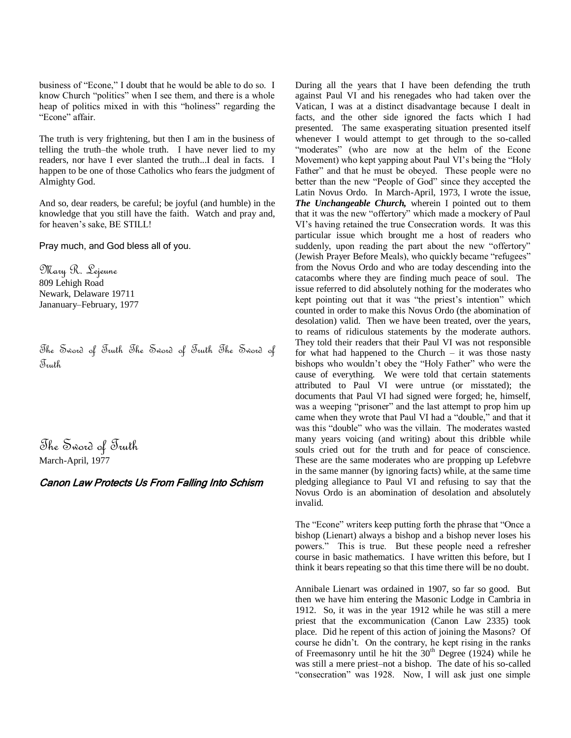business of "Econe," I doubt that he would be able to do so. I know Church "politics" when I see them, and there is a whole heap of politics mixed in with this "holiness" regarding the "Econe" affair.

The truth is very frightening, but then I am in the business of telling the truth–the whole truth. I have never lied to my readers, nor have I ever slanted the truth...I deal in facts. I happen to be one of those Catholics who fears the judgment of Almighty God.

And so, dear readers, be careful; be joyful (and humble) in the knowledge that you still have the faith. Watch and pray and, for heaven's sake, BE STILL!

Pray much, and God bless all of you.

Mary R. Lejeune 809 Lehigh Road Newark, Delaware 19711 Jananuary–February, 1977

The Sword of Truth The Sword of Truth The Sword of Truth

The Sword of Truth March-April, 1977

# Canon Law Protects Us From Falling Into Schism

During all the years that I have been defending the truth against Paul VI and his renegades who had taken over the Vatican, I was at a distinct disadvantage because I dealt in facts, and the other side ignored the facts which I had presented. The same exasperating situation presented itself whenever I would attempt to get through to the so-called "moderates" (who are now at the helm of the Econe Movement) who kept yapping about Paul VI's being the "Holy" Father" and that he must be obeyed. These people were no better than the new "People of God" since they accepted the Latin Novus Ordo. In March-April, 1973, I wrote the issue, *The Unchangeable Church,* wherein I pointed out to them that it was the new "offertory" which made a mockery of Paul VI's having retained the true Consecration words. It was this particular issue which brought me a host of readers who suddenly, upon reading the part about the new "offertory" (Jewish Prayer Before Meals), who quickly became "refugees" from the Novus Ordo and who are today descending into the catacombs where they are finding much peace of soul. The issue referred to did absolutely nothing for the moderates who kept pointing out that it was "the priest's intention" which counted in order to make this Novus Ordo (the abomination of desolation) valid. Then we have been treated, over the years, to reams of ridiculous statements by the moderate authors. They told their readers that their Paul VI was not responsible for what had happened to the Church – it was those nasty bishops who wouldn't obey the "Holy Father" who were the cause of everything. We were told that certain statements attributed to Paul VI were untrue (or misstated); the documents that Paul VI had signed were forged; he, himself, was a weeping "prisoner" and the last attempt to prop him up came when they wrote that Paul VI had a "double," and that it was this "double" who was the villain. The moderates wasted many years voicing (and writing) about this dribble while souls cried out for the truth and for peace of conscience. These are the same moderates who are propping up Lefebvre in the same manner (by ignoring facts) while, at the same time pledging allegiance to Paul VI and refusing to say that the Novus Ordo is an abomination of desolation and absolutely invalid.

The "Econe" writers keep putting forth the phrase that "Once a bishop (Lienart) always a bishop and a bishop never loses his powers.‖ This is true. But these people need a refresher course in basic mathematics. I have written this before, but I think it bears repeating so that this time there will be no doubt.

Annibale Lienart was ordained in 1907, so far so good. But then we have him entering the Masonic Lodge in Cambria in 1912. So, it was in the year 1912 while he was still a mere priest that the excommunication (Canon Law 2335) took place. Did he repent of this action of joining the Masons? Of course he didn't. On the contrary, he kept rising in the ranks of Freemasonry until he hit the  $30<sup>th</sup>$  Degree (1924) while he was still a mere priest–not a bishop. The date of his so-called "consecration" was 1928. Now, I will ask just one simple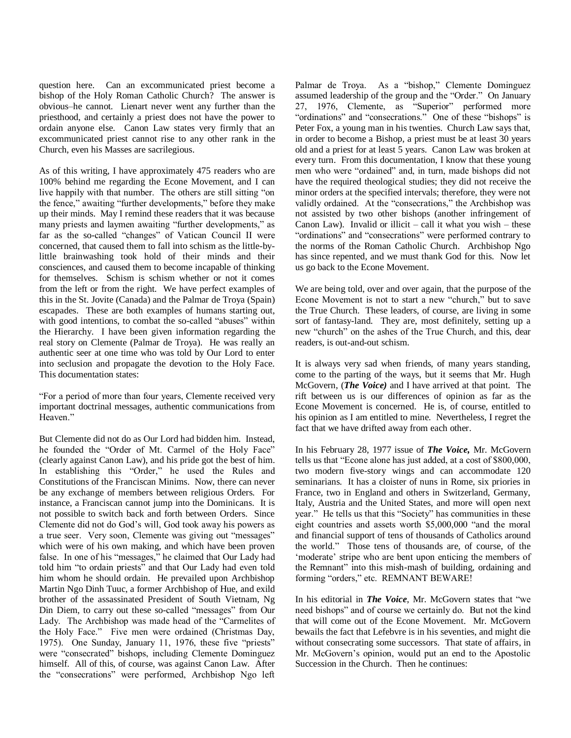question here. Can an excommunicated priest become a bishop of the Holy Roman Catholic Church? The answer is obvious–he cannot. Lienart never went any further than the priesthood, and certainly a priest does not have the power to ordain anyone else. Canon Law states very firmly that an excommunicated priest cannot rise to any other rank in the Church, even his Masses are sacrilegious.

As of this writing, I have approximately 475 readers who are 100% behind me regarding the Econe Movement, and I can live happily with that number. The others are still sitting "on the fence," awaiting "further developments," before they make up their minds. May I remind these readers that it was because many priests and laymen awaiting "further developments," as far as the so-called "changes" of Vatican Council II were concerned, that caused them to fall into schism as the little-bylittle brainwashing took hold of their minds and their consciences, and caused them to become incapable of thinking for themselves. Schism is schism whether or not it comes from the left or from the right. We have perfect examples of this in the St. Jovite (Canada) and the Palmar de Troya (Spain) escapades. These are both examples of humans starting out, with good intentions, to combat the so-called "abuses" within the Hierarchy. I have been given information regarding the real story on Clemente (Palmar de Troya). He was really an authentic seer at one time who was told by Our Lord to enter into seclusion and propagate the devotion to the Holy Face. This documentation states:

―For a period of more than four years, Clemente received very important doctrinal messages, authentic communications from Heaven."

But Clemente did not do as Our Lord had bidden him. Instead, he founded the "Order of Mt. Carmel of the Holy Face" (clearly against Canon Law), and his pride got the best of him. In establishing this "Order," he used the Rules and Constitutions of the Franciscan Minims. Now, there can never be any exchange of members between religious Orders. For instance, a Franciscan cannot jump into the Dominicans. It is not possible to switch back and forth between Orders. Since Clemente did not do God's will, God took away his powers as a true seer. Very soon, Clemente was giving out "messages" which were of his own making, and which have been proven false. In one of his "messages," he claimed that Our Lady had told him "to ordain priests" and that Our Lady had even told him whom he should ordain. He prevailed upon Archbishop Martin Ngo Dinh Tuuc, a former Archbishop of Hue, and exild brother of the assassinated President of South Vietnam, Ng Din Diem, to carry out these so-called "messages" from Our Lady. The Archbishop was made head of the "Carmelites of the Holy Face." Five men were ordained (Christmas Day, 1975). One Sunday, January 11, 1976, these five "priests" were "consecrated" bishops, including Clemente Dominguez himself. All of this, of course, was against Canon Law. After the "consecrations" were performed, Archbishop Ngo left

Palmar de Troya. As a "bishop," Clemente Dominguez assumed leadership of the group and the "Order." On January 27, 1976, Clemente, as "Superior" performed more "ordinations" and "consecrations." One of these "bishops" is Peter Fox, a young man in his twenties. Church Law says that, in order to become a Bishop, a priest must be at least 30 years old and a priest for at least 5 years. Canon Law was broken at every turn. From this documentation, I know that these young men who were "ordained" and, in turn, made bishops did not have the required theological studies; they did not receive the minor orders at the specified intervals; therefore, they were not validly ordained. At the "consecrations," the Archbishop was not assisted by two other bishops (another infringement of Canon Law). Invalid or illicit – call it what you wish – these "ordinations" and "consecrations" were performed contrary to the norms of the Roman Catholic Church. Archbishop Ngo has since repented, and we must thank God for this. Now let us go back to the Econe Movement.

We are being told, over and over again, that the purpose of the Econe Movement is not to start a new "church," but to save the True Church. These leaders, of course, are living in some sort of fantasy-land. They are, most definitely, setting up a new "church" on the ashes of the True Church, and this, dear readers, is out-and-out schism.

It is always very sad when friends, of many years standing, come to the parting of the ways, but it seems that Mr. Hugh McGovern, (*The Voice)* and I have arrived at that point. The rift between us is our differences of opinion as far as the Econe Movement is concerned. He is, of course, entitled to his opinion as I am entitled to mine. Nevertheless, I regret the fact that we have drifted away from each other.

In his February 28, 1977 issue of *The Voice,* Mr. McGovern tells us that "Econe alone has just added, at a cost of \$800,000, two modern five-story wings and can accommodate 120 seminarians. It has a cloister of nuns in Rome, six priories in France, two in England and others in Switzerland, Germany, Italy, Austria and the United States, and more will open next year." He tells us that this "Society" has communities in these eight countries and assets worth \$5,000,000 "and the moral and financial support of tens of thousands of Catholics around the world." Those tens of thousands are, of course, of the ‗moderate' stripe who are bent upon enticing the members of the Remnant" into this mish-mash of building, ordaining and forming "orders," etc. REMNANT BEWARE!

In his editorial in *The Voice*, Mr. McGovern states that "we need bishops" and of course we certainly do. But not the kind that will come out of the Econe Movement. Mr. McGovern bewails the fact that Lefebvre is in his seventies, and might die without consecrating some successors. That state of affairs, in Mr. McGovern's opinion, would put an end to the Apostolic Succession in the Church. Then he continues: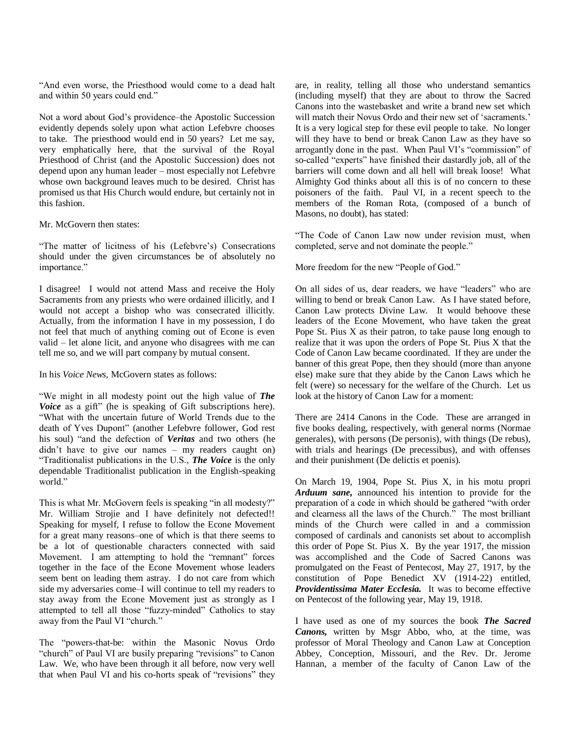"And even worse, the Priesthood would come to a dead halt and within 50 years could end."

Not a word about God's providence–the Apostolic Succession evidently depends solely upon what action Lefebvre chooses to take. The priesthood would end in 50 years? Let me say, very emphatically here, that the survival of the Royal Priesthood of Christ (and the Apostolic Succession) does not depend upon any human leader – most especially not Lefebvre whose own background leaves much to be desired. Christ has promised us that His Church would endure, but certainly not in this fashion.

Mr. McGovern then states:

―The matter of licitness of his (Lefebvre's) Consecrations should under the given circumstances be of absolutely no importance."

I disagree! I would not attend Mass and receive the Holy Sacraments from any priests who were ordained illicitly, and I would not accept a bishop who was consecrated illicitly. Actually, from the information I have in my possession, I do not feel that much of anything coming out of Econe is even valid – let alone licit, and anyone who disagrees with me can tell me so, and we will part company by mutual consent.

In his *Voice News,* McGovern states as follows:

―We might in all modesty point out the high value of *The Voice* as a gift" (he is speaking of Gift subscriptions here). ―What with the uncertain future of World Trends due to the death of Yves Dupont" (another Lefebvre follower, God rest his soul) "and the defection of *Veritas* and two others (he didn't have to give our names – my readers caught on) ―Traditionalist publications in the U.S., *The Voice* is the only dependable Traditionalist publication in the English-speaking world."

This is what Mr. McGovern feels is speaking "in all modesty?" Mr. William Strojie and I have definitely not defected!! Speaking for myself, I refuse to follow the Econe Movement for a great many reasons–one of which is that there seems to be a lot of questionable characters connected with said Movement. I am attempting to hold the "remnant" forces together in the face of the Econe Movement whose leaders seem bent on leading them astray. I do not care from which side my adversaries come–I will continue to tell my readers to stay away from the Econe Movement just as strongly as I attempted to tell all those "fuzzy-minded" Catholics to stay away from the Paul VI "church."

The "powers-that-be: within the Masonic Novus Ordo "church" of Paul VI are busily preparing "revisions" to Canon Law. We, who have been through it all before, now very well that when Paul VI and his co-horts speak of "revisions" they are, in reality, telling all those who understand semantics (including myself) that they are about to throw the Sacred Canons into the wastebasket and write a brand new set which will match their Novus Ordo and their new set of 'sacraments.' It is a very logical step for these evil people to take. No longer will they have to bend or break Canon Law as they have so arrogantly done in the past. When Paul VI's "commission" of so-called "experts" have finished their dastardly job, all of the barriers will come down and all hell will break loose! What Almighty God thinks about all this is of no concern to these poisoners of the faith. Paul VI, in a recent speech to the members of the Roman Rota, (composed of a bunch of Masons, no doubt), has stated:

"The Code of Canon Law now under revision must, when completed, serve and not dominate the people."

More freedom for the new "People of God."

On all sides of us, dear readers, we have "leaders" who are willing to bend or break Canon Law. As I have stated before, Canon Law protects Divine Law. It would behoove these leaders of the Econe Movement, who have taken the great Pope St. Pius X as their patron, to take pause long enough to realize that it was upon the orders of Pope St. Pius X that the Code of Canon Law became coordinated. If they are under the banner of this great Pope, then they should (more than anyone else) make sure that they abide by the Canon Laws which he felt (were) so necessary for the welfare of the Church. Let us look at the history of Canon Law for a moment:

There are 2414 Canons in the Code. These are arranged in five books dealing, respectively, with general norms (Normae generales), with persons (De personis), with things (De rebus), with trials and hearings (De precessibus), and with offenses and their punishment (De delictis et poenis).

On March 19, 1904, Pope St. Pius X, in his motu propri *Arduum sane,* announced his intention to provide for the preparation of a code in which should be gathered "with order and clearness all the laws of the Church." The most brilliant minds of the Church were called in and a commission composed of cardinals and canonists set about to accomplish this order of Pope St. Pius X. By the year 1917, the mission was accomplished and the Code of Sacred Canons was promulgated on the Feast of Pentecost, May 27, 1917, by the constitution of Pope Benedict XV (1914-22) entitled, *Providentissima Mater Ecclesia.* It was to become effective on Pentecost of the following year, May 19, 1918.

I have used as one of my sources the book *The Sacred Canons,* written by Msgr Abbo, who, at the time, was professor of Moral Theology and Canon Law at Conception Abbey, Conception, Missouri, and the Rev. Dr. Jerome Hannan, a member of the faculty of Canon Law of the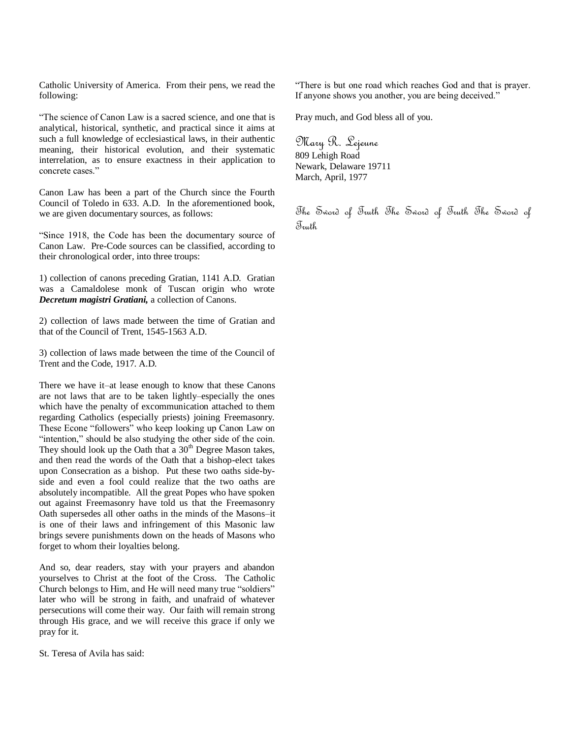Catholic University of America. From their pens, we read the following:

―The science of Canon Law is a sacred science, and one that is analytical, historical, synthetic, and practical since it aims at such a full knowledge of ecclesiastical laws, in their authentic meaning, their historical evolution, and their systematic interrelation, as to ensure exactness in their application to concrete cases."

Canon Law has been a part of the Church since the Fourth Council of Toledo in 633. A.D. In the aforementioned book, we are given documentary sources, as follows:

―Since 1918, the Code has been the documentary source of Canon Law. Pre-Code sources can be classified, according to their chronological order, into three troups:

1) collection of canons preceding Gratian, 1141 A.D. Gratian was a Camaldolese monk of Tuscan origin who wrote *Decretum magistri Gratiani,* a collection of Canons.

2) collection of laws made between the time of Gratian and that of the Council of Trent, 1545-1563 A.D.

3) collection of laws made between the time of the Council of Trent and the Code, 1917. A.D.

There we have it–at lease enough to know that these Canons are not laws that are to be taken lightly–especially the ones which have the penalty of excommunication attached to them regarding Catholics (especially priests) joining Freemasonry. These Econe "followers" who keep looking up Canon Law on "intention," should be also studying the other side of the coin. They should look up the Oath that a  $30<sup>th</sup>$  Degree Mason takes, and then read the words of the Oath that a bishop-elect takes upon Consecration as a bishop. Put these two oaths side-byside and even a fool could realize that the two oaths are absolutely incompatible. All the great Popes who have spoken out against Freemasonry have told us that the Freemasonry Oath supersedes all other oaths in the minds of the Masons–it is one of their laws and infringement of this Masonic law brings severe punishments down on the heads of Masons who forget to whom their loyalties belong.

And so, dear readers, stay with your prayers and abandon yourselves to Christ at the foot of the Cross. The Catholic Church belongs to Him, and He will need many true "soldiers" later who will be strong in faith, and unafraid of whatever persecutions will come their way. Our faith will remain strong through His grace, and we will receive this grace if only we pray for it.

St. Teresa of Avila has said:

―There is but one road which reaches God and that is prayer. If anyone shows you another, you are being deceived."

Pray much, and God bless all of you.

Mary R. Lejeune 809 Lehigh Road Newark, Delaware 19711 March, April, 1977

The Sword of Truth The Sword of Truth The Sword of Truth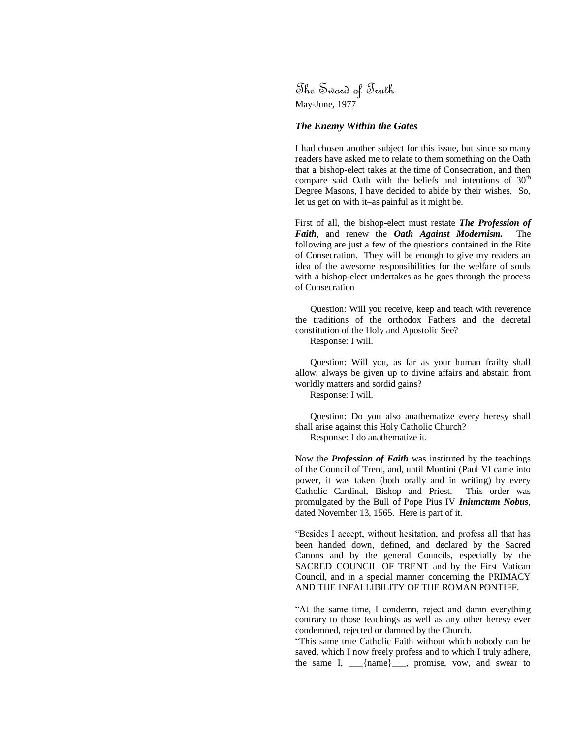The Sword of Truth May-June, 1977

#### *The Enemy Within the Gates*

I had chosen another subject for this issue, but since so many readers have asked me to relate to them something on the Oath that a bishop-elect takes at the time of Consecration, and then compare said Oath with the beliefs and intentions of  $30<sup>th</sup>$ Degree Masons, I have decided to abide by their wishes. So, let us get on with it–as painful as it might be.

First of all, the bishop-elect must restate *The Profession of Faith*, and renew the *Oath Against Modernism.* The following are just a few of the questions contained in the Rite of Consecration. They will be enough to give my readers an idea of the awesome responsibilities for the welfare of souls with a bishop-elect undertakes as he goes through the process of Consecration

Question: Will you receive, keep and teach with reverence the traditions of the orthodox Fathers and the decretal constitution of the Holy and Apostolic See?

Response: I will.

Question: Will you, as far as your human frailty shall allow, always be given up to divine affairs and abstain from worldly matters and sordid gains?

Response: I will.

Question: Do you also anathematize every heresy shall shall arise against this Holy Catholic Church? Response: I do anathematize it.

Now the *Profession of Faith* was instituted by the teachings of the Council of Trent, and, until Montini (Paul VI came into power, it was taken (both orally and in writing) by every Catholic Cardinal, Bishop and Priest. This order was promulgated by the Bull of Pope Pius IV *Iniunctum Nobus*, dated November 13, 1565. Here is part of it.

―Besides I accept, without hesitation, and profess all that has been handed down, defined, and declared by the Sacred Canons and by the general Councils, especially by the SACRED COUNCIL OF TRENT and by the First Vatican Council, and in a special manner concerning the PRIMACY AND THE INFALLIBILITY OF THE ROMAN PONTIFF.

"At the same time, I condemn, reject and damn everything contrary to those teachings as well as any other heresy ever condemned, rejected or damned by the Church.

―This same true Catholic Faith without which nobody can be saved, which I now freely profess and to which I truly adhere, the same I, \_\_\_{name}\_\_\_, promise, vow, and swear to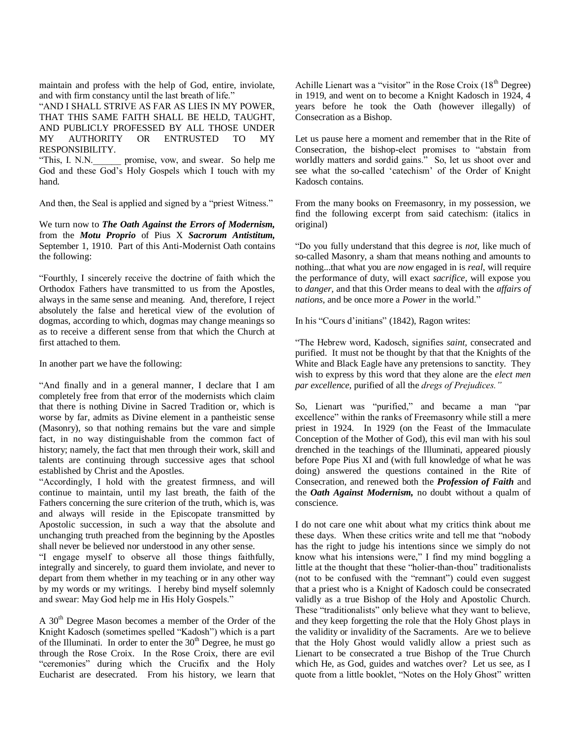maintain and profess with the help of God, entire, inviolate, and with firm constancy until the last breath of life."

"AND I SHALL STRIVE AS FAR AS LIES IN MY POWER, THAT THIS SAME FAITH SHALL BE HELD, TAUGHT, AND PUBLICLY PROFESSED BY ALL THOSE UNDER MY AUTHORITY OR ENTRUSTED TO MY RESPONSIBILITY.

"This, I. N.N. promise, vow, and swear. So help me God and these God's Holy Gospels which I touch with my hand.

And then, the Seal is applied and signed by a "priest Witness."

We turn now to *The Oath Against the Errors of Modernism,* from the *Motu Proprio* of Pius X *Sacrorum Antistitum,*  September 1, 1910. Part of this Anti-Modernist Oath contains the following:

―Fourthly, I sincerely receive the doctrine of faith which the Orthodox Fathers have transmitted to us from the Apostles, always in the same sense and meaning. And, therefore, I reject absolutely the false and heretical view of the evolution of dogmas, according to which, dogmas may change meanings so as to receive a different sense from that which the Church at first attached to them.

In another part we have the following:

"And finally and in a general manner, I declare that I am completely free from that error of the modernists which claim that there is nothing Divine in Sacred Tradition or, which is worse by far, admits as Divine element in a pantheistic sense (Masonry), so that nothing remains but the vare and simple fact, in no way distinguishable from the common fact of history; namely, the fact that men through their work, skill and talents are continuing through successive ages that school established by Christ and the Apostles.

―Accordingly, I hold with the greatest firmness, and will continue to maintain, until my last breath, the faith of the Fathers concerning the sure criterion of the truth, which is, was and always will reside in the Episcopate transmitted by Apostolic succession, in such a way that the absolute and unchanging truth preached from the beginning by the Apostles shall never be believed nor understood in any other sense.

―I engage myself to observe all those things faithfully, integrally and sincerely, to guard them inviolate, and never to depart from them whether in my teaching or in any other way by my words or my writings. I hereby bind myself solemnly and swear: May God help me in His Holy Gospels."

A 30th Degree Mason becomes a member of the Order of the Knight Kadosch (sometimes spelled "Kadosh") which is a part of the Illuminati. In order to enter the  $30<sup>th</sup>$  Degree, he must go through the Rose Croix. In the Rose Croix, there are evil "ceremonies" during which the Crucifix and the Holy Eucharist are desecrated. From his history, we learn that

Achille Lienart was a "visitor" in the Rose Croix  $(18<sup>th</sup>$  Degree) in 1919, and went on to become a Knight Kadosch in 1924, 4 years before he took the Oath (however illegally) of Consecration as a Bishop.

Let us pause here a moment and remember that in the Rite of Consecration, the bishop-elect promises to "abstain from worldly matters and sordid gains." So, let us shoot over and see what the so-called 'catechism' of the Order of Knight Kadosch contains.

From the many books on Freemasonry, in my possession, we find the following excerpt from said catechism: (italics in original)

―Do you fully understand that this degree is *not*, like much of so-called Masonry, a sham that means nothing and amounts to nothing...that what you are *now* engaged in is *real*, will require the performance of duty, will exact *sacrifice*, will expose you to *danger,* and that this Order means to deal with the *affairs of nations*, and be once more a *Power* in the world."

In his "Cours d'initians" (1842), Ragon writes:

―The Hebrew word, Kadosch, signifies *saint,* consecrated and purified. It must not be thought by that that the Knights of the White and Black Eagle have any pretensions to sanctity. They wish to express by this word that they alone are the *elect men par excellence,* purified of all the *dregs of Prejudices."* 

So, Lienart was "purified," and became a man "par excellence" within the ranks of Freemasonry while still a mere priest in 1924. In 1929 (on the Feast of the Immaculate Conception of the Mother of God), this evil man with his soul drenched in the teachings of the Illuminati, appeared piously before Pope Pius XI and (with full knowledge of what he was doing) answered the questions contained in the Rite of Consecration, and renewed both the *Profession of Faith* and the *Oath Against Modernism,* no doubt without a qualm of conscience.

I do not care one whit about what my critics think about me these days. When these critics write and tell me that "nobody" has the right to judge his intentions since we simply do not know what his intensions were," I find my mind boggling a little at the thought that these "holier-than-thou" traditionalists (not to be confused with the "remnant") could even suggest that a priest who is a Knight of Kadosch could be consecrated validly as a true Bishop of the Holy and Apostolic Church. These "traditionalists" only believe what they want to believe, and they keep forgetting the role that the Holy Ghost plays in the validity or invalidity of the Sacraments. Are we to believe that the Holy Ghost would validly allow a priest such as Lienart to be consecrated a true Bishop of the True Church which He, as God, guides and watches over? Let us see, as I quote from a little booklet, "Notes on the Holy Ghost" written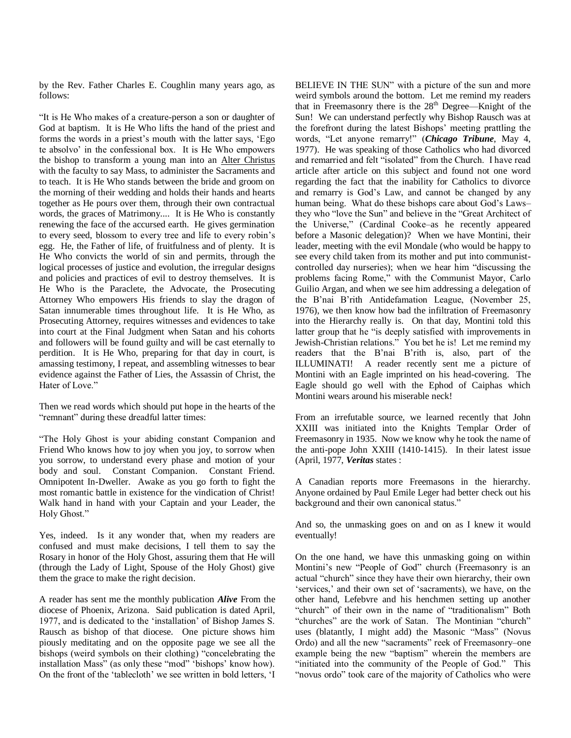by the Rev. Father Charles E. Coughlin many years ago, as follows:

"It is He Who makes of a creature-person a son or daughter of God at baptism. It is He Who lifts the hand of the priest and forms the words in a priest's mouth with the latter says, 'Ego te absolvo' in the confessional box. It is He Who empowers the bishop to transform a young man into an Alter Christus with the faculty to say Mass, to administer the Sacraments and to teach. It is He Who stands between the bride and groom on the morning of their wedding and holds their hands and hearts together as He pours over them, through their own contractual words, the graces of Matrimony.... It is He Who is constantly renewing the face of the accursed earth. He gives germination to every seed, blossom to every tree and life to every robin's egg. He, the Father of life, of fruitfulness and of plenty. It is He Who convicts the world of sin and permits, through the logical processes of justice and evolution, the irregular designs and policies and practices of evil to destroy themselves. It is He Who is the Paraclete, the Advocate, the Prosecuting Attorney Who empowers His friends to slay the dragon of Satan innumerable times throughout life. It is He Who, as Prosecuting Attorney, requires witnesses and evidences to take into court at the Final Judgment when Satan and his cohorts and followers will be found guilty and will be cast eternally to perdition. It is He Who, preparing for that day in court, is amassing testimony, I repeat, and assembling witnesses to bear evidence against the Father of Lies, the Assassin of Christ, the Hater of Love."

Then we read words which should put hope in the hearts of the "remnant" during these dreadful latter times:

―The Holy Ghost is your abiding constant Companion and Friend Who knows how to joy when you joy, to sorrow when you sorrow, to understand every phase and motion of your body and soul. Constant Companion. Constant Friend. Omnipotent In-Dweller. Awake as you go forth to fight the most romantic battle in existence for the vindication of Christ! Walk hand in hand with your Captain and your Leader, the Holy Ghost."

Yes, indeed. Is it any wonder that, when my readers are confused and must make decisions, I tell them to say the Rosary in honor of the Holy Ghost, assuring them that He will (through the Lady of Light, Spouse of the Holy Ghost) give them the grace to make the right decision.

A reader has sent me the monthly publication *Alive* From the diocese of Phoenix, Arizona. Said publication is dated April, 1977, and is dedicated to the 'installation' of Bishop James S. Rausch as bishop of that diocese. One picture shows him piously meditating and on the opposite page we see all the bishops (weird symbols on their clothing) "concelebrating the installation Mass" (as only these "mod" 'bishops' know how). On the front of the 'tablecloth' we see written in bold letters, 'I BELIEVE IN THE SUN" with a picture of the sun and more weird symbols around the bottom. Let me remind my readers that in Freemasonry there is the  $28<sup>th</sup>$  Degree—Knight of the Sun! We can understand perfectly why Bishop Rausch was at the forefront during the latest Bishops' meeting prattling the words, "Let anyone remarry!" (*Chicago Tribune*, May 4, 1977). He was speaking of those Catholics who had divorced and remarried and felt "isolated" from the Church. I have read article after article on this subject and found not one word regarding the fact that the inability for Catholics to divorce and remarry is God's Law, and cannot be changed by any human being. What do these bishops care about God's Laws– they who "love the Sun" and believe in the "Great Architect of the Universe," (Cardinal Cooke–as he recently appeared before a Masonic delegation)? When we have Montini, their leader, meeting with the evil Mondale (who would be happy to see every child taken from its mother and put into communistcontrolled day nurseries); when we hear him "discussing the problems facing Rome," with the Communist Mayor, Carlo Guilio Argan, and when we see him addressing a delegation of the B'nai B'rith Antidefamation League, (November 25, 1976), we then know how bad the infiltration of Freemasonry into the Hierarchy really is. On that day, Montini told this latter group that he "is deeply satisfied with improvements in Jewish-Christian relations." You bet he is! Let me remind my readers that the B'nai B'rith is, also, part of the ILLUMINATI! A reader recently sent me a picture of Montini with an Eagle imprinted on his head-covering. The Eagle should go well with the Ephod of Caiphas which Montini wears around his miserable neck!

From an irrefutable source, we learned recently that John XXIII was initiated into the Knights Templar Order of Freemasonry in 1935. Now we know why he took the name of the anti-pope John XXIII (1410-1415). In their latest issue (April, 1977, *Veritas* states :

A Canadian reports more Freemasons in the hierarchy. Anyone ordained by Paul Emile Leger had better check out his background and their own canonical status."

And so, the unmasking goes on and on as I knew it would eventually!

On the one hand, we have this unmasking going on within Montini's new "People of God" church (Freemasonry is an actual "church" since they have their own hierarchy, their own 'services,' and their own set of 'sacraments), we have, on the other hand, Lefebvre and his henchmen setting up another "church" of their own in the name of "traditionalism" Both "churches" are the work of Satan. The Montinian "church" uses (blatantly, I might add) the Masonic "Mass" (Novus Ordo) and all the new "sacraments" reek of Freemasonry–one example being the new "baptism" wherein the members are "initiated into the community of the People of God." This "novus ordo" took care of the majority of Catholics who were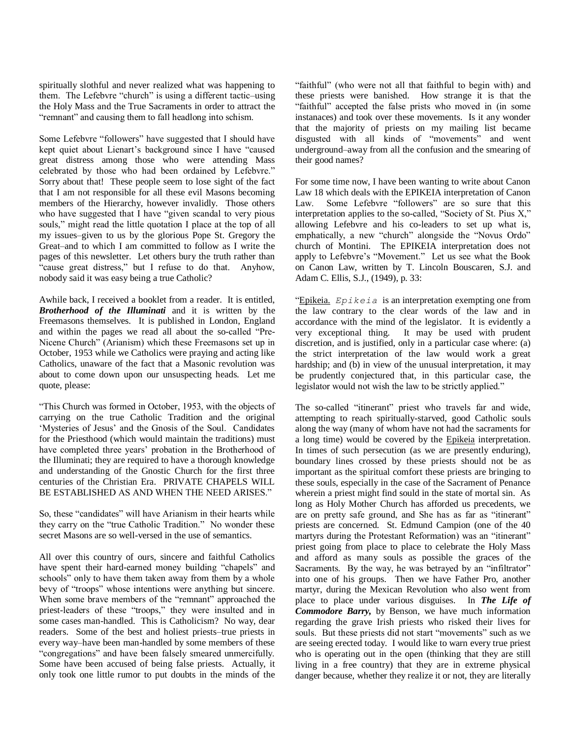spiritually slothful and never realized what was happening to them. The Lefebvre "church" is using a different tactic–using the Holy Mass and the True Sacraments in order to attract the "remnant" and causing them to fall headlong into schism.

Some Lefebvre "followers" have suggested that I should have kept quiet about Lienart's background since I have "caused great distress among those who were attending Mass celebrated by those who had been ordained by Lefebvre." Sorry about that! These people seem to lose sight of the fact that I am not responsible for all these evil Masons becoming members of the Hierarchy, however invalidly. Those others who have suggested that I have "given scandal to very pious souls," might read the little quotation I place at the top of all my issues–given to us by the glorious Pope St. Gregory the Great–and to which I am committed to follow as I write the pages of this newsletter. Let others bury the truth rather than "cause great distress," but I refuse to do that. Anyhow, nobody said it was easy being a true Catholic?

Awhile back, I received a booklet from a reader. It is entitled, *Brotherhood of the Illuminati* and it is written by the Freemasons themselves. It is published in London, England and within the pages we read all about the so-called "Pre-Nicene Church" (Arianism) which these Freemasons set up in October, 1953 while we Catholics were praying and acting like Catholics, unaware of the fact that a Masonic revolution was about to come down upon our unsuspecting heads. Let me quote, please:

―This Church was formed in October, 1953, with the objects of carrying on the true Catholic Tradition and the original ‗Mysteries of Jesus' and the Gnosis of the Soul. Candidates for the Priesthood (which would maintain the traditions) must have completed three years' probation in the Brotherhood of the Illuminati; they are required to have a thorough knowledge and understanding of the Gnostic Church for the first three centuries of the Christian Era. PRIVATE CHAPELS WILL BE ESTABLISHED AS AND WHEN THE NEED ARISES."

So, these "candidates" will have Arianism in their hearts while they carry on the "true Catholic Tradition." No wonder these secret Masons are so well-versed in the use of semantics.

All over this country of ours, sincere and faithful Catholics have spent their hard-earned money building "chapels" and schools" only to have them taken away from them by a whole bevy of "troops" whose intentions were anything but sincere. When some brave members of the "remnant" approached the priest-leaders of these "troops," they were insulted and in some cases man-handled. This is Catholicism? No way, dear readers. Some of the best and holiest priests–true priests in every way–have been man-handled by some members of these "congregations" and have been falsely smeared unmercifully. Some have been accused of being false priests. Actually, it only took one little rumor to put doubts in the minds of the

"faithful" (who were not all that faithful to begin with) and these priests were banished. How strange it is that the ―faithful‖ accepted the false prists who moved in (in some instanaces) and took over these movements. Is it any wonder that the majority of priests on my mailing list became disgusted with all kinds of "movements" and went underground–away from all the confusion and the smearing of their good names?

For some time now, I have been wanting to write about Canon Law 18 which deals with the EPIKEIA interpretation of Canon Law. Some Lefebvre "followers" are so sure that this interpretation applies to the so-called, "Society of St. Pius X," allowing Lefebvre and his co-leaders to set up what is, emphatically, a new "church" alongside the "Novus Ordo" church of Montini. The EPIKEIA interpretation does not apply to Lefebvre's "Movement." Let us see what the Book on Canon Law, written by T. Lincoln Bouscaren, S.J. and Adam C. Ellis, S.J., (1949), p. 33:

―Epikeia. *Epikeia* is an interpretation exempting one from the law contrary to the clear words of the law and in accordance with the mind of the legislator. It is evidently a very exceptional thing. It may be used with prudent discretion, and is justified, only in a particular case where: (a) the strict interpretation of the law would work a great hardship; and (b) in view of the unusual interpretation, it may be prudently conjectured that, in this particular case, the legislator would not wish the law to be strictly applied."

The so-called "itinerant" priest who travels far and wide, attempting to reach spiritually-starved, good Catholic souls along the way (many of whom have not had the sacraments for a long time) would be covered by the Epikeia interpretation. In times of such persecution (as we are presently enduring), boundary lines crossed by these priests should not be as important as the spiritual comfort these priests are bringing to these souls, especially in the case of the Sacrament of Penance wherein a priest might find sould in the state of mortal sin. As long as Holy Mother Church has afforded us precedents, we are on pretty safe ground, and She has as far as "itinerant" priests are concerned. St. Edmund Campion (one of the 40 martyrs during the Protestant Reformation) was an "itinerant" priest going from place to place to celebrate the Holy Mass and afford as many souls as possible the graces of the Sacraments. By the way, he was betrayed by an "infiltrator" into one of his groups. Then we have Father Pro, another martyr, during the Mexican Revolution who also went from place to place under various disguises. In *The Life of Commodore Barry,* by Benson, we have much information regarding the grave Irish priests who risked their lives for souls. But these priests did not start "movements" such as we are seeing erected today. I would like to warn every true priest who is operating out in the open (thinking that they are still living in a free country) that they are in extreme physical danger because, whether they realize it or not, they are literally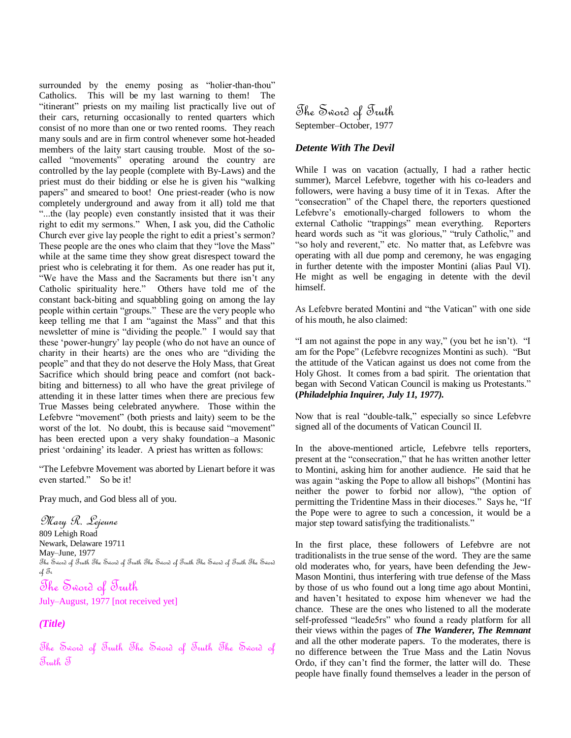surrounded by the enemy posing as "holier-than-thou" Catholics. This will be my last warning to them! The "itinerant" priests on my mailing list practically live out of their cars, returning occasionally to rented quarters which consist of no more than one or two rented rooms. They reach many souls and are in firm control whenever some hot-headed members of the laity start causing trouble. Most of the socalled "movements" operating around the country are controlled by the lay people (complete with By-Laws) and the priest must do their bidding or else he is given his "walking" papers" and smeared to boot! One priest-reader (who is now completely underground and away from it all) told me that ―...the (lay people) even constantly insisted that it was their right to edit my sermons." When, I ask you, did the Catholic Church ever give lay people the right to edit a priest's sermon? These people are the ones who claim that they "love the Mass" while at the same time they show great disrespect toward the priest who is celebrating it for them. As one reader has put it, ―We have the Mass and the Sacraments but there isn't any Catholic spirituality here." Others have told me of the constant back-biting and squabbling going on among the lay people within certain "groups." These are the very people who keep telling me that I am "against the Mass" and that this newsletter of mine is "dividing the people." I would say that these 'power-hungry' lay people (who do not have an ounce of charity in their hearts) are the ones who are "dividing the people" and that they do not deserve the Holy Mass, that Great Sacrifice which should bring peace and comfort (not backbiting and bitterness) to all who have the great privilege of attending it in these latter times when there are precious few True Masses being celebrated anywhere. Those within the Lefebvre "movement" (both priests and laity) seem to be the worst of the lot. No doubt, this is because said "movement" has been erected upon a very shaky foundation–a Masonic priest 'ordaining' its leader. A priest has written as follows:

―The Lefebvre Movement was aborted by Lienart before it was even started." So be it!

Pray much, and God bless all of you.

Mary R. Lejeune 809 Lehigh Road Newark, Delaware 19711 May–June, 1977 The Sword of Truth The Sword of Truth The Sword of Truth The Sword of Truth The Sword  $\partial_t \mathcal{J}_t$ The Sword of Truth

July–August, 1977 [not received yet]

# *(Title)*

The Sword of Truth The Sword of Truth The Sword of Truth T

The Sword of Truth September–October, 1977

### *Detente With The Devil*

While I was on vacation (actually, I had a rather hectic summer), Marcel Lefebvre, together with his co-leaders and followers, were having a busy time of it in Texas. After the "consecration" of the Chapel there, the reporters questioned Lefebvre's emotionally-charged followers to whom the external Catholic "trappings" mean everything. Reporters heard words such as "it was glorious," "truly Catholic," and "so holy and reverent," etc. No matter that, as Lefebvre was operating with all due pomp and ceremony, he was engaging in further detente with the imposter Montini (alias Paul VI). He might as well be engaging in detente with the devil himself.

As Lefebvre berated Montini and "the Vatican" with one side of his mouth, he also claimed:

"I am not against the pope in any way," (you bet he isn't). "I am for the Pope" (Lefebvre recognizes Montini as such). "But the attitude of the Vatican against us does not come from the Holy Ghost. It comes from a bad spirit. The orientation that began with Second Vatican Council is making us Protestants." **(***Philadelphia Inquirer, July 11, 1977).*

Now that is real "double-talk," especially so since Lefebvre signed all of the documents of Vatican Council II.

In the above-mentioned article, Lefebvre tells reporters, present at the "consecration," that he has written another letter to Montini, asking him for another audience. He said that he was again "asking the Pope to allow all bishops" (Montini has neither the power to forbid nor allow), "the option of permitting the Tridentine Mass in their dioceses." Says he, "If the Pope were to agree to such a concession, it would be a major step toward satisfying the traditionalists."

In the first place, these followers of Lefebvre are not traditionalists in the true sense of the word. They are the same old moderates who, for years, have been defending the Jew-Mason Montini, thus interfering with true defense of the Mass by those of us who found out a long time ago about Montini, and haven't hesitated to expose him whenever we had the chance. These are the ones who listened to all the moderate self-professed "leade5rs" who found a ready platform for all their views within the pages of *The Wanderer, The Remnant* and all the other moderate papers. To the moderates, there is no difference between the True Mass and the Latin Novus Ordo, if they can't find the former, the latter will do. These people have finally found themselves a leader in the person of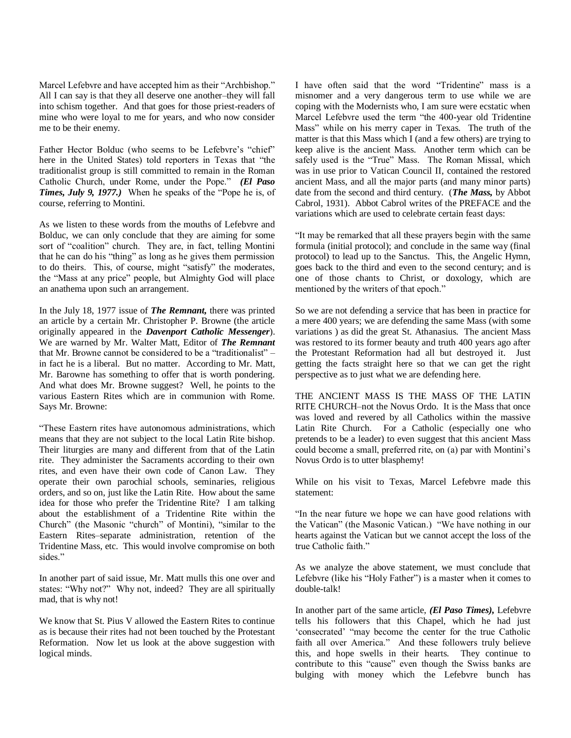Marcel Lefebvre and have accepted him as their "Archbishop." All I can say is that they all deserve one another–they will fall into schism together. And that goes for those priest-readers of mine who were loyal to me for years, and who now consider me to be their enemy.

Father Hector Bolduc (who seems to be Lefebvre's "chief" here in the United States) told reporters in Texas that "the traditionalist group is still committed to remain in the Roman Catholic Church, under Rome, under the Pope." (El Paso *Times, July 9, 1977.*) When he speaks of the "Pope he is, of course, referring to Montini.

As we listen to these words from the mouths of Lefebvre and Bolduc, we can only conclude that they are aiming for some sort of "coalition" church. They are, in fact, telling Montini that he can do his "thing" as long as he gives them permission to do theirs. This, of course, might "satisfy" the moderates, the "Mass at any price" people, but Almighty God will place an anathema upon such an arrangement.

In the July 18, 1977 issue of *The Remnant,* there was printed an article by a certain Mr. Christopher P. Browne (the article originally appeared in the *Davenport Catholic Messenger*). We are warned by Mr. Walter Matt, Editor of *The Remnant* that Mr. Browne cannot be considered to be a "traditionalist" – in fact he is a liberal. But no matter. According to Mr. Matt, Mr. Barowne has something to offer that is worth pondering. And what does Mr. Browne suggest? Well, he points to the various Eastern Rites which are in communion with Rome. Says Mr. Browne:

―These Eastern rites have autonomous administrations, which means that they are not subject to the local Latin Rite bishop. Their liturgies are many and different from that of the Latin rite. They administer the Sacraments according to their own rites, and even have their own code of Canon Law. They operate their own parochial schools, seminaries, religious orders, and so on, just like the Latin Rite. How about the same idea for those who prefer the Tridentine Rite? I am talking about the establishment of a Tridentine Rite within the Church" (the Masonic "church" of Montini), "similar to the Eastern Rites–separate administration, retention of the Tridentine Mass, etc. This would involve compromise on both sides."

In another part of said issue, Mr. Matt mulls this one over and states: "Why not?" Why not, indeed? They are all spiritually mad, that is why not!

We know that St. Pius V allowed the Eastern Rites to continue as is because their rites had not been touched by the Protestant Reformation. Now let us look at the above suggestion with logical minds.

I have often said that the word "Tridentine" mass is a misnomer and a very dangerous term to use while we are coping with the Modernists who, I am sure were ecstatic when Marcel Lefebvre used the term "the 400-year old Tridentine Mass" while on his merry caper in Texas. The truth of the matter is that this Mass which I (and a few others) are trying to keep alive is the ancient Mass. Another term which can be safely used is the "True" Mass. The Roman Missal, which was in use prior to Vatican Council II, contained the restored ancient Mass, and all the major parts (and many minor parts) date from the second and third century. (*The Mass,* by Abbot Cabrol, 1931). Abbot Cabrol writes of the PREFACE and the variations which are used to celebrate certain feast days:

"It may be remarked that all these prayers begin with the same formula (initial protocol); and conclude in the same way (final protocol) to lead up to the Sanctus. This, the Angelic Hymn, goes back to the third and even to the second century; and is one of those chants to Christ, or doxology, which are mentioned by the writers of that epoch."

So we are not defending a service that has been in practice for a mere 400 years; we are defending the same Mass (with some variations ) as did the great St. Athanasius. The ancient Mass was restored to its former beauty and truth 400 years ago after the Protestant Reformation had all but destroyed it. Just getting the facts straight here so that we can get the right perspective as to just what we are defending here.

THE ANCIENT MASS IS THE MASS OF THE LATIN RITE CHURCH–not the Novus Ordo. It is the Mass that once was loved and revered by all Catholics within the massive Latin Rite Church. For a Catholic (especially one who pretends to be a leader) to even suggest that this ancient Mass could become a small, preferred rite, on (a) par with Montini's Novus Ordo is to utter blasphemy!

While on his visit to Texas, Marcel Lefebvre made this statement:

―In the near future we hope we can have good relations with the Vatican" (the Masonic Vatican.) "We have nothing in our hearts against the Vatican but we cannot accept the loss of the true Catholic faith."

As we analyze the above statement, we must conclude that Lefebvre (like his "Holy Father") is a master when it comes to double-talk!

In another part of the same article, *(El Paso Times),* Lefebvre tells his followers that this Chapel, which he had just 'consecrated' "may become the center for the true Catholic faith all over America." And these followers truly believe this, and hope swells in their hearts. They continue to contribute to this "cause" even though the Swiss banks are bulging with money which the Lefebvre bunch has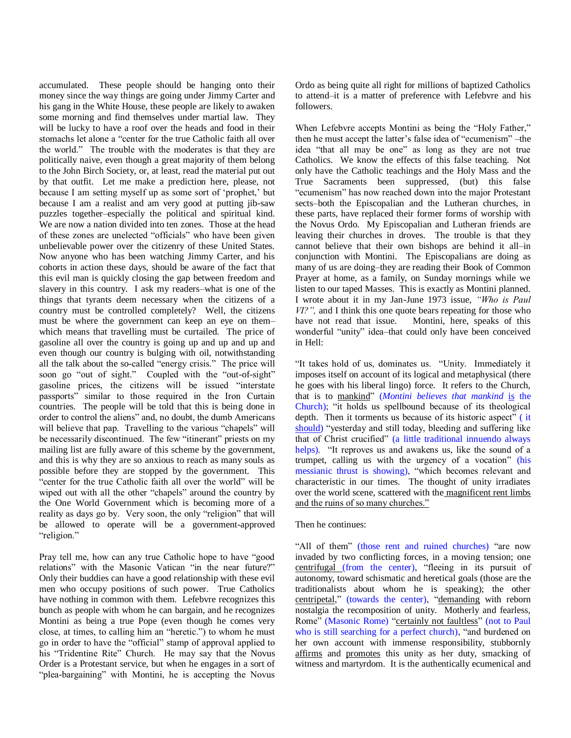accumulated. These people should be hanging onto their money since the way things are going under Jimmy Carter and his gang in the White House, these people are likely to awaken some morning and find themselves under martial law. They will be lucky to have a roof over the heads and food in their stomachs let alone a "center for the true Catholic faith all over the world." The trouble with the moderates is that they are politically naive, even though a great majority of them belong to the John Birch Society, or, at least, read the material put out by that outfit. Let me make a prediction here, please, not because I am setting myself up as some sort of 'prophet,' but because I am a realist and am very good at putting jib-saw puzzles together–especially the political and spiritual kind. We are now a nation divided into ten zones. Those at the head of these zones are unelected "officials" who have been given unbelievable power over the citizenry of these United States. Now anyone who has been watching Jimmy Carter, and his cohorts in action these days, should be aware of the fact that this evil man is quickly closing the gap between freedom and slavery in this country. I ask my readers–what is one of the things that tyrants deem necessary when the citizens of a country must be controlled completely? Well, the citizens must be where the government can keep an eye on them– which means that travelling must be curtailed. The price of gasoline all over the country is going up and up and up and even though our country is bulging with oil, notwithstanding all the talk about the so-called "energy crisis." The price will soon go "out of sight." Coupled with the "out-of-sight" gasoline prices, the citizens will be issued "interstate passports" similar to those required in the Iron Curtain countries. The people will be told that this is being done in order to control the aliens" and, no doubt, the dumb Americans will believe that pap. Travelling to the various "chapels" will be necessarily discontinued. The few "itinerant" priests on my mailing list are fully aware of this scheme by the government, and this is why they are so anxious to reach as many souls as possible before they are stopped by the government. This "center for the true Catholic faith all over the world" will be wiped out with all the other "chapels" around the country by the One World Government which is becoming more of a reality as days go by. Very soon, the only "religion" that will be allowed to operate will be a government-approved "religion."

Pray tell me, how can any true Catholic hope to have "good relations" with the Masonic Vatican "in the near future?" Only their buddies can have a good relationship with these evil men who occupy positions of such power. True Catholics have nothing in common with them. Lefebvre recognizes this bunch as people with whom he can bargain, and he recognizes Montini as being a true Pope (even though he comes very close, at times, to calling him an "heretic.") to whom he must go in order to have the "official" stamp of approval applied to his "Tridentine Rite" Church. He may say that the Novus Order is a Protestant service, but when he engages in a sort of "plea-bargaining" with Montini, he is accepting the Novus

Ordo as being quite all right for millions of baptized Catholics to attend–it is a matter of preference with Lefebvre and his followers.

When Lefebvre accepts Montini as being the "Holy Father," then he must accept the latter's false idea of "ecumenism" –the idea "that all may be one" as long as they are not true Catholics. We know the effects of this false teaching. Not only have the Catholic teachings and the Holy Mass and the True Sacraments been suppressed, (but) this false "ecumenism" has now reached down into the major Protestant sects–both the Episcopalian and the Lutheran churches, in these parts, have replaced their former forms of worship with the Novus Ordo. My Episcopalian and Lutheran friends are leaving their churches in droves. The trouble is that they cannot believe that their own bishops are behind it all–in conjunction with Montini. The Episcopalians are doing as many of us are doing–they are reading their Book of Common Prayer at home, as a family, on Sunday mornings while we listen to our taped Masses. This is exactly as Montini planned. I wrote about it in my Jan-June 1973 issue, *"Who is Paul VI?",* and I think this one quote bears repeating for those who have not read that issue. Montini, here, speaks of this wonderful "unity" idea–that could only have been conceived in Hell:

"It takes hold of us, dominates us. "Unity. Immediately it imposes itself on account of its logical and metaphysical (there he goes with his liberal lingo) force. It refers to the Church, that is to mankind‖ (*Montini believes that mankind* is the Church); "it holds us spellbound because of its theological depth. Then it torments us because of its historic aspect" (it should) "yesterday and still today, bleeding and suffering like that of Christ crucified" (a little traditional innuendo always helps). "It reproves us and awakens us, like the sound of a trumpet, calling us with the urgency of a vocation" (his messianic thrust is showing), "which becomes relevant and characteristic in our times. The thought of unity irradiates over the world scene, scattered with the magnificent rent limbs and the ruins of so many churches."

### Then he continues:

"All of them" (those rent and ruined churches) "are now invaded by two conflicting forces, in a moving tension; one centrifugal (from the center), "fleeing in its pursuit of autonomy, toward schismatic and heretical goals (those are the traditionalists about whom he is speaking); the other centripetal," (towards the center), "demanding with reborn nostalgia the recomposition of unity. Motherly and fearless, Rome" (Masonic Rome) "certainly not faultless" (not to Paul who is still searching for a perfect church), "and burdened on her own account with immense responsibility, stubbornly affirms and promotes this unity as her duty, smacking of witness and martyrdom. It is the authentically ecumenical and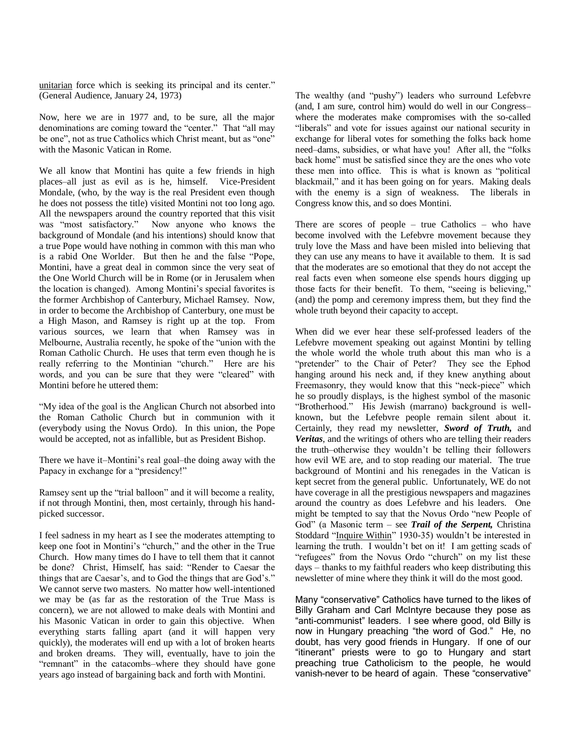unitarian force which is seeking its principal and its center." (General Audience, January 24, 1973)

Now, here we are in 1977 and, to be sure, all the major denominations are coming toward the "center." That "all may be one", not as true Catholics which Christ meant, but as "one" with the Masonic Vatican in Rome.

We all know that Montini has quite a few friends in high places–all just as evil as is he, himself. Vice-President Mondale, (who, by the way is the real President even though he does not possess the title) visited Montini not too long ago. All the newspapers around the country reported that this visit was "most satisfactory." Now anyone who knows the background of Mondale (and his intentions) should know that a true Pope would have nothing in common with this man who is a rabid One Worlder. But then he and the false "Pope, Montini, have a great deal in common since the very seat of the One World Church will be in Rome (or in Jerusalem when the location is changed). Among Montini's special favorites is the former Archbishop of Canterbury, Michael Ramsey. Now, in order to become the Archbishop of Canterbury, one must be a High Mason, and Ramsey is right up at the top. From various sources, we learn that when Ramsey was in Melbourne, Australia recently, he spoke of the "union with the Roman Catholic Church. He uses that term even though he is really referring to the Montinian "church." Here are his words, and you can be sure that they were "cleared" with Montini before he uttered them:

―My idea of the goal is the Anglican Church not absorbed into the Roman Catholic Church but in communion with it (everybody using the Novus Ordo). In this union, the Pope would be accepted, not as infallible, but as President Bishop.

There we have it–Montini's real goal–the doing away with the Papacy in exchange for a "presidency!"

Ramsey sent up the "trial balloon" and it will become a reality, if not through Montini, then, most certainly, through his handpicked successor.

I feel sadness in my heart as I see the moderates attempting to keep one foot in Montini's "church," and the other in the True Church. How many times do I have to tell them that it cannot be done? Christ, Himself, has said: "Render to Caesar the things that are Caesar's, and to God the things that are God's." We cannot serve two masters. No matter how well-intentioned we may be (as far as the restoration of the True Mass is concern), we are not allowed to make deals with Montini and his Masonic Vatican in order to gain this objective. When everything starts falling apart (and it will happen very quickly), the moderates will end up with a lot of broken hearts and broken dreams. They will, eventually, have to join the "remnant" in the catacombs–where they should have gone years ago instead of bargaining back and forth with Montini.

The wealthy (and "pushy") leaders who surround Lefebvre (and, I am sure, control him) would do well in our Congress– where the moderates make compromises with the so-called "liberals" and vote for issues against our national security in exchange for liberal votes for something the folks back home need–dams, subsidies, or what have you! After all, the "folks" back home" must be satisfied since they are the ones who vote these men into office. This is what is known as "political" blackmail," and it has been going on for years. Making deals with the enemy is a sign of weakness. The liberals in Congress know this, and so does Montini.

There are scores of people – true Catholics – who have become involved with the Lefebvre movement because they truly love the Mass and have been misled into believing that they can use any means to have it available to them. It is sad that the moderates are so emotional that they do not accept the real facts even when someone else spends hours digging up those facts for their benefit. To them, "seeing is believing," (and) the pomp and ceremony impress them, but they find the whole truth beyond their capacity to accept.

When did we ever hear these self-professed leaders of the Lefebvre movement speaking out against Montini by telling the whole world the whole truth about this man who is a "pretender" to the Chair of Peter? They see the Ephod hanging around his neck and, if they knew anything about Freemasonry, they would know that this "neck-piece" which he so proudly displays, is the highest symbol of the masonic "Brotherhood." His Jewish (marrano) background is wellknown, but the Lefebvre people remain silent about it. Certainly, they read my newsletter, *Sword of Truth,* and *Veritas*, and the writings of others who are telling their readers the truth–otherwise they wouldn't be telling their followers how evil WE are, and to stop reading our material. The true background of Montini and his renegades in the Vatican is kept secret from the general public. Unfortunately, WE do not have coverage in all the prestigious newspapers and magazines around the country as does Lefebvre and his leaders. One might be tempted to say that the Novus Ordo "new People of God" (a Masonic term – see *Trail of the Serpent*, Christina Stoddard "Inquire Within" 1930-35) wouldn't be interested in learning the truth. I wouldn't bet on it! I am getting scads of "refugees" from the Novus Ordo "church" on my list these days – thanks to my faithful readers who keep distributing this newsletter of mine where they think it will do the most good.

Many "conservative" Catholics have turned to the likes of Billy Graham and Carl McIntyre because they pose as "anti-communist" leaders. I see where good, old Billy is now in Hungary preaching "the word of God." He, no doubt, has very good friends in Hungary. If one of our "itinerant" priests were to go to Hungary and start preaching true Catholicism to the people, he would vanish–never to be heard of again. These "conservative"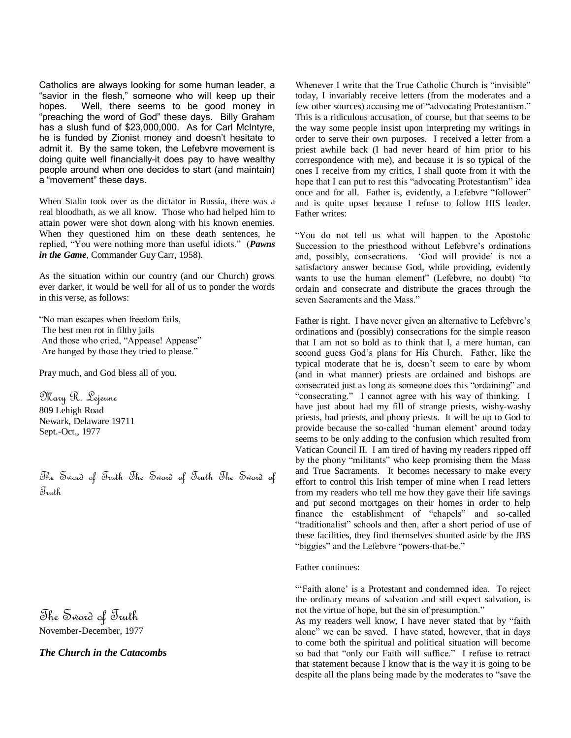Catholics are always looking for some human leader, a "savior in the flesh," someone who will keep up their hopes. Well, there seems to be good money in "preaching the word of God" these days. Billy Graham has a slush fund of \$23,000,000. As for Carl McIntyre, he is funded by Zionist money and doesn't hesitate to admit it. By the same token, the Lefebvre movement is doing quite well financially–it does pay to have wealthy people around when one decides to start (and maintain) a "movement" these days.

When Stalin took over as the dictator in Russia, there was a real bloodbath, as we all know. Those who had helped him to attain power were shot down along with his known enemies. When they questioned him on these death sentences, he replied, "You were nothing more than useful idiots." (*Pawns in the Game*, Commander Guy Carr, 1958).

As the situation within our country (and our Church) grows ever darker, it would be well for all of us to ponder the words in this verse, as follows:

―No man escapes when freedom fails, The best men rot in filthy jails And those who cried, "Appease! Appease" Are hanged by those they tried to please."

Pray much, and God bless all of you.

Mary R. Lejeune 809 Lehigh Road Newark, Delaware 19711 Sept.-Oct., 1977

The Sword of Truth The Sword of Truth The Sword of Truth

The Sword of Truth November-December, 1977

*The Church in the Catacombs*

Whenever I write that the True Catholic Church is "invisible" today, I invariably receive letters (from the moderates and a few other sources) accusing me of "advocating Protestantism." This is a ridiculous accusation, of course, but that seems to be the way some people insist upon interpreting my writings in order to serve their own purposes. I received a letter from a priest awhile back (I had never heard of him prior to his correspondence with me), and because it is so typical of the ones I receive from my critics, I shall quote from it with the hope that I can put to rest this "advocating Protestantism" idea once and for all. Father is, evidently, a Lefebvre "follower" and is quite upset because I refuse to follow HIS leader. Father writes:

―You do not tell us what will happen to the Apostolic Succession to the priesthood without Lefebvre's ordinations and, possibly, consecrations. 'God will provide' is not a satisfactory answer because God, while providing, evidently wants to use the human element" (Lefebvre, no doubt) "to ordain and consecrate and distribute the graces through the seven Sacraments and the Mass."

Father is right. I have never given an alternative to Lefebvre's ordinations and (possibly) consecrations for the simple reason that I am not so bold as to think that I, a mere human, can second guess God's plans for His Church. Father, like the typical moderate that he is, doesn't seem to care by whom (and in what manner) priests are ordained and bishops are consecrated just as long as someone does this "ordaining" and "consecrating." I cannot agree with his way of thinking. I have just about had my fill of strange priests, wishy-washy priests, bad priests, and phony priests. It will be up to God to provide because the so-called ‗human element' around today seems to be only adding to the confusion which resulted from Vatican Council II. I am tired of having my readers ripped off by the phony "militants" who keep promising them the Mass and True Sacraments. It becomes necessary to make every effort to control this Irish temper of mine when I read letters from my readers who tell me how they gave their life savings and put second mortgages on their homes in order to help finance the establishment of "chapels" and so-called "traditionalist" schools and then, after a short period of use of these facilities, they find themselves shunted aside by the JBS "biggies" and the Lefebvre "powers-that-be."

Father continues:

―‗Faith alone' is a Protestant and condemned idea. To reject the ordinary means of salvation and still expect salvation, is not the virtue of hope, but the sin of presumption."

As my readers well know, I have never stated that by "faith alone" we can be saved. I have stated, however, that in days to come both the spiritual and political situation will become so bad that "only our Faith will suffice." I refuse to retract that statement because I know that is the way it is going to be despite all the plans being made by the moderates to "save the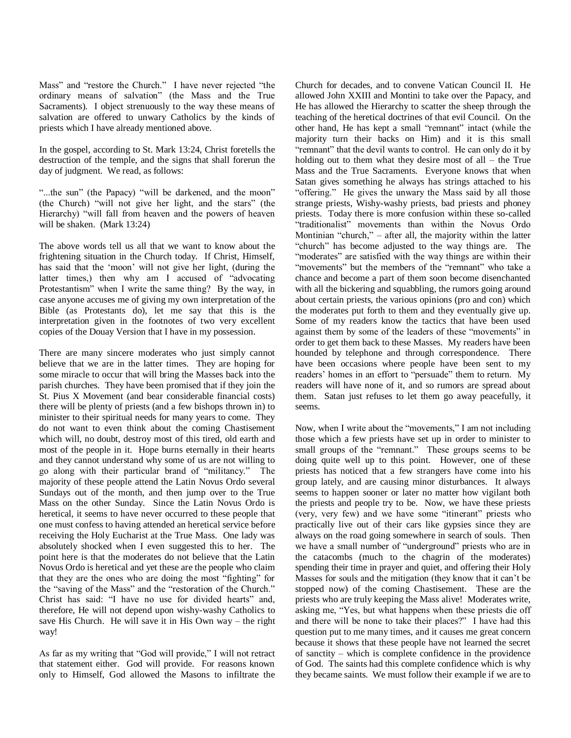Mass" and "restore the Church." I have never rejected "the ordinary means of salvation" (the Mass and the True Sacraments). I object strenuously to the way these means of salvation are offered to unwary Catholics by the kinds of priests which I have already mentioned above.

In the gospel, according to St. Mark 13:24, Christ foretells the destruction of the temple, and the signs that shall forerun the day of judgment. We read, as follows:

"...the sun" (the Papacy) "will be darkened, and the moon" (the Church) "will not give her light, and the stars" (the Hierarchy) "will fall from heaven and the powers of heaven will be shaken. (Mark 13:24)

The above words tell us all that we want to know about the frightening situation in the Church today. If Christ, Himself, has said that the 'moon' will not give her light, (during the latter times,) then why am I accused of "advocating" Protestantism" when I write the same thing? By the way, in case anyone accuses me of giving my own interpretation of the Bible (as Protestants do), let me say that this is the interpretation given in the footnotes of two very excellent copies of the Douay Version that I have in my possession.

There are many sincere moderates who just simply cannot believe that we are in the latter times. They are hoping for some miracle to occur that will bring the Masses back into the parish churches. They have been promised that if they join the St. Pius X Movement (and bear considerable financial costs) there will be plenty of priests (and a few bishops thrown in) to minister to their spiritual needs for many years to come. They do not want to even think about the coming Chastisement which will, no doubt, destroy most of this tired, old earth and most of the people in it. Hope burns eternally in their hearts and they cannot understand why some of us are not willing to go along with their particular brand of "militancy." The majority of these people attend the Latin Novus Ordo several Sundays out of the month, and then jump over to the True Mass on the other Sunday. Since the Latin Novus Ordo is heretical, it seems to have never occurred to these people that one must confess to having attended an heretical service before receiving the Holy Eucharist at the True Mass. One lady was absolutely shocked when I even suggested this to her. The point here is that the moderates do not believe that the Latin Novus Ordo is heretical and yet these are the people who claim that they are the ones who are doing the most "fighting" for the "saving of the Mass" and the "restoration of the Church." Christ has said: "I have no use for divided hearts" and, therefore, He will not depend upon wishy-washy Catholics to save His Church. He will save it in His Own way – the right way!

As far as my writing that "God will provide," I will not retract that statement either. God will provide. For reasons known only to Himself, God allowed the Masons to infiltrate the

Church for decades, and to convene Vatican Council II. He allowed John XXIII and Montini to take over the Papacy, and He has allowed the Hierarchy to scatter the sheep through the teaching of the heretical doctrines of that evil Council. On the other hand, He has kept a small "remnant" intact (while the majority turn their backs on Him) and it is this small "remnant" that the devil wants to control. He can only do it by holding out to them what they desire most of all – the True Mass and the True Sacraments. Everyone knows that when Satan gives something he always has strings attached to his "offering." He gives the unwary the Mass said by all those strange priests, Wishy-washy priests, bad priests and phoney priests. Today there is more confusion within these so-called "traditionalist" movements than within the Novus Ordo Montinian "church," – after all, the majority within the latter "church" has become adjusted to the way things are. The "moderates" are satisfied with the way things are within their "movements" but the members of the "remnant" who take a chance and become a part of them soon become disenchanted with all the bickering and squabbling, the rumors going around about certain priests, the various opinions (pro and con) which the moderates put forth to them and they eventually give up. Some of my readers know the tactics that have been used against them by some of the leaders of these "movements" in order to get them back to these Masses. My readers have been hounded by telephone and through correspondence. There have been occasions where people have been sent to my readers' homes in an effort to "persuade" them to return. My readers will have none of it, and so rumors are spread about them. Satan just refuses to let them go away peacefully, it seems.

Now, when I write about the "movements," I am not including those which a few priests have set up in order to minister to small groups of the "remnant." These groups seems to be doing quite well up to this point. However, one of these priests has noticed that a few strangers have come into his group lately, and are causing minor disturbances. It always seems to happen sooner or later no matter how vigilant both the priests and people try to be. Now, we have these priests (very, very few) and we have some "itinerant" priests who practically live out of their cars like gypsies since they are always on the road going somewhere in search of souls. Then we have a small number of "underground" priests who are in the catacombs (much to the chagrin of the moderates) spending their time in prayer and quiet, and offering their Holy Masses for souls and the mitigation (they know that it can't be stopped now) of the coming Chastisement. These are the priests who are truly keeping the Mass alive! Moderates write, asking me, "Yes, but what happens when these priests die off and there will be none to take their places?" I have had this question put to me many times, and it causes me great concern because it shows that these people have not learned the secret of sanctity – which is complete confidence in the providence of God. The saints had this complete confidence which is why they became saints. We must follow their example if we are to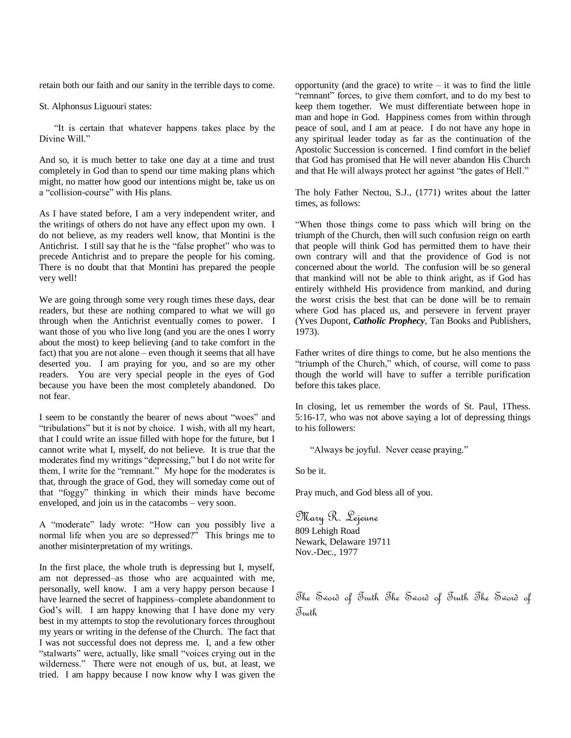retain both our faith and our sanity in the terrible days to come.

St. Alphonsus Liguouri states:

"It is certain that whatever happens takes place by the Divine Will."

And so, it is much better to take one day at a time and trust completely in God than to spend our time making plans which might, no matter how good our intentions might be, take us on a "collision-course" with His plans.

As I have stated before, I am a very independent writer, and the writings of others do not have any effect upon my own. I do not believe, as my readers well know, that Montini is the Antichrist. I still say that he is the "false prophet" who was to precede Antichrist and to prepare the people for his coming. There is no doubt that that Montini has prepared the people very well!

We are going through some very rough times these days, dear readers, but these are nothing compared to what we will go through when the Antichrist eventually comes to power. I want those of you who live long (and you are the ones I worry about the most) to keep believing (and to take comfort in the fact) that you are not alone – even though it seems that all have deserted you. I am praying for you, and so are my other readers. You are very special people in the eyes of God because you have been the most completely abandoned. Do not fear.

I seem to be constantly the bearer of news about "woes" and "tribulations" but it is not by choice. I wish, with all my heart, that I could write an issue filled with hope for the future, but I cannot write what I, myself, do not believe. It is true that the moderates find my writings "depressing," but I do not write for them, I write for the "remnant." My hope for the moderates is that, through the grace of God, they will someday come out of that "foggy" thinking in which their minds have become enveloped, and join us in the catacombs – very soon.

A "moderate" lady wrote: "How can you possibly live a normal life when you are so depressed?" This brings me to another misinterpretation of my writings.

In the first place, the whole truth is depressing but I, myself, am not depressed–as those who are acquainted with me, personally, well know. I am a very happy person because I have learned the secret of happiness–complete abandonment to God's will. I am happy knowing that I have done my very best in my attempts to stop the revolutionary forces throughout my years or writing in the defense of the Church. The fact that I was not successful does not depress me. I, and a few other "stalwarts" were, actually, like small "voices crying out in the wilderness." There were not enough of us, but, at least, we tried. I am happy because I now know why I was given the

opportunity (and the grace) to write  $-$  it was to find the little "remnant" forces, to give them comfort, and to do my best to keep them together. We must differentiate between hope in man and hope in God. Happiness comes from within through peace of soul, and I am at peace. I do not have any hope in any spiritual leader today as far as the continuation of the Apostolic Succession is concerned. I find comfort in the belief that God has promised that He will never abandon His Church and that He will always protect her against "the gates of Hell."

The holy Father Nectou, S.J., (1771) writes about the latter times, as follows:

―When those things come to pass which will bring on the triumph of the Church, then will such confusion reign on earth that people will think God has permitted them to have their own contrary will and that the providence of God is not concerned about the world. The confusion will be so general that mankind will not be able to think aright, as if God has entirely withheld His providence from mankind, and during the worst crisis the best that can be done will be to remain where God has placed us, and persevere in fervent prayer (Yves Dupont, *Catholic Prophecy*, Tan Books and Publishers, 1973).

Father writes of dire things to come, but he also mentions the "triumph of the Church," which, of course, will come to pass though the world will have to suffer a terrible purification before this takes place.

In closing, let us remember the words of St. Paul, 1Thess. 5:16-17, who was not above saying a lot of depressing things to his followers:

"Always be joyful. Never cease praying."

So be it.

Pray much, and God bless all of you.

Mary R. Lejeune 809 Lehigh Road Newark, Delaware 19711 Nov.-Dec., 1977

The Sword of Truth The Sword of Truth The Sword of  $\mathcal{J}_{\textit{multh}}$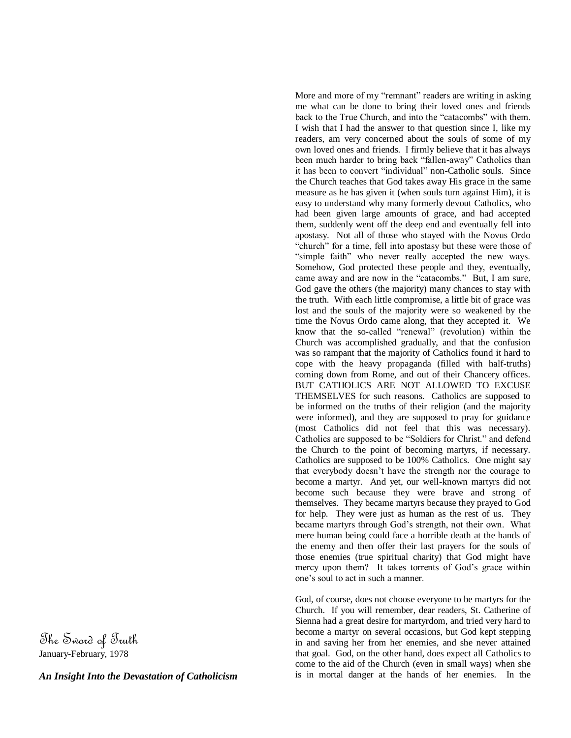The Sword of Truth January-February, 1978

*An Insight Into the Devastation of Catholicism*

More and more of my "remnant" readers are writing in asking me what can be done to bring their loved ones and friends back to the True Church, and into the "catacombs" with them. I wish that I had the answer to that question since I, like my readers, am very concerned about the souls of some of my own loved ones and friends. I firmly believe that it has always been much harder to bring back "fallen-away" Catholics than it has been to convert "individual" non-Catholic souls. Since the Church teaches that God takes away His grace in the same measure as he has given it (when souls turn against Him), it is easy to understand why many formerly devout Catholics, who had been given large amounts of grace, and had accepted them, suddenly went off the deep end and eventually fell into apostasy. Not all of those who stayed with the Novus Ordo "church" for a time, fell into apostasy but these were those of "simple faith" who never really accepted the new ways. Somehow, God protected these people and they, eventually, came away and are now in the "catacombs." But, I am sure, God gave the others (the majority) many chances to stay with the truth. With each little compromise, a little bit of grace was lost and the souls of the majority were so weakened by the time the Novus Ordo came along, that they accepted it. We know that the so-called "renewal" (revolution) within the Church was accomplished gradually, and that the confusion was so rampant that the majority of Catholics found it hard to cope with the heavy propaganda (filled with half-truths) coming down from Rome, and out of their Chancery offices. BUT CATHOLICS ARE NOT ALLOWED TO EXCUSE THEMSELVES for such reasons. Catholics are supposed to be informed on the truths of their religion (and the majority were informed), and they are supposed to pray for guidance (most Catholics did not feel that this was necessary). Catholics are supposed to be "Soldiers for Christ." and defend the Church to the point of becoming martyrs, if necessary. Catholics are supposed to be 100% Catholics. One might say that everybody doesn't have the strength nor the courage to become a martyr. And yet, our well-known martyrs did not become such because they were brave and strong of themselves. They became martyrs because they prayed to God for help. They were just as human as the rest of us. They became martyrs through God's strength, not their own. What mere human being could face a horrible death at the hands of the enemy and then offer their last prayers for the souls of those enemies (true spiritual charity) that God might have mercy upon them? It takes torrents of God's grace within one's soul to act in such a manner.

God, of course, does not choose everyone to be martyrs for the Church. If you will remember, dear readers, St. Catherine of Sienna had a great desire for martyrdom, and tried very hard to become a martyr on several occasions, but God kept stepping in and saving her from her enemies, and she never attained that goal. God, on the other hand, does expect all Catholics to come to the aid of the Church (even in small ways) when she is in mortal danger at the hands of her enemies. In the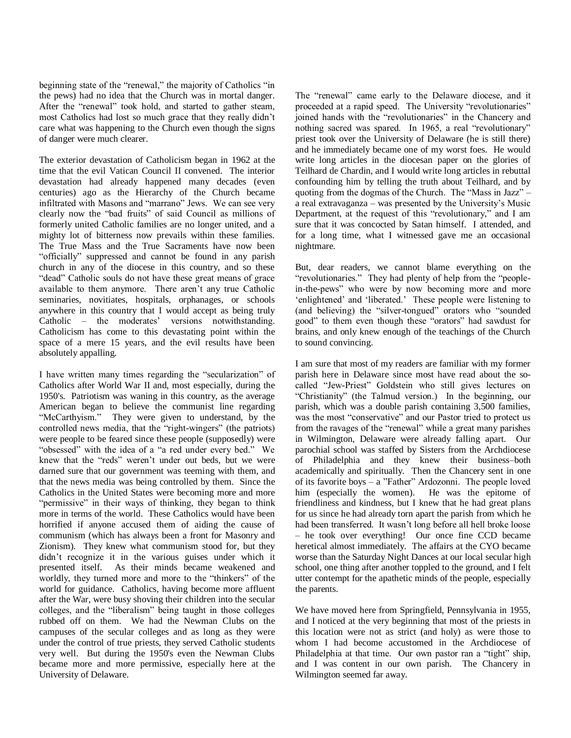beginning state of the "renewal," the majority of Catholics "in the pews) had no idea that the Church was in mortal danger. After the "renewal" took hold, and started to gather steam, most Catholics had lost so much grace that they really didn't care what was happening to the Church even though the signs of danger were much clearer.

The exterior devastation of Catholicism began in 1962 at the time that the evil Vatican Council II convened. The interior devastation had already happened many decades (even centuries) ago as the Hierarchy of the Church became infiltrated with Masons and "marrano" Jews. We can see very clearly now the "bad fruits" of said Council as millions of formerly united Catholic families are no longer united, and a mighty lot of bitterness now prevails within these families. The True Mass and the True Sacraments have now been "officially" suppressed and cannot be found in any parish church in any of the diocese in this country, and so these "dead" Catholic souls do not have these great means of grace available to them anymore. There aren't any true Catholic seminaries, novitiates, hospitals, orphanages, or schools anywhere in this country that I would accept as being truly Catholic – the moderates' versions notwithstanding. Catholicism has come to this devastating point within the space of a mere 15 years, and the evil results have been absolutely appalling.

I have written many times regarding the "secularization" of Catholics after World War II and, most especially, during the 1950's. Patriotism was waning in this country, as the average American began to believe the communist line regarding "McCarthyism." They were given to understand, by the controlled news media, that the "right-wingers" (the patriots) were people to be feared since these people (supposedly) were "obsessed" with the idea of a "a red under every bed." We knew that the "reds" weren't under out beds, but we were darned sure that our government was teeming with them, and that the news media was being controlled by them. Since the Catholics in the United States were becoming more and more "permissive" in their ways of thinking, they began to think more in terms of the world. These Catholics would have been horrified if anyone accused them of aiding the cause of communism (which has always been a front for Masonry and Zionism). They knew what communism stood for, but they didn't recognize it in the various guises under which it presented itself. As their minds became weakened and worldly, they turned more and more to the "thinkers" of the world for guidance. Catholics, having become more affluent after the War, were busy shoving their children into the secular colleges, and the "liberalism" being taught in those colleges rubbed off on them. We had the Newman Clubs on the campuses of the secular colleges and as long as they were under the control of true priests, they served Catholic students very well. But during the 1950's even the Newman Clubs became more and more permissive, especially here at the University of Delaware.

The "renewal" came early to the Delaware diocese, and it proceeded at a rapid speed. The University "revolutionaries" joined hands with the "revolutionaries" in the Chancery and nothing sacred was spared. In 1965, a real "revolutionary" priest took over the University of Delaware (he is still there) and he immediately became one of my worst foes. He would write long articles in the diocesan paper on the glories of Teilhard de Chardin, and I would write long articles in rebuttal confounding him by telling the truth about Teilhard, and by quoting from the dogmas of the Church. The "Mass in Jazz" – a real extravaganza – was presented by the University's Music Department, at the request of this "revolutionary," and I am sure that it was concocted by Satan himself. I attended, and for a long time, what I witnessed gave me an occasional nightmare.

But, dear readers, we cannot blame everything on the "revolutionaries." They had plenty of help from the "peoplein-the-pews" who were by now becoming more and more 'enlightened' and 'liberated.' These people were listening to (and believing) the "silver-tongued" orators who "sounded good" to them even though these "orators" had sawdust for brains, and only knew enough of the teachings of the Church to sound convincing.

I am sure that most of my readers are familiar with my former parish here in Delaware since most have read about the socalled "Jew-Priest" Goldstein who still gives lectures on ―Christianity‖ (the Talmud version.) In the beginning, our parish, which was a double parish containing 3,500 families, was the most "conservative" and our Pastor tried to protect us from the ravages of the "renewal" while a great many parishes in Wilmington, Delaware were already falling apart. Our parochial school was staffed by Sisters from the Archdiocese of Philadelphia and they knew their business–both academically and spiritually. Then the Chancery sent in one of its favorite boys  $-$  a "Father" Ardozonni. The people loved him (especially the women). He was the epitome of friendliness and kindness, but I knew that he had great plans for us since he had already torn apart the parish from which he had been transferred. It wasn't long before all hell broke loose – he took over everything! Our once fine CCD became heretical almost immediately. The affairs at the CYO became worse than the Saturday Night Dances at our local secular high school, one thing after another toppled to the ground, and I felt utter contempt for the apathetic minds of the people, especially the parents.

We have moved here from Springfield, Pennsylvania in 1955, and I noticed at the very beginning that most of the priests in this location were not as strict (and holy) as were those to whom I had become accustomed in the Archdiocese of Philadelphia at that time. Our own pastor ran a "tight" ship, and I was content in our own parish. The Chancery in Wilmington seemed far away.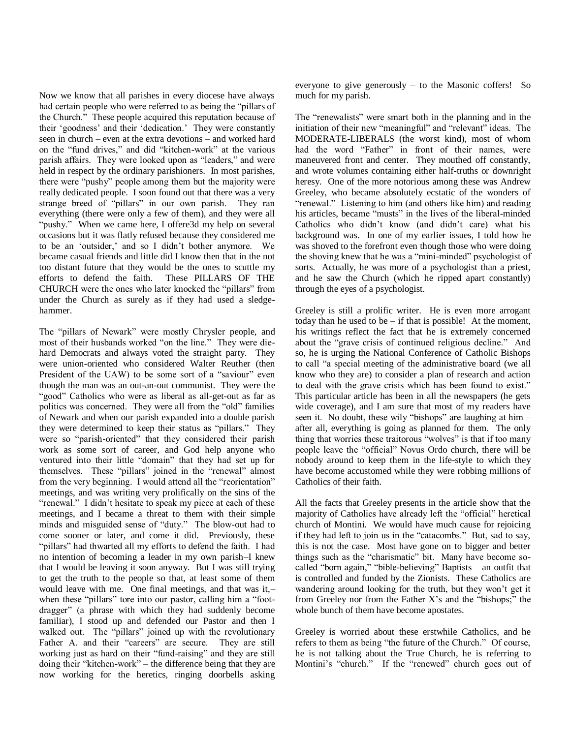Now we know that all parishes in every diocese have always had certain people who were referred to as being the "pillars of the Church." These people acquired this reputation because of their 'goodness' and their 'dedication.' They were constantly seen in church – even at the extra devotions – and worked hard on the "fund drives," and did "kitchen-work" at the various parish affairs. They were looked upon as "leaders," and were held in respect by the ordinary parishioners. In most parishes, there were "pushy" people among them but the majority were really dedicated people. I soon found out that there was a very strange breed of "pillars" in our own parish. They ran everything (there were only a few of them), and they were all "pushy." When we came here, I offere3d my help on several occasions but it was flatly refused because they considered me to be an 'outsider,' and so I didn't bother anymore. We became casual friends and little did I know then that in the not too distant future that they would be the ones to scuttle my efforts to defend the faith. These PILLARS OF THE CHURCH were the ones who later knocked the "pillars" from under the Church as surely as if they had used a sledgehammer.

The "pillars of Newark" were mostly Chrysler people, and most of their husbands worked "on the line." They were diehard Democrats and always voted the straight party. They were union-oriented who considered Walter Reuther (then President of the UAW) to be some sort of a "saviour" even though the man was an out-an-out communist. They were the "good" Catholics who were as liberal as all-get-out as far as politics was concerned. They were all from the "old" families of Newark and when our parish expanded into a double parish they were determined to keep their status as "pillars." They were so "parish-oriented" that they considered their parish work as some sort of career, and God help anyone who ventured into their little "domain" that they had set up for themselves. These "pillars" joined in the "renewal" almost from the very beginning. I would attend all the "reorientation" meetings, and was writing very prolifically on the sins of the "renewal." I didn't hesitate to speak my piece at each of these meetings, and I became a threat to them with their simple minds and misguided sense of "duty." The blow-out had to come sooner or later, and come it did. Previously, these "pillars" had thwarted all my efforts to defend the faith. I had no intention of becoming a leader in my own parish–I knew that I would be leaving it soon anyway. But I was still trying to get the truth to the people so that, at least some of them would leave with me. One final meetings, and that was it,– when these "pillars" tore into our pastor, calling him a "footdragger" (a phrase with which they had suddenly become familiar), I stood up and defended our Pastor and then I walked out. The "pillars" joined up with the revolutionary Father A. and their "careers" are secure. They are still working just as hard on their "fund-raising" and they are still doing their "kitchen-work" – the difference being that they are now working for the heretics, ringing doorbells asking

everyone to give generously – to the Masonic coffers! So much for my parish.

The "renewalists" were smart both in the planning and in the initiation of their new "meaningful" and "relevant" ideas. The MODERATE-LIBERALS (the worst kind), most of whom had the word "Father" in front of their names, were maneuvered front and center. They mouthed off constantly, and wrote volumes containing either half-truths or downright heresy. One of the more notorious among these was Andrew Greeley, who became absolutely ecstatic of the wonders of "renewal." Listening to him (and others like him) and reading his articles, became "musts" in the lives of the liberal-minded Catholics who didn't know (and didn't care) what his background was. In one of my earlier issues, I told how he was shoved to the forefront even though those who were doing the shoving knew that he was a "mini-minded" psychologist of sorts. Actually, he was more of a psychologist than a priest, and he saw the Church (which he ripped apart constantly) through the eyes of a psychologist.

Greeley is still a prolific writer. He is even more arrogant today than he used to be – if that is possible! At the moment, his writings reflect the fact that he is extremely concerned about the "grave crisis of continued religious decline." And so, he is urging the National Conference of Catholic Bishops to call "a special meeting of the administrative board (we all know who they are) to consider a plan of research and action to deal with the grave crisis which has been found to exist." This particular article has been in all the newspapers (he gets wide coverage), and I am sure that most of my readers have seen it. No doubt, these wily "bishops" are laughing at him  $$ after all, everything is going as planned for them. The only thing that worries these traitorous "wolves" is that if too many people leave the "official" Novus Ordo church, there will be nobody around to keep them in the life-style to which they have become accustomed while they were robbing millions of Catholics of their faith.

All the facts that Greeley presents in the article show that the majority of Catholics have already left the "official" heretical church of Montini. We would have much cause for rejoicing if they had left to join us in the "catacombs." But, sad to say, this is not the case. Most have gone on to bigger and better things such as the "charismatic" bit. Many have become socalled "born again," "bible-believing" Baptists – an outfit that is controlled and funded by the Zionists. These Catholics are wandering around looking for the truth, but they won't get it from Greeley nor from the Father X's and the "bishops;" the whole bunch of them have become apostates.

Greeley is worried about these erstwhile Catholics, and he refers to them as being "the future of the Church." Of course, he is not talking about the True Church, he is referring to Montini's "church." If the "renewed" church goes out of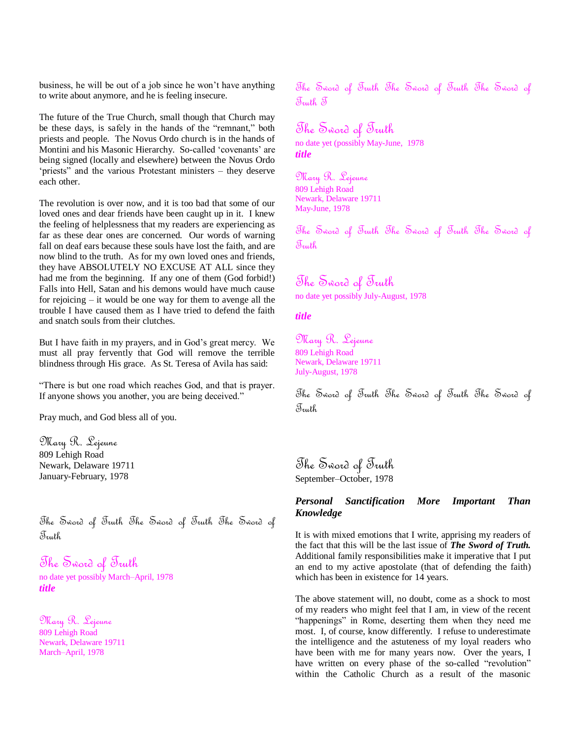business, he will be out of a job since he won't have anything to write about anymore, and he is feeling insecure.

The future of the True Church, small though that Church may be these days, is safely in the hands of the "remnant," both priests and people. The Novus Ordo church is in the hands of Montini and his Masonic Hierarchy. So-called 'covenants' are being signed (locally and elsewhere) between the Novus Ordo 'priests" and the various Protestant ministers – they deserve each other.

The revolution is over now, and it is too bad that some of our loved ones and dear friends have been caught up in it. I knew the feeling of helplessness that my readers are experiencing as far as these dear ones are concerned. Our words of warning fall on deaf ears because these souls have lost the faith, and are now blind to the truth. As for my own loved ones and friends, they have ABSOLUTELY NO EXCUSE AT ALL since they had me from the beginning. If any one of them (God forbid!) Falls into Hell, Satan and his demons would have much cause for rejoicing – it would be one way for them to avenge all the trouble I have caused them as I have tried to defend the faith and snatch souls from their clutches.

But I have faith in my prayers, and in God's great mercy. We must all pray fervently that God will remove the terrible blindness through His grace. As St. Teresa of Avila has said:

―There is but one road which reaches God, and that is prayer. If anyone shows you another, you are being deceived."

Pray much, and God bless all of you.

Mary R. Lejeune 809 Lehigh Road Newark, Delaware 19711 January-February, 1978

The Sword of Truth The Sword of Truth The Sword of Truth

# The Sword of Truth

no date yet possibly March–April, 1978 *title*

Mary R. Lejeune 809 Lehigh Road Newark, Delaware 19711 March–April, 1978

The Sword of Truth The Sword of Truth The Sword of Truth T

# The Sword of Truth

no date yet (possibly May-June, 1978 *title*

Mary R. Lejeune 809 Lehigh Road Newark, Delaware 19711 May-June, 1978

The Sword of Truth The Sword of Truth The Sword of Truth

# The Sword of Truth

no date yet possibly July-August, 1978

*title*

Mary R. Lejeune 809 Lehigh Road Newark, Delaware 19711 July-August, 1978

The Sword of Truth The Sword of Truth The Sword of Truth

The Sword of Truth September–October, 1978

# *Personal Sanctification More Important Than Knowledge*

It is with mixed emotions that I write, apprising my readers of the fact that this will be the last issue of *The Sword of Truth.* Additional family responsibilities make it imperative that I put an end to my active apostolate (that of defending the faith) which has been in existence for 14 years.

The above statement will, no doubt, come as a shock to most of my readers who might feel that I am, in view of the recent "happenings" in Rome, deserting them when they need me most. I, of course, know differently. I refuse to underestimate the intelligence and the astuteness of my loyal readers who have been with me for many years now. Over the years, I have written on every phase of the so-called "revolution" within the Catholic Church as a result of the masonic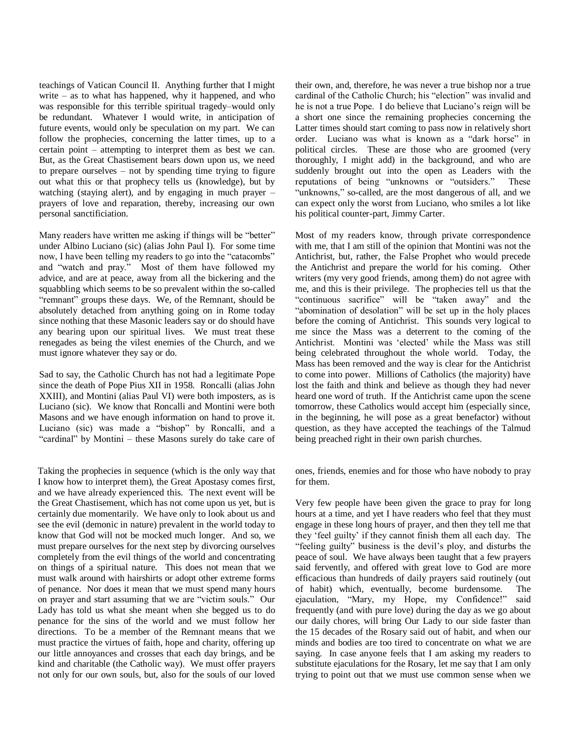teachings of Vatican Council II. Anything further that I might write – as to what has happened, why it happened, and who was responsible for this terrible spiritual tragedy–would only be redundant. Whatever I would write, in anticipation of future events, would only be speculation on my part. We can follow the prophecies, concerning the latter times, up to a certain point – attempting to interpret them as best we can. But, as the Great Chastisement bears down upon us, we need to prepare ourselves  $-$  not by spending time trying to figure out what this or that prophecy tells us (knowledge), but by watching (staying alert), and by engaging in much prayer – prayers of love and reparation, thereby, increasing our own personal sanctificiation.

Many readers have written me asking if things will be "better" under Albino Luciano (sic) (alias John Paul I). For some time now, I have been telling my readers to go into the "catacombs" and "watch and pray." Most of them have followed my advice, and are at peace, away from all the bickering and the squabbling which seems to be so prevalent within the so-called "remnant" groups these days. We, of the Remnant, should be absolutely detached from anything going on in Rome today since nothing that these Masonic leaders say or do should have any bearing upon our spiritual lives. We must treat these renegades as being the vilest enemies of the Church, and we must ignore whatever they say or do.

Sad to say, the Catholic Church has not had a legitimate Pope since the death of Pope Pius XII in 1958. Roncalli (alias John XXIII), and Montini (alias Paul VI) were both imposters, as is Luciano (sic). We know that Roncalli and Montini were both Masons and we have enough information on hand to prove it. Luciano (sic) was made a "bishop" by Roncalli, and a "cardinal" by Montini – these Masons surely do take care of

Taking the prophecies in sequence (which is the only way that I know how to interpret them), the Great Apostasy comes first, and we have already experienced this. The next event will be the Great Chastisement, which has not come upon us yet, but is certainly due momentarily. We have only to look about us and see the evil (demonic in nature) prevalent in the world today to know that God will not be mocked much longer. And so, we must prepare ourselves for the next step by divorcing ourselves completely from the evil things of the world and concentrating on things of a spiritual nature. This does not mean that we must walk around with hairshirts or adopt other extreme forms of penance. Nor does it mean that we must spend many hours on prayer and start assuming that we are "victim souls." Our Lady has told us what she meant when she begged us to do penance for the sins of the world and we must follow her directions. To be a member of the Remnant means that we must practice the virtues of faith, hope and charity, offering up our little annoyances and crosses that each day brings, and be kind and charitable (the Catholic way). We must offer prayers not only for our own souls, but, also for the souls of our loved

their own, and, therefore, he was never a true bishop nor a true cardinal of the Catholic Church; his "election" was invalid and he is not a true Pope. I do believe that Luciano's reign will be a short one since the remaining prophecies concerning the Latter times should start coming to pass now in relatively short order. Luciano was what is known as a "dark horse" in political circles. These are those who are groomed (very thoroughly, I might add) in the background, and who are suddenly brought out into the open as Leaders with the reputations of being "unknowns or "outsiders." These "unknowns," so-called, are the most dangerous of all, and we can expect only the worst from Luciano, who smiles a lot like his political counter-part, Jimmy Carter.

Most of my readers know, through private correspondence with me, that I am still of the opinion that Montini was not the Antichrist, but, rather, the False Prophet who would precede the Antichrist and prepare the world for his coming. Other writers (my very good friends, among them) do not agree with me, and this is their privilege. The prophecies tell us that the "continuous sacrifice" will be "taken away" and the "abomination of desolation" will be set up in the holy places before the coming of Antichrist. This sounds very logical to me since the Mass was a deterrent to the coming of the Antichrist. Montini was 'elected' while the Mass was still being celebrated throughout the whole world. Today, the Mass has been removed and the way is clear for the Antichrist to come into power. Millions of Catholics (the majority) have lost the faith and think and believe as though they had never heard one word of truth. If the Antichrist came upon the scene tomorrow, these Catholics would accept him (especially since, in the beginning, he will pose as a great benefactor) without question, as they have accepted the teachings of the Talmud being preached right in their own parish churches.

ones, friends, enemies and for those who have nobody to pray for them.

Very few people have been given the grace to pray for long hours at a time, and yet I have readers who feel that they must engage in these long hours of prayer, and then they tell me that they 'feel guilty' if they cannot finish them all each day. The "feeling guilty" business is the devil's ploy, and disturbs the peace of soul. We have always been taught that a few prayers said fervently, and offered with great love to God are more efficacious than hundreds of daily prayers said routinely (out of habit) which, eventually, become burdensome. The ejaculation, "Mary, my Hope, my Confidence!" said frequently (and with pure love) during the day as we go about our daily chores, will bring Our Lady to our side faster than the 15 decades of the Rosary said out of habit, and when our minds and bodies are too tired to concentrate on what we are saying. In case anyone feels that I am asking my readers to substitute ejaculations for the Rosary, let me say that I am only trying to point out that we must use common sense when we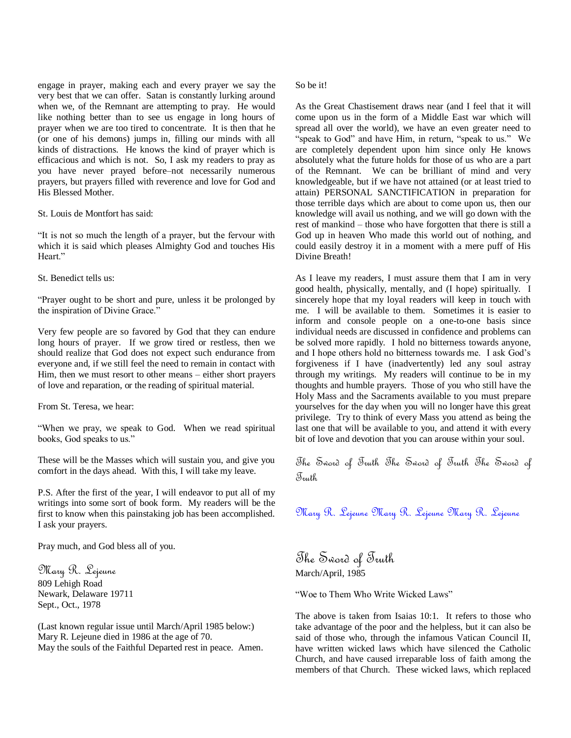engage in prayer, making each and every prayer we say the very best that we can offer. Satan is constantly lurking around when we, of the Remnant are attempting to pray. He would like nothing better than to see us engage in long hours of prayer when we are too tired to concentrate. It is then that he (or one of his demons) jumps in, filling our minds with all kinds of distractions. He knows the kind of prayer which is efficacious and which is not. So, I ask my readers to pray as you have never prayed before–not necessarily numerous prayers, but prayers filled with reverence and love for God and His Blessed Mother.

St. Louis de Montfort has said:

"It is not so much the length of a prayer, but the fervour with which it is said which pleases Almighty God and touches His Heart."

St. Benedict tells us:

―Prayer ought to be short and pure, unless it be prolonged by the inspiration of Divine Grace."

Very few people are so favored by God that they can endure long hours of prayer. If we grow tired or restless, then we should realize that God does not expect such endurance from everyone and, if we still feel the need to remain in contact with Him, then we must resort to other means – either short prayers of love and reparation, or the reading of spiritual material.

From St. Teresa, we hear:

"When we pray, we speak to God. When we read spiritual books, God speaks to us."

These will be the Masses which will sustain you, and give you comfort in the days ahead. With this, I will take my leave.

P.S. After the first of the year, I will endeavor to put all of my writings into some sort of book form. My readers will be the first to know when this painstaking job has been accomplished. I ask your prayers.

Pray much, and God bless all of you.

Mary R. Lejeune 809 Lehigh Road Newark, Delaware 19711 Sept., Oct., 1978

(Last known regular issue until March/April 1985 below:) Mary R. Lejeune died in 1986 at the age of 70. May the souls of the Faithful Departed rest in peace. Amen.

#### So be it!

As the Great Chastisement draws near (and I feel that it will come upon us in the form of a Middle East war which will spread all over the world), we have an even greater need to "speak to God" and have Him, in return, "speak to us." We are completely dependent upon him since only He knows absolutely what the future holds for those of us who are a part of the Remnant. We can be brilliant of mind and very knowledgeable, but if we have not attained (or at least tried to attain) PERSONAL SANCTIFICATION in preparation for those terrible days which are about to come upon us, then our knowledge will avail us nothing, and we will go down with the rest of mankind – those who have forgotten that there is still a God up in heaven Who made this world out of nothing, and could easily destroy it in a moment with a mere puff of His Divine Breath!

As I leave my readers, I must assure them that I am in very good health, physically, mentally, and (I hope) spiritually. I sincerely hope that my loyal readers will keep in touch with me. I will be available to them. Sometimes it is easier to inform and console people on a one-to-one basis since individual needs are discussed in confidence and problems can be solved more rapidly. I hold no bitterness towards anyone, and I hope others hold no bitterness towards me. I ask God's forgiveness if I have (inadvertently) led any soul astray through my writings. My readers will continue to be in my thoughts and humble prayers. Those of you who still have the Holy Mass and the Sacraments available to you must prepare yourselves for the day when you will no longer have this great privilege. Try to think of every Mass you attend as being the last one that will be available to you, and attend it with every bit of love and devotion that you can arouse within your soul.

The Sword of Truth The Sword of Truth The Sword of Truth

Mary R. Lejeune Mary R. Lejeune Mary R. Lejeune

The Sword of Truth March/April, 1985

"Woe to Them Who Write Wicked Laws"

The above is taken from Isaias 10:1. It refers to those who take advantage of the poor and the helpless, but it can also be said of those who, through the infamous Vatican Council II, have written wicked laws which have silenced the Catholic Church, and have caused irreparable loss of faith among the members of that Church. These wicked laws, which replaced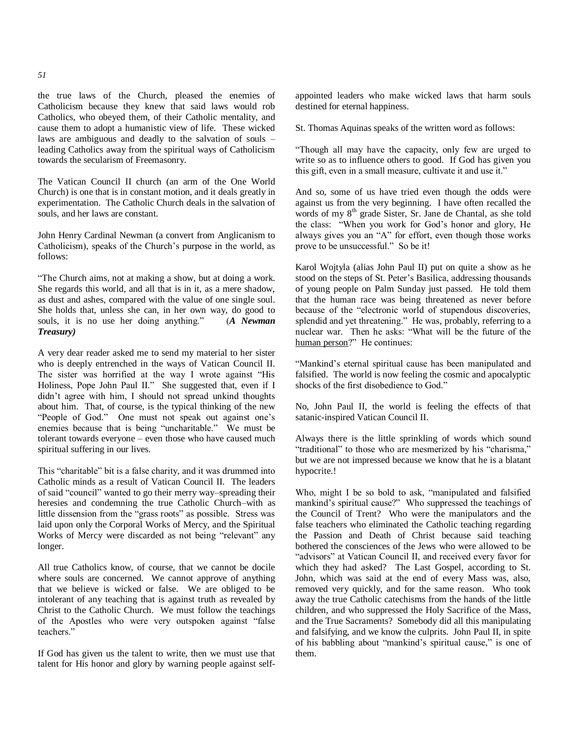the true laws of the Church, pleased the enemies of Catholicism because they knew that said laws would rob Catholics, who obeyed them, of their Catholic mentality, and cause them to adopt a humanistic view of life. These wicked laws are ambiguous and deadly to the salvation of souls – leading Catholics away from the spiritual ways of Catholicism towards the secularism of Freemasonry.

The Vatican Council II church (an arm of the One World Church) is one that is in constant motion, and it deals greatly in experimentation. The Catholic Church deals in the salvation of souls, and her laws are constant.

John Henry Cardinal Newman (a convert from Anglicanism to Catholicism), speaks of the Church's purpose in the world, as follows:

―The Church aims, not at making a show, but at doing a work. She regards this world, and all that is in it, as a mere shadow, as dust and ashes, compared with the value of one single soul. She holds that, unless she can, in her own way, do good to souls, it is no use her doing anything." (*A Newman Treasury)*

A very dear reader asked me to send my material to her sister who is deeply entrenched in the ways of Vatican Council II. The sister was horrified at the way I wrote against "His Holiness, Pope John Paul II." She suggested that, even if I didn't agree with him, I should not spread unkind thoughts about him. That, of course, is the typical thinking of the new "People of God." One must not speak out against one's enemies because that is being "uncharitable." We must be tolerant towards everyone – even those who have caused much spiritual suffering in our lives.

This "charitable" bit is a false charity, and it was drummed into Catholic minds as a result of Vatican Council II. The leaders of said "council" wanted to go their merry way–spreading their heresies and condemning the true Catholic Church–with as little dissension from the "grass roots" as possible. Stress was laid upon only the Corporal Works of Mercy, and the Spiritual Works of Mercy were discarded as not being "relevant" any longer.

All true Catholics know, of course, that we cannot be docile where souls are concerned. We cannot approve of anything that we believe is wicked or false. We are obliged to be intolerant of any teaching that is against truth as revealed by Christ to the Catholic Church. We must follow the teachings of the Apostles who were very outspoken against "false teachers."

If God has given us the talent to write, then we must use that talent for His honor and glory by warning people against selfappointed leaders who make wicked laws that harm souls destined for eternal happiness.

St. Thomas Aquinas speaks of the written word as follows:

―Though all may have the capacity, only few are urged to write so as to influence others to good. If God has given you this gift, even in a small measure, cultivate it and use it."

And so, some of us have tried even though the odds were against us from the very beginning. I have often recalled the words of my 8<sup>th</sup> grade Sister, Sr. Jane de Chantal, as she told the class: "When you work for God's honor and glory, He always gives you an "A" for effort, even though those works prove to be unsuccessful." So be it!

Karol Wojtyla (alias John Paul II) put on quite a show as he stood on the steps of St. Peter's Basilica, addressing thousands of young people on Palm Sunday just passed. He told them that the human race was being threatened as never before because of the "electronic world of stupendous discoveries, splendid and yet threatening." He was, probably, referring to a nuclear war. Then he asks: "What will be the future of the human person?" He continues:

―Mankind's eternal spiritual cause has been manipulated and falsified. The world is now feeling the cosmic and apocalyptic shocks of the first disobedience to God."

No, John Paul II, the world is feeling the effects of that satanic-inspired Vatican Council II.

Always there is the little sprinkling of words which sound "traditional" to those who are mesmerized by his "charisma," but we are not impressed because we know that he is a blatant hypocrite.!

Who, might I be so bold to ask, "manipulated and falsified mankind's spiritual cause?" Who suppressed the teachings of the Council of Trent? Who were the manipulators and the false teachers who eliminated the Catholic teaching regarding the Passion and Death of Christ because said teaching bothered the consciences of the Jews who were allowed to be "advisors" at Vatican Council II, and received every favor for which they had asked? The Last Gospel, according to St. John, which was said at the end of every Mass was, also, removed very quickly, and for the same reason. Who took away the true Catholic catechisms from the hands of the little children, and who suppressed the Holy Sacrifice of the Mass, and the True Sacraments? Somebody did all this manipulating and falsifying, and we know the culprits. John Paul II, in spite of his babbling about "mankind's spiritual cause," is one of them.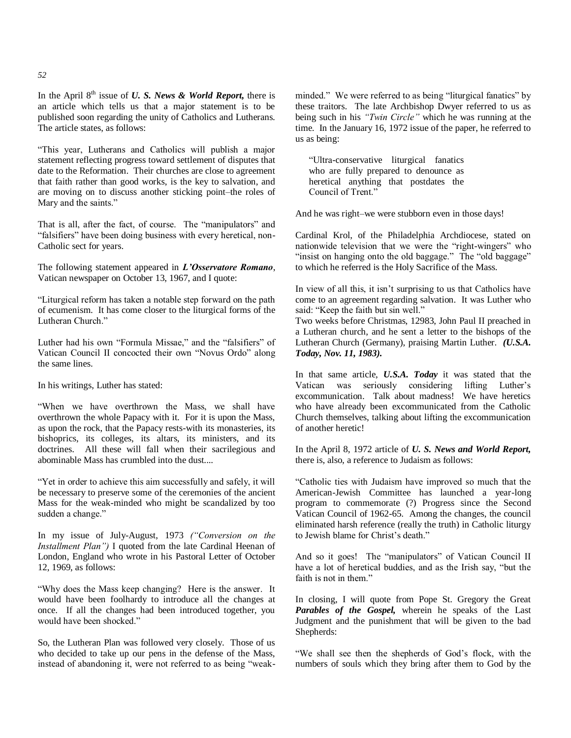In the April 8<sup>th</sup> issue of *U. S. News & World Report*, there is an article which tells us that a major statement is to be published soon regarding the unity of Catholics and Lutherans. The article states, as follows:

―This year, Lutherans and Catholics will publish a major statement reflecting progress toward settlement of disputes that date to the Reformation. Their churches are close to agreement that faith rather than good works, is the key to salvation, and are moving on to discuss another sticking point–the roles of Mary and the saints."

That is all, after the fact, of course. The "manipulators" and "falsifiers" have been doing business with every heretical, non-Catholic sect for years.

The following statement appeared in *L'Osservatore Romano*, Vatican newspaper on October 13, 1967, and I quote:

―Liturgical reform has taken a notable step forward on the path of ecumenism. It has come closer to the liturgical forms of the Lutheran Church."

Luther had his own "Formula Missae," and the "falsifiers" of Vatican Council II concocted their own "Novus Ordo" along the same lines.

In his writings, Luther has stated:

"When we have overthrown the Mass, we shall have overthrown the whole Papacy with it. For it is upon the Mass, as upon the rock, that the Papacy rests-with its monasteries, its bishoprics, its colleges, its altars, its ministers, and its doctrines. All these will fall when their sacrilegious and abominable Mass has crumbled into the dust....

"Yet in order to achieve this aim successfully and safely, it will be necessary to preserve some of the ceremonies of the ancient Mass for the weak-minded who might be scandalized by too sudden a change."

In my issue of July-August, 1973 *("Conversion on the Installment Plan")* I quoted from the late Cardinal Heenan of London, England who wrote in his Pastoral Letter of October 12, 1969, as follows:

―Why does the Mass keep changing? Here is the answer. It would have been foolhardy to introduce all the changes at once. If all the changes had been introduced together, you would have been shocked."

So, the Lutheran Plan was followed very closely. Those of us who decided to take up our pens in the defense of the Mass, instead of abandoning it, were not referred to as being "weakminded." We were referred to as being "liturgical fanatics" by these traitors. The late Archbishop Dwyer referred to us as being such in his *"Twin Circle"* which he was running at the time. In the January 16, 1972 issue of the paper, he referred to us as being:

―Ultra-conservative liturgical fanatics who are fully prepared to denounce as heretical anything that postdates the Council of Trent<sup>"</sup>

And he was right–we were stubborn even in those days!

Cardinal Krol, of the Philadelphia Archdiocese, stated on nationwide television that we were the "right-wingers" who "insist on hanging onto the old baggage." The "old baggage" to which he referred is the Holy Sacrifice of the Mass.

In view of all this, it isn't surprising to us that Catholics have come to an agreement regarding salvation. It was Luther who said: "Keep the faith but sin well."

Two weeks before Christmas, 12983, John Paul II preached in a Lutheran church, and he sent a letter to the bishops of the Lutheran Church (Germany), praising Martin Luther. *(U.S.A. Today, Nov. 11, 1983).*

In that same article, *U.S.A. Today* it was stated that the Vatican was seriously considering lifting Luther's excommunication. Talk about madness! We have heretics who have already been excommunicated from the Catholic Church themselves, talking about lifting the excommunication of another heretic!

In the April 8, 1972 article of *U. S. News and World Report,* there is, also, a reference to Judaism as follows:

―Catholic ties with Judaism have improved so much that the American-Jewish Committee has launched a year-long program to commemorate (?) Progress since the Second Vatican Council of 1962-65. Among the changes, the council eliminated harsh reference (really the truth) in Catholic liturgy to Jewish blame for Christ's death."

And so it goes! The "manipulators" of Vatican Council II have a lot of heretical buddies, and as the Irish say, "but the faith is not in them."

In closing, I will quote from Pope St. Gregory the Great *Parables of the Gospel,* wherein he speaks of the Last Judgment and the punishment that will be given to the bad Shepherds:

―We shall see then the shepherds of God's flock, with the numbers of souls which they bring after them to God by the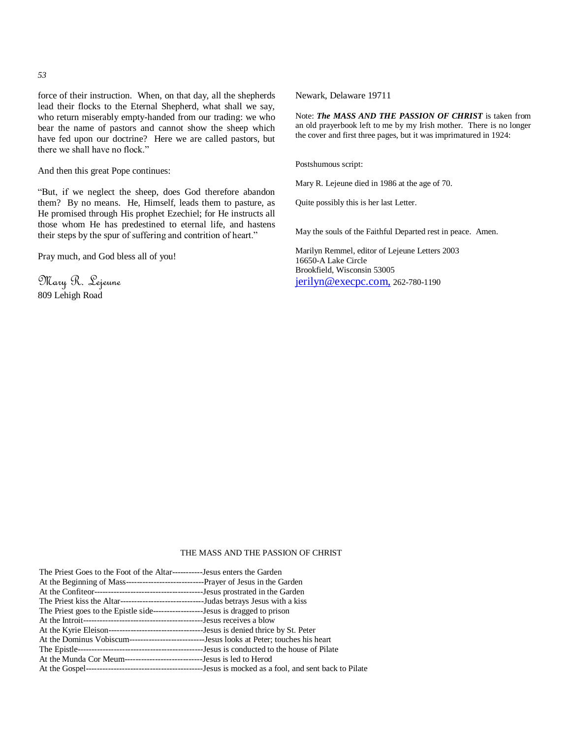force of their instruction. When, on that day, all the shepherds lead their flocks to the Eternal Shepherd, what shall we say, who return miserably empty-handed from our trading: we who bear the name of pastors and cannot show the sheep which have fed upon our doctrine? Here we are called pastors, but there we shall have no flock."

And then this great Pope continues:

―But, if we neglect the sheep, does God therefore abandon them? By no means. He, Himself, leads them to pasture, as He promised through His prophet Ezechiel; for He instructs all those whom He has predestined to eternal life, and hastens their steps by the spur of suffering and contrition of heart."

Pray much, and God bless all of you!

Mary R. Lejeune 809 Lehigh Road

Newark, Delaware 19711

Note: *The MASS AND THE PASSION OF CHRIST* is taken from an old prayerbook left to me by my Irish mother. There is no longer the cover and first three pages, but it was imprimatured in 1924:

Postshumous script:

Mary R. Lejeune died in 1986 at the age of 70.

Quite possibly this is her last Letter.

May the souls of the Faithful Departed rest in peace. Amen.

Marilyn Remmel, editor of Lejeune Letters 2003 16650-A Lake Circle Brookfield, Wisconsin 53005 [jerilyn@execpc.com,](mailto:jerilyn@execpc.com,) 262-780-1190

#### THE MASS AND THE PASSION OF CHRIST

| The Priest Goes to the Foot of the Altar------------Jesus enters the Garden                     |  |
|-------------------------------------------------------------------------------------------------|--|
|                                                                                                 |  |
|                                                                                                 |  |
|                                                                                                 |  |
| The Priest goes to the Epistle side-----------------------Jesus is dragged to prison            |  |
|                                                                                                 |  |
|                                                                                                 |  |
| At the Dominus Vobiscum---------------------------------Jesus looks at Peter; touches his heart |  |
|                                                                                                 |  |
| At the Munda Cor Meum---------------------------------Jesus is led to Herod                     |  |
|                                                                                                 |  |

#### *53*